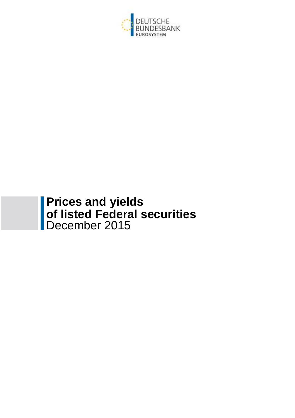

# **Prices and yields of listed Federal securities** December 2015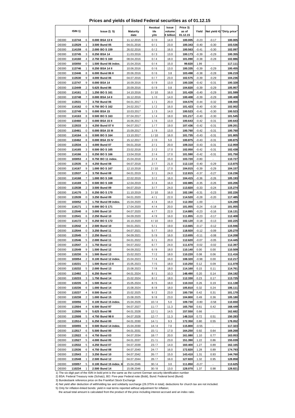## **Prices and yields of listed Federal securities as of 01.12.15**

|              |                                   |                         |                 | Residual | Issue     | Price 3) |         |                          |                            |
|--------------|-----------------------------------|-------------------------|-----------------|----------|-----------|----------|---------|--------------------------|----------------------------|
|              | ISIN <sub>1</sub> )               | <b>Issue 2) 5)</b>      | <b>Maturity</b> | life     | volume    | as of    | Yield   |                          | Net yield 4) "Dirty price" |
|              |                                   |                         | date            | y/m      | € billion | 01.12.15 |         |                          |                            |
| <b>DE000</b> | 113744<br>6                       | 0.000 BSA 13 II         | 11.12.2015      | 0/0      | 14.0      | 100.005  | $-0.23$ | $-0.17$                  | 100.005                    |
| <b>DE000</b> | 1<br>113529                       | 3.500 Bund 05           | 04.01.2016      | 0/1      | 23.0      | 100.343  | $-0.40$ | $-0.30$                  | 103.536                    |
| <b>DE000</b> | 114159<br>6                       | 2.000 BO S 159          | 26.02.2016      | 0/2      | 16.0      | 100.563  | $-0.41$ | $-0.30$                  | 102.097                    |
| <b>DE000</b> | 113745<br>3                       | 0.250 BSA 14            | 11.03.2016      | 0/3      | 13.0      | 100.173  | $-0.39$ | $-0.29$                  | 100.355                    |
| <b>DE000</b> | 114160<br>4                       | 2.750 BO S 160          | 08.04.2016      | 0/4      | 18.0      | 101.090  | $-0.38$ | $-0.28$                  | 102.886                    |
| <b>DE000</b> | 103050<br>0                       | 1.500 Bund 06 index.    | 15.04.2016      | 0/4      | 15.0      | 99.820   | 1.99    |                          | 117.111                    |
| <b>DE000</b> | 1<br>113746                       | 0.250 BSA 14 II         | 10.06.2016      | 0/6      | 13.0      | 100.335  | $-0.39$ | $-0.29$                  | 100.455                    |
| <b>DE000</b> | 113446<br>8                       | 6.000 Bund 86 II        | 20.06.2016      | 0/6      | 3.8       | 103.498  | $-0.38$ | $-0.28$                  | 106.219                    |
| <b>DE000</b> | 9<br>113530                       | 4.000 Bund 06           | 04.07.2016      | 0/7      | 23.0      | 102.575  | $-0.39$ | $-0.29$                  | 104.236                    |
| <b>DE000</b> | 9                                 |                         |                 |          |           |          |         |                          |                            |
|              | 113747                            | 0.000 BSA 14            | 16.09.2016      | 0/9      | 13.0      | 100.328  | $-0.42$ | $-0.31$                  | 100.328                    |
| <b>DE000</b> | $\overline{2}$<br>113449          | 5.625 Bund 86           | 20.09.2016      | 0/9      | 0.8       | 104.820  | $-0.39$ | $-0.29$                  | 105.957                    |
| <b>DE000</b> | $\overline{\mathbf{c}}$<br>114161 | 1.250 BO S 161          | 14.10.2016      | 0/10     | 16.0      | 101.428  | $-0.40$ | $-0.29$                  | 101.599                    |
| <b>DE000</b> | 113748<br>$\overline{7}$          | 0.000 BSA 14 II         | 16.12.2016      | 1/0      | 14.0      | 100.408  | $-0.39$ | $-0.29$                  | 100.408                    |
| <b>DE000</b> | 7<br>113531                       | 3.750 Bund 06           | 04.01.2017      | 1/1      | 20.0      | 104.579  | $-0.44$ | $-0.32$                  | 108.000                    |
| <b>DE000</b> | 0<br>114162                       | 0.750 BO S 162          | 24.02.2017      | $1/2$    | 16.0      | 101.423  | $-0.40$ | $-0.30$                  | 102.002                    |
| <b>DE000</b> | 5<br>113749                       | 0.000 BSA 15            | 10.03.2017      | 1/3      | 14.0      | 100.523  | $-0.41$ | $-0.30$                  | 100.523                    |
| <b>DE000</b> | 8<br>114163                       | 0.500 BO S 163          | 07.04.2017      | 1/4      | 18.0      | 101.217  | $-0.40$ | $-0.30$                  | 101.545                    |
| <b>DE000</b> | 110460<br>$\overline{2}$          | 0.000 BSA 15 II         | 16.06.2017      | 1/6      | 13.0      | 100.643  | $-0.42$ | $-0.31$                  | 100.643                    |
| <b>DE000</b> | 113533<br>3                       | 4.250 Bund 07 II        | 04.07.2017      | 1/7      | 19.0      | 107.436  | $-0.42$ | $-0.31$                  | 109.201                    |
| <b>DE000</b> | 0<br>110461                       |                         |                 |          | 13.0      | 100.760  | $-0.42$ |                          |                            |
| <b>DE000</b> | 6                                 | 0.000 BSA 15 III        | 15.09.2017      | 1/9      | 16.0      | 101.735  | $-0.43$ | $-0.31$<br>$-0.31$       | 100.760<br>101.805         |
|              | 114164                            | 0.500 BO S 164          | 13.10.2017      | 1/10     |           |          |         |                          |                            |
| <b>DE000</b> | 8<br>110462                       | 0.000 BSA 15 IV         | 15.12.2017      | 2/0      | 5.0       | 100.875  | $-0.43$ | $-0.31$                  | 100.875                    |
| <b>DE000</b> | 113534<br>1                       | 4.000 Bund 07           | 04.01.2018      | 2/1      | 20.0      | 109.310  | $-0.43$ | $-0.31$                  | 112.959                    |
| <b>DE000</b> | 114165<br>3                       | 0.500 BO S 165          | 23.02.2018      | 2/2      | 17.0      | 102.050  | $-0.42$ | $-0.31$                  | 102.438                    |
| <b>DE000</b> | 114166<br>$\mathbf{1}$            | 0.250 BO S 166          | 13.04.2018      | 2/4      | 17.0      | 101.590  | $-0.42$ | $-0.31$                  | 101.750                    |
| <b>DE000</b> | $\overline{\mathbf{4}}$<br>103053 | 0.750 BO 11 index.      | 15.04.2018      | 2/4      | 15.0      | 103.720  | $-0.80$ |                          | 110.727                    |
| <b>DE000</b> | 113535<br>8                       | 4.250 Bund 08           | 04.07.2018      | 2/7      | 21.0      | 112.110  | $-0.40$ | $-0.29$                  | 113.875                    |
| <b>DE000</b> | 114167<br>9                       | 1.000 BO S 167          | 12.10.2018      | 2/10     | 17.0      | 104.015  | $-0.39$ | $-0.29$                  | 104.157                    |
| <b>DE000</b> | 113537<br>4                       | 3.750 Bund 08           | 04.01.2019      | 3/1      | 24.0      | 112.815  | $-0.37$ | $-0.27$                  | 116.236                    |
| DE000        | 114168<br>$\overline{7}$          | 1.000 BOS 168           | 22.02.2019      | 3/2      | 16.0      | 104.415  | $-0.36$ | $-0.26$                  | 105.193                    |
| <b>DE000</b> | 5<br>114169                       | 0.500 BO S 169          | 12.04.2019      | 3/4      | 16.0      | 102.885  | $-0.35$ | $-0.26$                  | 103.206                    |
| <b>DE000</b> | 2<br>113538                       | 3.500 Bund 09           | 04.07.2019      | 3/7      | 24.0      | 113.820  | $-0.33$ | $-0.24$                  | 115.274                    |
|              |                                   |                         |                 |          |           |          |         |                          |                            |
| <b>DE000</b> | 114170<br>3                       | 0.250 BOS 170           | 11.10.2019      | 3/10     | 16.0      | 102.190  | $-0.31$ | $-0.23$                  | 102.226                    |
| <b>DE000</b> | 113539<br>0                       | 3.250 Bund 09           | 04.01.2020      | 4/1      | 22.0      | 114.520  | $-0.28$ | $-0.20$                  | 117.485                    |
| DE000        | 103052<br>6                       | 1.750 Bund 09 index.    | 15.04.2020      | 4/4      | 16.0      | 112.350  | $-1.00$ |                          | 124.289                    |
| <b>DE000</b> | $\mathbf{1}$<br>114171            | 0.000 BO S 171          | 17.04.2020      | 4/4      | 20.0      | 101.055  | $-0.24$ | $-0.18$                  | 101.055                    |
| <b>DE000</b> | 8<br>113540                       | 3.000 Bund 10           | 04.07.2020      | 4/7      | 22.0      | 114.885  | $-0.23$ | $-0.16$                  | 116.131                    |
| <b>DE000</b> | 113541<br>6                       | 2.250 Bund 10           | 04.09.2020      | 4/9      | 16.0      | 111.855  | $-0.23$ | $-0.17$                  | 112.408                    |
| <b>DE000</b> | 9<br>114172                       | 0.250 BO S 172          | 16.10.2020      | 4/10     | 19.0      | 102.120  | $-0.18$ | $-0.13$                  | 102.225                    |
| DE000        | 4<br>113542                       | 2.500 Bund 10           | 04.01.2021      | 5/1      | 19.0      | 113.665  | $-0.17$ | $-0.12$                  | 115.946                    |
| <b>DE000</b> | 0<br>113544                       | 3.250 Bund 11           | 04.07.2021      | 5/7      | 19.0      | 118.920  | $-0.12$ | $-0.09$                  | 120.270                    |
| <b>DE000</b> | 7<br>113545                       | 2.250 Bund 11           | 04.09.2021      | 5/9      | 16.0      | 113.655  | $-0.11$ | $-0.08$                  | 114.208                    |
| <b>DE000</b> | 113546<br>5                       | 2.000 Bund 11           | 04.01.2022      | 6/1      | 20.0      | 112.620  | $-0.07$ | $-0.05$                  | 114.445                    |
| <b>DE000</b> | 113547                            | 1.750 Bund 12           |                 |          |           | 111.670  | $-0.02$ | $-0.02$                  |                            |
|              | 3                                 |                         | 04.07.2022      | 6/7      | 24.0      |          |         |                          | 112.397                    |
| DE000        | 113549<br>9                       | 1.500 Bund 12           | 04.09.2022      | 6/9      | 18.0      | 110.140  | 0.00    | 0.00                     | 110.509                    |
| <b>DE000</b> | 110230<br>9                       | 1.500 Bund 13           | 15.02.2023      | 7/2      | 18.0      | 110.220  | 0.08    | 0.06                     | 111.416                    |
| DE000        | 103054<br>2                       | 0.100 Bund 12 index.    | 15.04.2023      | 7/4      | 16.0      | 108.320  | $-0.98$ | 0.00                     | 112.217                    |
| DE000        | 110231<br>7                       | 1.500 Bund 13 II        | 15.05.2023      | 7/5      | 18.0      | 110.250  | 0.12    | 0.09                     | 111.078                    |
| <b>DE000</b> | 110232<br>5                       | 2.000 Bund 13           | 15.08.2023      | 7/8      | 18.0      | 114.160  | 0.15    | 0.11                     | 114.761                    |
| <b>DE000</b> | 113492<br>2                       | 6.250 Bund 94           | 04.01.2024      | 8/1      | 10.3      | 148.490  | 0.20    | 0.14                     | 154.192                    |
| <b>DE000</b> | 3<br>110233                       | 1.750 Bund 14           | 15.02.2024      | 8/2      | 18.0      | 112.330  | 0.23    | 0.17                     | 113.725                    |
| <b>DE000</b> | 110235<br>8                       | 1.500 Bund 14           | 15.05.2024      | 8/5      | 18.0      | 110.310  | 0.26    | 0.19                     | 111.138                    |
| DE000        | 110236<br>6                       | 1.000 Bund 14           | 15.08.2024      | 8/8      | 18.0      | 105.810  | 0.32    | 0.24                     | 106.111                    |
| <b>DE000</b> | 110237<br>4                       | 0.500 Bund 15           | 15.02.2025      | 9/2      | 23.0      | 100.730  | 0.42    | 0.31                     | 101.170                    |
|              |                                   |                         |                 |          |           |          |         |                          |                            |
| <b>DE000</b> | 110238<br>2                       | 1.000 Bund 15           | 15.08.2025      | 9/8      | 23.0      | 104.800  | 0.49    | 0.36                     | 105.180                    |
| <b>DE000</b> | $\boldsymbol{7}$<br>103056        | 0.100 Bund 15 index.    | 15.04.2026      | 10/4     | 5.0       | 109.730  | $-0.80$ | $-0.58$                  | 110.650                    |
| <b>DE000</b> | 113504<br>4                       | 6.500 Bund 97           | 04.07.2027      | 11/7     | 11.3      | 165.750  | 0.61    | 0.42                     | 168.449                    |
| DE000        | 113506<br>9                       | 5.625 Bund 98           | 04.01.2028      | 12/1     | 14.5      | 157.550  | 0.66    | $\overline{\phantom{a}}$ | 162.682                    |
| <b>DE000</b> | 113508<br>5                       | 4.750 Bund 98 II        | 04.07.2028      | 12/7     | 11.3      | 148.310  | 0.72    | 0.51                     | 150.283                    |
| DE000        | 113514<br>3                       | 6.250 Bund 00           | 04.01.2030      | 14/1     | 9.3       | 172.350  | 0.80    | 0.55                     | 178.052                    |
| <b>DE000</b> | 9<br>103055                       | 0.500 Bund 14 index.    | 15.04.2030      | 14/4     | 7.0       | 115.800  | $-0.55$ |                          | 117.323                    |
| DE000        | 113517<br>6                       | 5.500 Bund 00           | 04.01.2031      | 15/1     | 17.0      | 164.250  | 0.92    | 0.64                     | 169.268                    |
| DE000        | 113522<br>6                       | 4.750 Bund 03           | 04.07.2034      | 18/7     | 20.0      | 161.080  | 1.10    | 0.77                     | 163.053                    |
| <b>DE000</b> | 113527<br>5                       | 4.000 Bund 05           | 04.01.2037      | 21/1     | 23.0      | 151.390  | 1.22    | 0.86                     | 155.039                    |
| DE000        | 113532<br>5                       | 4.250 Bund 07           | 04.07.2039      | 23/7     | 14.0      | 160.400  | 1.27    | 0.89                     | 162.165                    |
|              |                                   |                         |                 |          |           |          |         |                          |                            |
| <b>DE000</b> | 113536<br>6                       | 4.750 Bund 08           | 04.07.2040      | 24/7     | 16.0      | 172.820  | 1.28    | 0.89                     | 174.793                    |
| <b>DE000</b> | 113543<br>2                       | 3.250 Bund 10           | 04.07.2042      | 26/7     | 15.0      | 143.410  | 1.31    | 0.93                     | 144.760                    |
| DE000        | 113548<br>1                       | 2.500 Bund 12           | 04.07.2044      | 28/7     | 16.0      | 127.820  | 1.32    | 0.95                     | 128.858                    |
| <b>DE000</b> | 103057<br>5                       | 0.100 Bund 15 index. II | 15.04.2046      | 30/4     | 3.0       | 111.850  | $-0.27$ |                          | 113.625                    |
| DE000        | 110234<br>1                       | 2.500 Bund 14           | 15.08.2046      | 30/8     | 13.0      | 128.070  | 1.37    | 0.98                     | 128.821                    |

1) The six-digit part of the ISIN in bold print is the same as the current German security identification number 2) BSA: Federal Treasury note (Schatz), BO: Five-year Federal note (Bobl), Bund: Federal bond (Bund)

3) Bundesbank reference price on the Frankfurt Stock Exchange 4) Net yield after deduction of withholding tax and solidarity surcharge (26.375% in total); deductions for church tax are not included.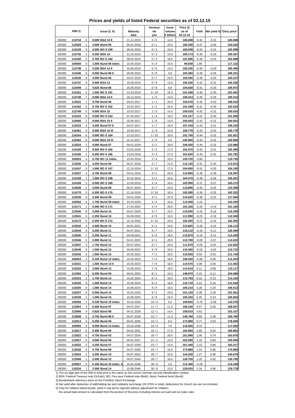## **Prices and yields of listed Federal securities as of 02.12.15**

|              |                                   |                         |                 | Residual | Issue     | Price 3) |         |                          |                            |
|--------------|-----------------------------------|-------------------------|-----------------|----------|-----------|----------|---------|--------------------------|----------------------------|
|              | ISIN <sub>1</sub> )               | lssue2) 5)              | <b>Maturity</b> | life     | volume    | as of    | Yield   |                          | Net yield 4) "Dirty price" |
|              |                                   |                         | date            | y/m      | € billion | 02.12.15 |         |                          |                            |
|              |                                   |                         |                 |          |           |          |         |                          |                            |
| <b>DE000</b> | 113744<br>6                       | 0.000 BSA 13 II         | 11.12.2015      | 0/0      | 14.0      | 100.008  | $-0.42$ | $-0.31$                  | 100.008                    |
| <b>DE000</b> | 1<br>113529                       | 3.500 Bund 05           | 04.01.2016      | 0/1      | 23.0      | 100.339  | $-0.47$ | $-0.35$                  | 103.542                    |
|              |                                   |                         |                 |          |           |          |         |                          |                            |
| <b>DE000</b> | 6<br>114159                       | 2.000 BO S 159          | 26.02.2016      | 0/2      | 16.0      | 100.558  | $-0.42$ | $-0.31$                  | 102.098                    |
| <b>DE000</b> | 113745<br>3                       | 0.250 BSA 14            | 11.03.2016      | 0/3      | 13.0      | 100.174  | $-0.40$ | $-0.29$                  | 100.357                    |
| <b>DE000</b> | 114160<br>4                       | 2.750 BO S 160          | 08.04.2016      | 0/4      | 18.0      | 101.085  | $-0.39$ | $-0.29$                  | 102.888                    |
|              |                                   |                         |                 |          |           |          |         |                          |                            |
| <b>DE000</b> | 0<br>103050                       | 1.500 Bund 06 index.    | 15.04.2016      | 0/4      | 15.0      | 99.830   | 1.96    |                          | 117.132                    |
| <b>DE000</b> | 1<br>113746                       | 0.250 BSA 14 II         | 10.06.2016      | 0/6      | 13.0      | 100.335  | $-0.40$ | $-0.29$                  | 100.456                    |
| <b>DE000</b> | 8<br>113446                       | 6.000 Bund 86 II        | 20.06.2016      | 0/6      | 3.8       | 103.483  | $-0.38$ | $-0.28$                  | 106.221                    |
|              |                                   |                         |                 |          |           |          |         |                          |                            |
| <b>DE000</b> | 113530<br>9                       | 4.000 Bund 06           | 04.07.2016      | 0/7      | 23.0      | 102.565  | $-0.39$ | $-0.29$                  | 104.237                    |
| <b>DE000</b> | 113747<br>9                       | 0.000 BSA 14            | 16.09.2016      | 0/9      | 13.0      | 100.330  | $-0.42$ | $-0.31$                  | 100.330                    |
|              |                                   |                         |                 |          |           |          |         |                          |                            |
| <b>DE000</b> | $\overline{\mathbf{c}}$<br>113449 | 5.625 Bund 86           | 20.09.2016      | 0/9      | 0.8       | 104.820  | $-0.41$ | $-0.30$                  | 105.973                    |
| <b>DE000</b> | $\overline{\mathbf{c}}$<br>114161 | 1.250 BO S 161          | 14.10.2016      | 0/10     | 16.0      | 101.428  | $-0.40$ | $-0.30$                  | 101.602                    |
| <b>DE000</b> | $\overline{7}$<br>113748          | 0.000 BSA 14 II         | 16.12.2016      | 1/0      | 14.0      | 100.413  | $-0.40$ | $-0.29$                  | 100.413                    |
|              |                                   |                         |                 |          |           |          |         |                          |                            |
| <b>DE000</b> | 113531<br>$\overline{7}$          | 3.750 Bund 06           | 04.01.2017      | 1/1      | 20.0      | 104.578  | $-0.45$ | $-0.33$                  | 108.010                    |
| <b>DE000</b> | 114162<br>0                       | 0.750 BO S 162          | 24.02.2017      | 1/2      | 16.0      | 101.428  | $-0.41$ | $-0.30$                  | 102.010                    |
| <b>DE000</b> | 5<br>113749                       | 0.000 BSA 15            | 10.03.2017      | 1/3      | 14.0      | 100.533  | $-0.42$ | $-0.31$                  | 100.533                    |
|              |                                   |                         |                 |          |           |          |         |                          |                            |
| <b>DE000</b> | 8<br>114163                       | 0.500 BO S 163          | 07.04.2017      | 1/4      | 18.0      | 101.227  | $-0.41$ | $-0.30$                  | 101.556                    |
| <b>DE000</b> | $\overline{2}$<br>110460          | 0.000 BSA 15 II         | 16.06.2017      | 1/6      | 13.0      | 100.653  | $-0.42$ | $-0.31$                  | 100.653                    |
| <b>DE000</b> | 113533<br>3                       | 4.250 Bund 07 II        | 04.07.2017      | 1/7      | 19.0      | 107.443  | $-0.43$ | $-0.31$                  | 109.220                    |
|              |                                   |                         |                 |          |           |          |         |                          |                            |
| <b>DE000</b> | 110461<br>0                       | 0.000 BSA 15 III        | 15.09.2017      | 1/9      | 13.0      | 100.778  | $-0.43$ | $-0.32$                  | 100.778                    |
| <b>DE000</b> | 6<br>114164                       | 0.500 BO S 164          | 13.10.2017      | 1/10     | 16.0      | 101.750  | $-0.44$ | $-0.32$                  | 101.821                    |
|              |                                   |                         |                 |          |           |          |         |                          |                            |
| <b>DE000</b> | 8<br>110462                       | 0.000 BSA 15 IV         | 15.12.2017      | 2/0      | 5.0       | 100.900  | $-0.44$ | $-0.32$                  | 100.900                    |
| <b>DE000</b> | 113534<br>1                       | 4.000 Bund 07           | 04.01.2018      | 2/1      | 20.0      | 109.320  | $-0.44$ | $-0.32$                  | 112.980                    |
| <b>DE000</b> | 114165<br>3                       | 0.500 BOS165            | 23.02.2018      | 2/2      | 17.0      | 102.070  | $-0.43$ | $-0.31$                  | 102.459                    |
|              |                                   |                         |                 |          |           |          |         |                          |                            |
| <b>DE000</b> | 114166<br>1                       | 0.250 BO S 166          | 13.04.2018      | 2/4      | 17.0      | 101.620  | $-0.43$ | $-0.32$                  | 101.781                    |
| <b>DE000</b> | $\overline{4}$<br>103053          | 0.750 BO 11 index.      | 15.04.2018      | 2/4      | 15.0      | 103.720  | $-0.80$ |                          | 110.735                    |
| <b>DE000</b> | 8<br>113535                       | 4.250 Bund 08           | 04.07.2018      | 2/7      | 21.0      | 112.135  | $-0.41$ | $-0.30$                  | 113.912                    |
|              |                                   |                         |                 |          |           |          |         |                          |                            |
| <b>DE000</b> | 9<br>114167                       | 1.000 BOS167            | 12.10.2018      | 2/10     | 17.0      | 104.050  | $-0.41$ | $-0.30$                  | 104.195                    |
| <b>DE000</b> | 113537<br>4                       | 3.750 Bund 08           | 04.01.2019      | 3/1      | 24.0      | 112.865  | $-0.39$ | $-0.28$                  | 116.297                    |
| <b>DE000</b> | 114168<br>7                       |                         |                 | 3/2      | 16.0      |          | $-0.38$ | $-0.28$                  | 105.251                    |
|              |                                   | 1.000 BOS 168           | 22.02.2019      |          |           | 104.470  |         |                          |                            |
| <b>DE000</b> | 5<br>114169                       | 0.500 BO S 169          | 12.04.2019      | 3/4      | 16.0      | 102.950  | $-0.37$ | $-0.27$                  | 103.272                    |
| <b>DE000</b> | $\overline{\mathbf{c}}$<br>113538 | 3.500 Bund 09           | 04.07.2019      | 3/7      | 24.0      | 113.895  | $-0.35$ | $-0.25$                  | 115.358                    |
|              |                                   |                         |                 |          |           |          |         |                          |                            |
| <b>DE000</b> | 3<br>114170                       | 0.250 BO S 170          | 11.10.2019      | 3/10     | 16.0      | 102.285  | $-0.34$ | $-0.25$                  | 102.322                    |
| <b>DE000</b> | 113539<br>0                       | 3.250 Bund 09           | 04.01.2020      | 4/1      | 22.0      | 114.620  | $-0.30$ | $-0.22$                  | 117.594                    |
| <b>DE000</b> | 103052<br>6                       | 1.750 Bund 09 index.    | 15.04.2020      | 4 / 4    | 16.0      | 112.400  | $-1.01$ |                          | 124.355                    |
|              |                                   |                         |                 |          |           |          |         |                          |                            |
| <b>DE000</b> | $\mathbf{1}$<br>114171            | 0.000 BOS171            | 17.04.2020      | 4/4      | 20.0      | 101.165  | $-0.26$ | $-0.19$                  | 101.165                    |
| <b>DE000</b> | 8<br>113540                       | 3.000 Bund 10           | 04.07.2020      | 4 / 7    | 22.0      | 115.005  | $-0.25$ | $-0.18$                  | 116.259                    |
| <b>DE000</b> | 113541<br>6                       | 2.250 Bund 10           | 04.09.2020      | 4/9      | 16.0      | 111.990  | $-0.25$ | $-0.19$                  | 112.549                    |
|              |                                   |                         |                 |          |           |          |         |                          |                            |
| <b>DE000</b> | 114172<br>9                       | 0.250 BOS172            | 16.10.2020      | 4/10     | 19.0      | 102.260  | $-0.21$ | $-0.16$                  | 102.365                    |
| <b>DE000</b> | 113542<br>4                       | 2.500 Bund 10           | 04.01.2021      | 5 / 1    | 19.0      | 113.825  | $-0.20$ | $-0.15$                  | 116.113                    |
|              |                                   |                         | 04.07.2021      |          |           |          |         |                          |                            |
| <b>DE000</b> | 0<br>113544                       | 3.250 Bund 11           |                 | 5/7      | 19.0      | 119.110  | $-0.16$ | $-0.11$                  | 120.469                    |
| <b>DE000</b> | $\overline{7}$<br>113545          | 2.250 Bund 11           | 04.09.2021      | 5/9      | 16.0      | 113.870  | $-0.15$ | $-0.11$                  | 114.429                    |
| <b>DE000</b> | 5<br>113546                       | 2.000 Bund 11           | 04.01.2022      | 6/1      | 20.0      | 112.780  | $-0.09$ | $-0.07$                  | 114.610                    |
|              |                                   |                         |                 |          |           |          |         |                          |                            |
| <b>DE000</b> | 113547<br>3                       | 1.750 Bund 12           | 04.07.2022      | 6/7      | 24.0      | 111.870  | $-0.05$ | $-0.04$                  | 112.602                    |
| DE000        | 113549<br>9                       | 1.500 Bund 12           | 04.09.2022      | 6/9      | 18.0      | 110.350  | $-0.03$ | $-0.02$                  | 110.723                    |
| <b>DE000</b> | 110230<br>9                       | 1.500 Bund 13           | 15.02.2023      | 7/2      | 18.0      | 110.520  | 0.04    | 0.03                     | 111.720                    |
|              |                                   |                         |                 |          |           |          |         |                          |                            |
| <b>DE000</b> | 103054<br>2                       | 0.100 Bund 12 index.    | 15.04.2023      | 7/4      | 16.0      | 108.350  | $-0.99$ | 0.00                     | 112.254                    |
| <b>DE000</b> | 110231<br>7                       | 1.500 Bund 13 II        | 15.05.2023      | 7/5      | 18.0      | 110.570  | 0.08    | 0.06                     | 111.402                    |
| DE000        | 110232<br>5                       | 2.000 Bund 13           | 15.08.2023      | 7/8      | 18.0      | 114.510  | 0.11    | 0.08                     | 115.117                    |
|              |                                   |                         |                 |          |           |          |         |                          |                            |
| DE000        | 113492<br>2                       | 6.250 Bund 94           | 04.01.2024      | 8/1      | 10.3      | 148.970  | 0.15    | 0.11                     | 154.689                    |
| <b>DE000</b> | 110233<br>3                       | 1.750 Bund 14           | 15.02.2024      | 8/2      | 18.0      | 112.750  | 0.18    | 0.13                     | 114.150                    |
| <b>DE000</b> | 110235<br>8                       | 1.500 Bund 14           | 15.05.2024      | 8/5      | 18.0      | 110.710  | 0.22    | 0.16                     | 111.542                    |
|              |                                   |                         |                 |          |           |          |         |                          |                            |
| <b>DE000</b> | 110236<br>6                       | 1.000 Bund 14           | 15.08.2024      | 8/8      | 18.0      | 106.210  | 0.28    | 0.20                     | 106.513                    |
| DE000        | 110237<br>4                       | 0.500 Bund 15           | 15.02.2025      | 9/2      | 23.0      | 101.120  | 0.38    | 0.28                     | 101.561                    |
|              | 110238<br>2                       |                         |                 |          |           |          |         |                          |                            |
| DE000        |                                   | 1.000 Bund 15           | 15.08.2025      | 9/8      | 23.0      | 105.220  | 0.45    | 0.33                     | 105.603                    |
| <b>DE000</b> | 103056<br>7                       | 0.100 Bund 15 index.    | 15.04.2026      | 10/4     | 5.0       | 109.650  | $-0.79$ | $-0.58$                  | 110.576                    |
| <b>DE000</b> | 113504<br>4                       | 6.500 Bund 97           | 04.07.2027      | 11/7     | 11.3      | 166.230  | 0.57    | 0.40                     | 168.947                    |
|              |                                   |                         |                 |          |           |          |         |                          |                            |
| <b>DE000</b> | 113506<br>9                       | 5.625 Bund 98           | 04.01.2028      | 12/1     | 14.5      | 158.010  | 0.63    |                          | 163.157                    |
| DE000        | 113508<br>5                       | 4.750 Bund 98 II        | 04.07.2028      | 12/7     | 11.3      | 148.780  | 0.69    | 0.49                     | 150.766                    |
| DE000        | 113514<br>3                       | 6.250 Bund 00           | 04.01.2030      | 14/1     | 9.3       | 172.890  | 0.77    | 0.53                     | 178.609                    |
|              |                                   |                         |                 |          |           |          |         |                          |                            |
| <b>DE000</b> | 103055<br>9                       | 0.500 Bund 14 index.    | 15.04.2030      | 14/4     | 7.0       | 116.050  | $-0.57$ |                          | 117.583                    |
| <b>DE000</b> | 113517<br>6                       | 5.500 Bund 00           | 04.01.2031      | 15/1     | 17.0      | 164.850  | 0.89    | 0.62                     | 169.883                    |
| <b>DE000</b> | 113522<br>6                       | 4.750 Bund 03           | 04.07.2034      | 18/7     | 20.0      | 161.890  | 1.06    | 0.74                     | 163.876                    |
|              |                                   |                         |                 |          |           |          |         |                          |                            |
| <b>DE000</b> | 113527<br>5                       | 4.000 Bund 05           | 04.01.2037      | 21/1     | 23.0      | 152.290  | 1.18    | 0.83                     | 155.950                    |
| DE000        | 113532<br>5                       | 4.250 Bund 07           | 04.07.2039      | 23/7     | 14.0      | 161.440  | 1.23    | 0.86                     | 163.217                    |
|              |                                   |                         |                 |          |           |          |         |                          |                            |
| <b>DE000</b> | 113536<br>6                       | 4.750 Bund 08           | 04.07.2040      | 24/7     | 16.0      | 173.880  | 1.24    | 0.86                     | 175.866                    |
| <b>DE000</b> | 113543<br>2                       | 3.250 Bund 10           | 04.07.2042      | 26/7     | 15.0      | 144.320  | 1.27    | 0.90                     | 145.679                    |
| <b>DE000</b> | 113548<br>$\mathbf{1}$            | 2.500 Bund 12           | 04.07.2044      | 28/7     | 16.0      | 128.750  | 1.29    | 0.92                     | 129.795                    |
|              |                                   |                         |                 |          |           |          |         |                          |                            |
| <b>DE000</b> | 103057<br>5                       | 0.100 Bund 15 index. II | 15.04.2046      | 30/4     | 3.0       | 112.400  | $-0.29$ | $\overline{\phantom{a}}$ | 114.189                    |
| DE000        | 110234<br>$\mathbf{1}$            | 2.500 Bund 14           | 15.08.2046      | 30/8     | 13.0      | 129.020  | 1.34    | 0.96                     | 129.778                    |

1) The six-digit part of the ISIN in bold print is the same as the current German security identification number 2) BSA: Federal Treasury note (Schatz), BO: Five-year Federal note (Bobl), Bund: Federal bond (Bund)

3) Bundesbank reference price on the Frankfurt Stock Exchange 4) Net yield after deduction of withholding tax and solidarity surcharge (26.375% in total); deductions for church tax are not included.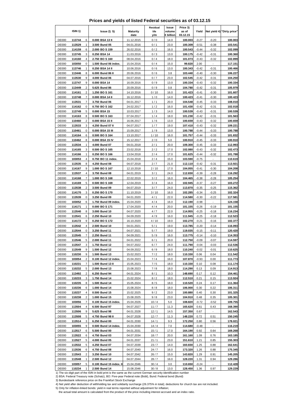## **Prices and yields of listed Federal securities as of 03.12.15**

|              |                                   |                         |                 | Residual | Issue     | Price 3) |         |         |                            |
|--------------|-----------------------------------|-------------------------|-----------------|----------|-----------|----------|---------|---------|----------------------------|
|              | ISIN <sub>1</sub> )               | lssue2) 5)              | <b>Maturity</b> | life     | volume    | as of    | Yield   |         | Net yield 4) "Dirty price" |
|              |                                   |                         | date            | y/m      | € billion | 03.12.15 |         |         |                            |
| <b>DE000</b> | 113744<br>6                       | 0.000 BSA 13 II         | 11.12.2015      | 0/0      | 14.0      | 100.003  | $-0.27$ | $-0.20$ | 100.003                    |
| <b>DE000</b> | 1<br>113529                       | 3.500 Bund 05           | 04.01.2016      | 0/1      | 23.0      | 100.309  | $-0.51$ | $-0.38$ | 103.541                    |
| <b>DE000</b> | 114159<br>6                       | 2.000 BO S 159          | 26.02.2016      | 0/2      | 16.0      | 100.543  | $-0.44$ | $-0.32$ | 102.099                    |
| <b>DE000</b> | 113745<br>3                       | 0.250 BSA 14            | 11.03.2016      | 0/3      | 13.0      | 100.175  | $-0.42$ | $-0.31$ | 100.360                    |
| <b>DE000</b> | 114160<br>$\overline{4}$          | 2.750 BOS 160           | 08.04.2016      | 0/4      | 18.0      | 101.073  | $-0.43$ | $-0.32$ | 102.899                    |
| <b>DE000</b> | 103050<br>0                       | 1.500 Bund 06 index.    | 15.04.2016      | 0/4      | 15.0      | 99.820   | 2.00    |         | 117.151                    |
| <b>DE000</b> | 1<br>113746                       | 0.250 BSA 14 II         | 10.06.2016      | 0/6      | 13.0      | 100.343  | $-0.42$ | $-0.31$ | 100.466                    |
| <b>DE000</b> | 113446<br>8                       | 6.000 Bund 86 II        | 20.06.2016      | 0/6      | 3.8       | 103.440  | $-0.40$ | $-0.30$ | 106.227                    |
|              |                                   |                         |                 |          |           |          |         |         |                            |
| <b>DE000</b> | 9<br>113530                       | 4.000 Bund 06           | 04.07.2016      | 0/7      | 23.0      | 102.545  | $-0.42$ | $-0.31$ | 104.250                    |
| <b>DE000</b> | 9<br>113747                       | 0.000 BSA 14            | 16.09.2016      | 0/9      | 13.0      | 100.334  | $-0.43$ | $-0.32$ | 100.334                    |
| <b>DE000</b> | $\sqrt{2}$<br>113449              | 5.625 Bund 86           | 20.09.2016      | 0/9      | 0.8       | 104.780  | $-0.42$ | $-0.31$ | 105.979                    |
| <b>DE000</b> | $\overline{2}$<br>114161          | 1.250 BO S 161          | 14.10.2016      | 0/10     | 16.0      | 101.423  | $-0.41$ | $-0.30$ | 101.607                    |
| <b>DE000</b> | 113748<br>$\overline{7}$          | 0.000 BSA 14 II         | 16.12.2016      | 1/0      | 14.0      | 100.423  | $-0.41$ | $-0.30$ | 100.423                    |
| <b>DE000</b> | 7<br>113531                       | 3.750 Bund 06           | 04.01.2017      | 1/1      | 20.0      | 104.548  | $-0.45$ | $-0.33$ | 108.010                    |
| <b>DE000</b> | 0<br>114162                       | 0.750 BOS 162           | 24.02.2017      | 1/2      | 16.0      | 101.430  | $-0.42$ | $-0.31$ | 102.018                    |
| <b>DE000</b> | 5<br>113749                       | 0.000 BSA 15            | 10.03.2017      | 1/3      | 14.0      | 100.539  | $-0.43$ | $-0.31$ | 100.539                    |
| <b>DE000</b> | 8<br>114163                       | 0.500 BO S 163          | 07.04.2017      | 1/4      | 18.0      | 101.230  | $-0.42$ | $-0.31$ | 101.563                    |
| <b>DE000</b> | 110460<br>$\overline{2}$          | 0.000 BSA 15 II         | 16.06.2017      | 1/6      | 13.0      | 100.659  | $-0.43$ | $-0.32$ | 100.659                    |
| <b>DE000</b> | 3                                 | 4.250 Bund 07 II        |                 |          |           | 107.410  |         |         | 109.221                    |
|              | 113533                            |                         | 04.07.2017      | 1/7      | 19.0      |          | $-0.43$ | $-0.32$ |                            |
| <b>DE000</b> | 0<br>110461                       | 0.000 BSA 15 III        | 15.09.2017      | 1/9      | 13.0      | 100.788  | $-0.44$ | $-0.33$ | 100.788                    |
| <b>DE000</b> | 114164<br>6                       | 0.500 BO S 164          | 13.10.2017      | 1/10     | 16.0      | 101.757  | $-0.44$ | $-0.33$ | 101.832                    |
| <b>DE000</b> | 8<br>110462                       | 0.000 BSA 15 IV         | 15.12.2017      | 2/0      | 5.0       | 100.910  | $-0.45$ | $-0.33$ | 100.910                    |
| <b>DE000</b> | 113534<br>1                       | 4.000 Bund 07           | 04.01.2018      | 2/1      | 20.0      | 109.300  | $-0.45$ | $-0.33$ | 112.993                    |
| <b>DE000</b> | 114165<br>3                       | 0.500 BO S 165          | 23.02.2018      | 2/2      | 17.0      | 102.080  | $-0.43$ | $-0.32$ | 102.473                    |
| <b>DE000</b> | 114166<br>$\mathbf{1}$            | 0.250 BO S 166          | 13.04.2018      | 2/4      | 17.0      | 101.625  | $-0.44$ | $-0.32$ | 101.788                    |
| <b>DE000</b> | $\overline{\mathbf{4}}$<br>103053 | 0.750 BO 11 index.      | 15.04.2018      | 2/4      | 15.0      | 103.590  | $-0.75$ |         | 110.619                    |
| <b>DE000</b> | 113535<br>8                       | 4.250 Bund 08           | 04.07.2018      | 2/7      | 21.0      | 112.110  | $-0.42$ | $-0.31$ | 113.921                    |
| <b>DE000</b> | 114167<br>9                       | 1.000 BO S 167          | 12.10.2018      | 2/10     | 17.0      | 104.055  | $-0.41$ | $-0.30$ | 104.208                    |
| <b>DE000</b> | 113537<br>4                       | 3.750 Bund 08           | 04.01.2019      | 3/1      | 24.0      | 112.830  | $-0.39$ | $-0.28$ | 116.292                    |
| <b>DE000</b> | $\overline{7}$<br>114168          | 1.000 BOS 168           |                 | 3/2      | 16.0      | 104.465  | $-0.38$ | $-0.28$ | 105.254                    |
|              | 5                                 |                         | 22.02.2019      |          |           |          |         |         |                            |
| <b>DE000</b> | 114169                            | 0.500 BO S 169          | 12.04.2019      | 3/4      | 16.0      | 102.945  | $-0.37$ | $-0.27$ | 103.272                    |
| <b>DE000</b> | $\overline{2}$<br>113538          | 3.500 Bund 09           | 04.07.2019      | 3/7      | 24.0      | 113.870  | $-0.35$ | $-0.25$ | 115.362                    |
| <b>DE000</b> | 114170<br>3                       | 0.250 BOS 170           | 11.10.2019      | 3/10     | 16.0      | 102.285  | $-0.34$ | $-0.25$ | 102.324                    |
| <b>DE000</b> | 113539<br>0                       | 3.250 Bund 09           | 04.01.2020      | 4/1      | 22.0      | 114.580  | $-0.30$ | $-0.22$ | 117.581                    |
| <b>DE000</b> | 103052<br>6                       | 1.750 Bund 09 index.    | 15.04.2020      | 4 / 4    | 16.0      | 112.190  | $-0.98$ | ä,      | 124.158                    |
| <b>DE000</b> | $\mathbf{1}$<br>114171            | 0.000 BOS171            | 17.04.2020      | 4 / 4    | 20.0      | 101.155  | $-0.26$ | $-0.19$ | 101.155                    |
| <b>DE000</b> | 8<br>113540                       | 3.000 Bund 10           | 04.07.2020      | 4 / 7    | 22.0      | 114.955  | $-0.25$ | $-0.18$ | 116.234                    |
| <b>DE000</b> | 113541<br>6                       | 2.250 Bund 10           | 04.09.2020      | 4/9      | 16.0      | 111.945  | $-0.25$ | $-0.18$ | 112.523                    |
| <b>DE000</b> | 9<br>114172                       | 0.250 BOS 172           | 16.10.2020      | 4/10     | 19.0      | 102.270  | $-0.21$ | $-0.16$ | 102.377                    |
| <b>DE000</b> | 4<br>113542                       | 2.500 Bund 10           | 04.01.2021      | 5/1      | 19.0      | 113.785  | $-0.20$ | $-0.14$ | 116.093                    |
| <b>DE000</b> | 0<br>113544                       | 3.250 Bund 11           | 04.07.2021      | 5/7      | 19.0      | 119.035  | $-0.15$ | $-0.11$ | 120.420                    |
|              |                                   |                         |                 |          |           |          |         |         |                            |
| <b>DE000</b> | 7<br>113545                       | 2.250 Bund 11           | 04.09.2021      | 5/9      | 16.0      | 113.775  | $-0.14$ | $-0.10$ | 114.353                    |
| <b>DE000</b> | 113546<br>5                       | 2.000 Bund 11           | 04.01.2022      | 6/1      | 20.0      | 112.750  | $-0.09$ | $-0.07$ | 114.597                    |
| <b>DE000</b> | 113547<br>3                       | 1.750 Bund 12           | 04.07.2022      | 6/7      | 24.0      | 111.790  | $-0.04$ | $-0.03$ | 112.536                    |
| DE000        | 113549<br>9                       | 1.500 Bund 12           | 04.09.2022      | 6/9      | 18.0      | 110.240  | $-0.02$ | $-0.01$ | 110.625                    |
| <b>DE000</b> | 110230<br>9                       | 1.500 Bund 13           | 15.02.2023      | 7/2      | 18.0      | 110.330  | 0.06    | 0.04    | 111.542                    |
| DE000        | 103054<br>2                       | 0.100 Bund 12 index.    | 15.04.2023      | 7/4      | 16.0      | 107.870  | $-0.93$ | 0.00    | 111.773                    |
| <b>DE000</b> | 110231<br>7                       | 1.500 Bund 13 II        | 15.05.2023      | 7/5      | 18.0      | 110.330  | 0.10    | 0.08    | 111.174                    |
| <b>DE000</b> | 110232<br>5                       | 2.000 Bund 13           | 15.08.2023      | 7/8      | 18.0      | 114.290  | 0.13    | 0.09    | 114.913                    |
| DE000        | 113492<br>2                       | 6.250 Bund 94           | 04.01.2024      | 8/1      | 10.3      | 148.690  | 0.17    | 0.12    | 154.461                    |
| <b>DE000</b> | 110233<br>3                       | 1.750 Bund 14           | 15.02.2024      | 8/2      | 18.0      | 112.510  | 0.21    | 0.15    | 113.924                    |
| <b>DE000</b> | 110235<br>8                       | 1.500 Bund 14           | 15.05.2024      | 8/5      | 18.0      | 110.520  | 0.24    | 0.17    | 111.364                    |
| <b>DE000</b> | 110236                            | 1.000 Bund 14           | 15.08.2024      | 8/8      | 18.0      | 106.000  | 0.30    | 0.22    | 106.311                    |
|              | 6                                 |                         |                 |          |           |          |         |         |                            |
| <b>DE000</b> | 110237<br>4                       | 0.500 Bund 15           | 15.02.2025      | 9/2      | 23.0      | 100.880  | 0.40    | 0.30    | 101.325                    |
| DE000        | 110238<br>2                       | 1.000 Bund 15           | 15.08.2025      | 9/8      | 23.0      | 104.910  | 0.48    | 0.35    | 105.301                    |
| <b>DE000</b> | $\boldsymbol{7}$<br>103056        | 0.100 Bund 15 index.    | 15.04.2026      | 10/4     | 5.0       | 108.820  | $-0.72$ | $-0.52$ | 109.755                    |
| <b>DE000</b> | 113504<br>4                       | 6.500 Bund 97           | 04.07.2027      | 11/7     | 11.3      | 165.620  | 0.61    | 0.43    | 168.390                    |
| <b>DE000</b> | 113506<br>9                       | 5.625 Bund 98           | 04.01.2028      | 12/1     | 14.5      | 157.350  | 0.67    |         | 162.543                    |
| <b>DE000</b> | 113508<br>5                       | 4.750 Bund 98 II        | 04.07.2028      | 12/7     | 11.3      | 148.220  | 0.72    | 0.51    | 150.245                    |
| DE000        | 113514<br>3                       | 6.250 Bund 00           | 04.01.2030      | 14/1     | 9.3       | 172.250  | 0.80    | 0.56    | 178.021                    |
| <b>DE000</b> | 9<br>103055                       | 0.500 Bund 14 index.    | 15.04.2030      | 14/4     | 7.0       | 114.680  | $-0.48$ |         | 116.219                    |
| DE000        | 113517<br>6                       | 5.500 Bund 00           | 04.01.2031      | 15/1     | 17.0      | 164.190  | 0.92    | 0.64    | 169.268                    |
| <b>DE000</b> | 113522<br>6                       | 4.750 Bund 03           | 04.07.2034      | 18/7     | 20.0      | 161.160  | 1.09    | 0.76    | 163.185                    |
| <b>DE000</b> | 113527                            | 4.000 Bund 05           |                 |          |           | 151.610  | 1.21    | 0.85    | 155.303                    |
|              | 5                                 |                         | 04.01.2037      | 21/1     | 23.0      |          |         |         |                            |
| DE000        | 113532<br>5                       | 4.250 Bund 07           | 04.07.2039      | 23/7     | 14.0      | 160.830  | 1.25    | 0.88    | 162.641                    |
| <b>DE000</b> | 6<br>113536                       | 4.750 Bund 08           | 04.07.2040      | 24/7     | 16.0      | 173.320  | 1.26    | 0.88    | 175.345                    |
| <b>DE000</b> | 113543<br>2                       | 3.250 Bund 10           | 04.07.2042      | 26/7     | 15.0      | 143.820  | 1.29    | 0.91    | 145.205                    |
| DE000        | 113548<br>1                       | 2.500 Bund 12           | 04.07.2044      | 28/7     | 16.0      | 128.220  | 1.31    | 0.94    | 129.286                    |
| <b>DE000</b> | 103057<br>5                       | 0.100 Bund 15 index. II | 15.04.2046      | 30/4     | 3.0       | 110.650  | $-0.24$ |         | 112.428                    |
| DE000        | 110234<br>1                       | 2.500 Bund 14           | 15.08.2046      | 30/8     | 13.0      | 128.450  | 1.36    | 0.97    | 129.229                    |

1) The six-digit part of the ISIN in bold print is the same as the current German security identification number 2) BSA: Federal Treasury note (Schatz), BO: Five-year Federal note (Bobl), Bund: Federal bond (Bund)

3) Bundesbank reference price on the Frankfurt Stock Exchange 4) Net yield after deduction of withholding tax and solidarity surcharge (26.375% in total); deductions for church tax are not included.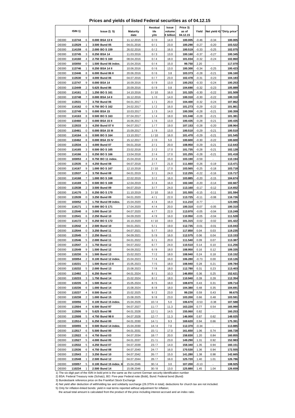## **Prices and yields of listed Federal securities as of 04.12.15**

|              |                     |                |                         |                 | Residual | Issue     | Price 3) |         |                          |                            |
|--------------|---------------------|----------------|-------------------------|-----------------|----------|-----------|----------|---------|--------------------------|----------------------------|
|              | ISIN <sub>1</sub> ) |                | <b>Issue 2) 5)</b>      | <b>Maturity</b> | life     | volume    | as of    | Yield   |                          | Net yield 4) "Dirty price" |
|              |                     |                |                         | date            | y/m      | € billion | 04.12.15 |         |                          |                            |
| <b>DE000</b> | 113744              | 6              | 0.000 BSA 13 II         | 11.12.2015      | 0/0      | 14.0      | 100.005  | $-0.46$ | $-0.34$                  | 100.005                    |
| <b>DE000</b> | 113529              | $\mathbf{1}$   | 3.500 Bund 05           | 04.01.2016      | 0/1      | 23.0      | 100.290  | $-0.27$ | $-0.20$                  | 103.522                    |
| <b>DE000</b> | 114159              | 6              | 2.000 BO S 159          | 26.02.2016      | 0/2      | 16.0      | 100.519  | $-0.33$ | $-0.25$                  | 102.075                    |
| <b>DE000</b> | 113745              | 3              | 0.250 BSA 14            | 11.03.2016      | 0/3      | 13.0      | 100.160  | -0.37   | $-0.27$                  | 100.345                    |
| <b>DE000</b> |                     | 4              |                         |                 |          |           |          |         |                          |                            |
|              | 114160              |                | 2.750 BOS 160           | 08.04.2016      | 0/4      | 18.0      | 101.034  | $-0.32$ | $-0.24$                  | 102.860                    |
| <b>DE000</b> | 103050              | 0              | 1.500 Bund 06 index.    | 15.04.2016      | 0/4      | 15.0      | 99.750   | 2.20    |                          | 117.070                    |
| <b>DE000</b> | 113746              | $\mathbf{1}$   | 0.250 BSA 14 II         | 10.06.2016      | 0/6      | 13.0      | 100.300  | $-0.34$ | $-0.25$                  | 100.423                    |
| <b>DE000</b> | 113446              | 8              | 6.000 Bund 86 II        | 20.06.2016      | 0/6      | 3.8       | 103.373  | $-0.28$ | $-0.21$                  | 106.160                    |
| <b>DE000</b> | 113530              | 9              | 4.000 Bund 06           | 04.07.2016      | 0/7      | 23.0      | 102.478  | $-0.31$ | $-0.23$                  | 104.183                    |
| <b>DE000</b> | 113747              | 9              | 0.000 BSA 14            | 16.09.2016      | 0/9      | 13.0      | 100.253  | $-0.33$ | $-0.24$                  | 100.253                    |
| <b>DE000</b> | 113449              | $\sqrt{2}$     | 5.625 Bund 86           | 20.09.2016      | 0/9      | 0.8       | 104.690  | $-0.32$ | $-0.23$                  | 105.889                    |
| <b>DE000</b> | 114161              | $\overline{c}$ | 1.250 BO S 161          | 14.10.2016      | 0/10     | 16.0      | 101.325  | $-0.30$ | $-0.22$                  | 101.509                    |
| <b>DE000</b> | 113748              | $\overline{7}$ | 0.000 BSA 14 II         | 16.12.2016      | 1/0      | 14.0      | 100.310  | $-0.30$ | $-0.22$                  | 100.310                    |
| <b>DE000</b> |                     | $\overline{7}$ |                         |                 |          |           | 104.400  |         |                          |                            |
|              | 113531              |                | 3.750 Bund 06           | 04.01.2017      | 1/1      | 20.0      |          | $-0.32$ | $-0.24$                  | 107.862                    |
| <b>DE000</b> | 114162              | 0              | 0.750 BOS 162           | 24.02.2017      | 1/2      | 16.0      | 101.273  | $-0.29$ | $-0.22$                  | 101.861                    |
| <b>DE000</b> | 113749              | 5              | 0.000 BSA 15            | 10.03.2017      | 1/3      | 14.0      | 100.359  | $-0.28$ | $-0.21$                  | 100.359                    |
| <b>DE000</b> | 114163              | 8              | 0.500 BO S 163          | 07.04.2017      | 1/4      | 18.0      | 101.048  | $-0.28$ | $-0.21$                  | 101.381                    |
| <b>DE000</b> | 110460              | $\overline{2}$ | 0.000 BSA 15 II         | 16.06.2017      | 1/6      | 13.0      | 100.435  | $-0.28$ | $-0.21$                  | 100.435                    |
| <b>DE000</b> | 113533              | 3              | 4.250 Bund 07 II        | 04.07.2017      | $1/7$    | 19.0      | 107.153  | $-0.28$ | $-0.20$                  | 108.964                    |
| <b>DE000</b> | 110461              | 0              | 0.000 BSA 15 III        | 15.09.2017      | 1/9      | 13.0      | 100.510  | $-0.29$ | $-0.21$                  | 100.510                    |
| <b>DE000</b> | 114164              | 6              | 0.500 BO S 164          | 13.10.2017      | 1/10     | 16.0      | 101.470  | $-0.29$ | $-0.21$                  | 101.545                    |
| <b>DE000</b> | 110462              | 8              | 0.000 BSA 15 IV         | 15.12.2017      | 2/0      | 5.0       | 100.600  | $-0.30$ | $-0.22$                  | 100.600                    |
| <b>DE000</b> | 113534              | 1              |                         |                 | 2/1      | 20.0      | 108.950  | $-0.29$ | $-0.21$                  | 112.643                    |
|              |                     |                | 4.000 Bund 07           | 04.01.2018      |          |           |          |         |                          |                            |
| <b>DE000</b> | 114165              | 3              | 0.500 BO S 165          | 23.02.2018      | 2/2      | 17.0      | 101.735  | $-0.28$ | $-0.21$                  | 102.128                    |
| <b>DE000</b> | 114166              | $\mathbf{1}$   | 0.250 BO S 166          | 13.04.2018      | 2/4      | 17.0      | 101.255  | $-0.28$ | $-0.21$                  | 101.418                    |
| <b>DE000</b> | 103053              | 4              | 0.750 BO 11 index.      | 15.04.2018      | 2/4      | 15.0      | 103.190  | $-0.59$ |                          | 110.194                    |
| <b>DE000</b> | 113535              | 8              | 4.250 Bund 08           | 04.07.2018      | 2/7      | 21.0      | 111.660  | $-0.26$ | $-0.19$                  | 113.471                    |
| <b>DE000</b> | 114167              | 9              | 1.000 BO S 167          | 12.10.2018      | 2/10     | 17.0      | 103.565  | $-0.25$ | $-0.18$                  | 103.718                    |
| <b>DE000</b> | 113537              | 4              | 3.750 Bund 08           | 04.01.2019      | 3/1      | 24.0      | 112.255  | $-0.22$ | $-0.16$                  | 115.717                    |
| <b>DE000</b> | 114168              | $\overline{7}$ | 1.000 BOS 168           | 22.02.2019      | 3/2      | 16.0      | 103.885  | $-0.20$ | $-0.15$                  | 104.674                    |
| <b>DE000</b> | 114169              | 5              | 0.500 BO S 169          | 12.04.2019      | 3/4      | 16.0      | 102.340  | $-0.20$ | $-0.14$                  | 102.667                    |
| <b>DE000</b> | 113538              | $\overline{c}$ | 3.500 Bund 09           | 04.07.2019      | 3/7      | 24.0      | 113.160  | $-0.17$ | $-0.12$                  | 114.652                    |
|              |                     |                |                         |                 |          |           |          |         |                          |                            |
| <b>DE000</b> | 114170              | 3              | 0.250 BO S 170          | 11.10.2019      | 3/10     | 16.0      | 101.555  | $-0.15$ | $-0.11$                  | 101.594                    |
| <b>DE000</b> | 113539              | 0              | 3.250 Bund 09           | 04.01.2020      | 4/1      | 22.0      | 113.725  | $-0.11$ | $-0.08$                  | 116.726                    |
| <b>DE000</b> | 103052              | 6              | 1.750 Bund 09 index.    | 15.04.2020      | 4/4      | 16.0      | 111.210  | $-0.77$ |                          | 123.085                    |
| <b>DE000</b> | 114171              | $\mathbf{1}$   | 0.000 BOS171            | 17.04.2020      | 4/4      | 20.0      | 100.310  | $-0.07$ | $-0.05$                  | 100.310                    |
| <b>DE000</b> | 113540              | 8              | 3.000 Bund 10           | 04.07.2020      | 4/7      | 22.0      | 113.970  | $-0.05$ | $-0.04$                  | 115.249                    |
| <b>DE000</b> | 113541              | 6              | 2.250 Bund 10           | 04.09.2020      | 4/9      | 16.0      | 110.950  | $-0.05$ | $-0.04$                  | 111.528                    |
| <b>DE000</b> | 114172              | 9              | 0.250 BOS 172           | 16.10.2020      | 4/10     | 19.0      | 101.315  | $-0.02$ | $-0.02$                  | 101.422                    |
| <b>DE000</b> | 113542              | 4              | 2.500 Bund 10           | 04.01.2021      | 5/1      | 19.0      | 112.735  | $-0.01$ | $-0.01$                  | 115.043                    |
| <b>DE000</b> | 113544              | 0              | 3.250 Bund 11           | 04.07.2021      | 5/7      | 19.0      | 117.850  | 0.04    | 0.03                     | 119.235                    |
| <b>DE000</b> | 113545              | $\overline{7}$ | 2.250 Bund 11           | 04.09.2021      | 5/9      | 16.0      | 112.575  | 0.06    | 0.04                     | 113.153                    |
|              |                     |                |                         |                 |          |           |          |         |                          |                            |
| <b>DE000</b> | 113546              | 5              | 2.000 Bund 11           | 04.01.2022      | 6/1      | 20.0      | 111.540  | 0.09    | 0.07                     | 113.387                    |
| <b>DE000</b> | 113547              | 3              | 1.750 Bund 12           | 04.07.2022      | 6/7      | 24.0      | 110.510  | 0.14    | 0.10                     | 111.256                    |
| DE000        | 113549              | 9              | 1.500 Bund 12           | 04.09.2022      | 6/9      | 18.0      | 108.950  | 0.16    | 0.12                     | 109.335                    |
| DE000        | 110230              | 9              | 1.500 Bund 13           | 15.02.2023      | 7/2      | 18.0      | 108.940  | 0.24    | 0.18                     | 110.152                    |
| <b>DE000</b> | 103054              | 2              | 0.100 Bund 12 index.    | 15.04.2023      | 7/4      | 16.0      | 106.280  | $-0.73$ | 0.00                     | 110.126                    |
| <b>DE000</b> | 110231              | 7              | 1.500 Bund 13 II        | 15.05.2023      | 7/5      | 18.0      | 108.940  | 0.28    | 0.21                     | 109.784                    |
| <b>DE000</b> | 110232              | 5              | 2.000 Bund 13           | 15.08.2023      | 7/8      | 18.0      | 112.780  | 0.31    | 0.23                     | 113.403                    |
| DE000        | 113492              | 2              | 6.250 Bund 94           | 04.01.2024      | 8/1      | 10.3      | 146.850  | 0.36    | 0.25                     | 152.621                    |
| <b>DE000</b> | 110233              | 3              | 1.750 Bund 14           | 15.02.2024      | 8/2      | 18.0      | 110.940  | 0.39    | 0.28                     | 112.354                    |
| <b>DE000</b> | 110235              | 8              | 1.500 Bund 14           | 15.05.2024      | 8/5      | 18.0      | 108.870  | 0.43    | 0.31                     | 109.714                    |
| <b>DE000</b> | 110236              | 6              | 1.000 Bund 14           | 15.08.2024      | 8/8      | 18.0      | 104.380  | 0.48    | 0.35                     | 104.691                    |
| <b>DE000</b> |                     |                |                         | 15.02.2025      |          |           |          |         |                          |                            |
|              | 110237              | 4              | 0.500 Bund 15           |                 | 9/2      | 23.0      | 99.230   | 0.59    | 0.43                     | 99.675                     |
| DE000        | 110238              | 2              | 1.000 Bund 15           | 15.08.2025      | 9/8      | 23.0      | 103.200  | 0.66    | 0.48                     | 103.591                    |
| <b>DE000</b> | 103056              | $\overline{7}$ | 0.100 Bund 15 index.    | 15.04.2026      | 10/4     | 5.0       | 106.670  | $-0.53$ | $-0.38$                  | 107.588                    |
| <b>DE000</b> | 113504              | 4              | 6.500 Bund 97           | 04.07.2027      | 11/7     | 11.3      | 163.220  | 0.77    | 0.54                     | 165.990                    |
| <b>DE000</b> | 113506              | 9              | 5.625 Bund 98           | 04.01.2028      | 12/1     | 14.5      | 155.060  | 0.82    | $\overline{\phantom{a}}$ | 160.253                    |
| <b>DE000</b> | 113508              | 5              | 4.750 Bund 98 II        | 04.07.2028      | 12/7     | 11.3      | 146.000  | 0.87    | 0.62                     | 148.025                    |
| DE000        | 113514              | 3              | 6.250 Bund 00           | 04.01.2030      | 14/1     | 9.3       | 169.620  | 0.94    | 0.66                     | 175.391                    |
| <b>DE000</b> | 103055              | 9              | 0.500 Bund 14 index.    | 15.04.2030      | 14/4     | 7.0       | 112.370  | $-0.34$ |                          | 113.885                    |
| DE000        | 113517              | 6              | 5.500 Bund 00           | 04.01.2031      | 15/1     | 17.0      | 161.650  | 1.06    | 0.74                     | 166.728                    |
| <b>DE000</b> | 113522              | 6              | 4.750 Bund 03           | 04.07.2034      | 18/7     | 20.0      | 158.830  | 1.20    | 0.84                     | 160.855                    |
| <b>DE000</b> |                     | 5              | 4.000 Bund 05           | 04.01.2037      |          |           | 149.290  |         | 0.92                     | 152.983                    |
|              | 113527              |                |                         |                 | 21/1     | 23.0      |          | 1.31    |                          |                            |
| DE000        | 113532              | 5              | 4.250 Bund 07           | 04.07.2039      | 23/7     | 14.0      | 158.340  | 1.35    | 0.94                     | 160.151                    |
| <b>DE000</b> | 113536              | 6              | 4.750 Bund 08           | 04.07.2040      | 24/7     | 16.0      | 170.530  | 1.36    | 0.94                     | 172.555                    |
| <b>DE000</b> | 113543              | 2              | 3.250 Bund 10           | 04.07.2042      | 26/7     | 15.0      | 141.280  | 1.38    | 0.98                     | 142.665                    |
| <b>DE000</b> | 113548              | 1              | 2.500 Bund 12           | 04.07.2044      | 28/7     | 16.0      | 125.720  | 1.40    | 1.01                     | 126.786                    |
| <b>DE000</b> | 103057              | 5              | 0.100 Bund 15 index. II | 15.04.2046      | 30/4     | 3.0       | 107.200  | $-0.13$ |                          | 108.925                    |
| DE000        | 110234              | 1              | 2.500 Bund 14           | 15.08.2046      | 30/8     | 13.0      | 125.880  | 1.45    | 1.04                     | 126.659                    |

1) The six-digit part of the ISIN in bold print is the same as the current German security identification number 2) BSA: Federal Treasury note (Schatz), BO: Five-year Federal note (Bobl), Bund: Federal bond (Bund)

3) Bundesbank reference price on the Frankfurt Stock Exchange 4) Net yield after deduction of withholding tax and solidarity surcharge (26.375% in total); deductions for church tax are not included.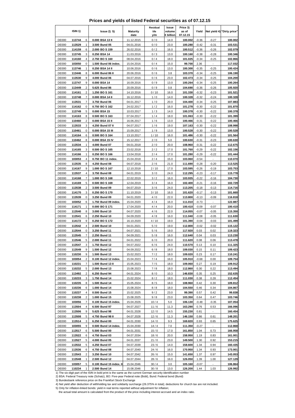## **Prices and yields of listed Federal securities as of 07.12.15**

|              |                                   |                         |                 | Residual | Issue     | Price 3) |         |         |                            |
|--------------|-----------------------------------|-------------------------|-----------------|----------|-----------|----------|---------|---------|----------------------------|
|              | ISIN <sub>1</sub> )               | lssue2) 5)              | <b>Maturity</b> | life     | volume    | as of    | Yield   |         | Net yield 4) "Dirty price" |
|              |                                   |                         | date            | y/m      | € billion | 07.12.15 |         |         |                            |
| <b>DE000</b> | 113744<br>6                       | 0.000 BSA 13 II         | 11.12.2015      | 0/0      | 14.0      | 100.002  | $-0.36$ | $-0.27$ | 100.002                    |
| <b>DE000</b> | 1<br>113529                       | 3.500 Bund 05           | 04.01.2016      | 0/0      | 23.0      | 100.280  | $-0.42$ | $-0.31$ | 103.531                    |
| <b>DE000</b> | 114159<br>6                       | 2.000 BO S 159          | 26.02.2016      | 0/2      | 16.0      | 100.512  | $-0.36$ | $-0.26$ | 102.079                    |
| <b>DE000</b> | 113745<br>3                       | 0.250 BSA 14            | 11.03.2016      | 0/3      | 13.0      | 100.160  | $-0.38$ | $-0.28$ | 100.346                    |
| <b>DE000</b> | 114160<br>$\overline{4}$          | 2.750 BOS 160           | 08.04.2016      | 0/4      | 18.0      | 101.025  | $-0.34$ | $-0.25$ | 102.866                    |
| <b>DE000</b> | 103050<br>0                       | 1.500 Bund 06 index.    | 15.04.2016      | 0/4      | 15.0      | 99.700   | 2.36    |         | 117.032                    |
| <b>DE000</b> | 1<br>113746                       | 0.250 BSA 14 II         | 10.06.2016      | 0/6      | 13.0      | 100.300  | $-0.35$ | $-0.25$ | 100.424                    |
| <b>DE000</b> | 113446<br>8                       | 6.000 Bund 86 II        | 20.06.2016      | 0/6      | 3.8       | 103.370  | $-0.34$ | $-0.25$ | 106.190                    |
| <b>DE000</b> |                                   |                         |                 |          |           |          |         |         |                            |
|              | 9<br>113530                       | 4.000 Bund 06           | 04.07.2016      | 0/6      | 23.0      | 102.473  | $-0.34$ | $-0.25$ | 104.200                    |
| <b>DE000</b> | 9<br>113747                       | 0.000 BSA 14            | 16.09.2016      | 0/9      | 13.0      | 100.264  | $-0.34$ | $-0.25$ | 100.264                    |
| <b>DE000</b> | $\sqrt{2}$<br>113449              | 5.625 Bund 86           | 20.09.2016      | 0/9      | 0.8       | 104.690  | $-0.36$ | $-0.26$ | 105.920                    |
| <b>DE000</b> | $\overline{2}$<br>114161          | 1.250 BO S 161          | 14.10.2016      | 0/10     | 16.0      | 101.330  | $-0.32$ | $-0.23$ | 101.521                    |
| <b>DE000</b> | 113748<br>$\overline{7}$          | 0.000 BSA 14 II         | 16.12.2016      | 1/0      | 14.0      | 100.328  | $-0.32$ | $-0.24$ | 100.328                    |
| <b>DE000</b> | 7<br>113531                       | 3.750 Bund 06           | 04.01.2017      | 1/0      | 20.0      | 104.400  | $-0.34$ | $-0.25$ | 107.883                    |
| <b>DE000</b> | 0<br>114162                       | 0.750 BOS 162           | 24.02.2017      | 1/2      | 16.0      | 101.278  | $-0.30$ | $-0.22$ | 101.870                    |
| <b>DE000</b> | 5<br>113749                       | 0.000 BSA 15            | 10.03.2017      | 1/3      | 14.0      | 100.378  | $-0.30$ | $-0.22$ | 100.378                    |
| <b>DE000</b> | 8<br>114163                       | 0.500 BO S 163          | 07.04.2017      | 1/4      | 18.0      | 101.063  | $-0.30$ | $-0.22$ | 101.399                    |
| <b>DE000</b> | 110460<br>$\overline{2}$          | 0.000 BSA 15 II         | 16.06.2017      | 1/6      | 13.0      | 100.466  | $-0.31$ | $-0.22$ | 100.466                    |
| <b>DE000</b> | 113533<br>3                       | 4.250 Bund 07 II        | 04.07.2017      | 1/6      | 19.0      | 107.163  | $-0.30$ | $-0.22$ | 108.998                    |
| <b>DE000</b> | 0<br>110461                       | 0.000 BSA 15 III        | 15.09.2017      | 1/9      | 13.0      | 100.528  | $-0.30$ | $-0.22$ | 100.528                    |
| <b>DE000</b> | 114164<br>6                       | 0.500 BO S 164          | 13.10.2017      | 1/10     | 16.0      | 101.486  | $-0.30$ | $-0.22$ | 101.564                    |
|              | 8                                 |                         | 15.12.2017      | 2/0      |           | 100.630  |         |         |                            |
| <b>DE000</b> | 110462                            | 0.000 BSA 15 IV         |                 |          | 5.0       |          | $-0.31$ | $-0.23$ | 100.630                    |
| <b>DE000</b> | 113534<br>1                       | 4.000 Bund 07           | 04.01.2018      | 2/0      | 20.0      | 108.960  | $-0.31$ | $-0.22$ | 112.675                    |
| <b>DE000</b> | 114165<br>3                       | 0.500 BO S 165          | 23.02.2018      | 2/2      | 17.0      | 101.760  | $-0.29$ | $-0.22$ | 102.156                    |
| <b>DE000</b> | 114166<br>$\mathbf{1}$            | 0.250 BO S 166          | 13.04.2018      | 2/4      | 17.0      | 101.280  | $-0.29$ | $-0.22$ | 101.444                    |
| <b>DE000</b> | $\overline{\mathbf{4}}$<br>103053 | 0.750 BO 11 index.      | 15.04.2018      | 2/4      | 15.0      | 103.060  | $-0.54$ |         | 110.070                    |
| <b>DE000</b> | 8<br>113535                       | 4.250 Bund 08           | 04.07.2018      | 2/6      | 21.0      | 111.690  | $-0.28$ | $-0.20$ | 113.525                    |
| <b>DE000</b> | 114167<br>9                       | 1.000 BO S 167          | 12.10.2018      | 2/10     | 17.0      | 103.595  | $-0.26$ | $-0.19$ | 103.753                    |
| <b>DE000</b> | 113537<br>4                       | 3.750 Bund 08           | 04.01.2019      | 3/0      | 24.0      | 112.295  | $-0.23$ | $-0.17$ | 115.778                    |
| <b>DE000</b> | $\overline{7}$<br>114168          | 1.000 BOS 168           | 22.02.2019      | 3/2      | 16.0      | 103.935  | $-0.22$ | $-0.16$ | 104.730                    |
| <b>DE000</b> | 5<br>114169                       | 0.500 BO S 169          | 12.04.2019      | 3/4      | 16.0      | 102.400  | $-0.21$ | $-0.16$ | 102.729                    |
| <b>DE000</b> | $\overline{2}$<br>113538          | 3.500 Bund 09           | 04.07.2019      | 3/6      | 24.0      | 113.205  | $-0.18$ | $-0.13$ | 114.716                    |
| <b>DE000</b> | 114170<br>3                       | 0.250 BO S 170          | 11.10.2019      | 3/10     | 16.0      | 101.620  | $-0.17$ | $-0.13$ | 101.660                    |
| <b>DE000</b> | 113539<br>0                       | 3.250 Bund 09           | 04.01.2020      | 4/0      | 22.0      | 113.800  | $-0.13$ | $-0.09$ | 116.818                    |
|              |                                   |                         |                 |          |           |          |         |         |                            |
| <b>DE000</b> | 103052<br>6<br>$\mathbf{1}$       | 1.750 Bund 09 index.    | 15.04.2020      | 4 / 4    | 16.0      | 111.010  | $-0.73$ |         | 122.887                    |
| <b>DE000</b> | 114171                            | 0.000 BOS171            | 17.04.2020      | 4 / 4    | 20.0      | 100.410  | $-0.09$ | $-0.07$ | 100.410                    |
| <b>DE000</b> | 8<br>113540                       | 3.000 Bund 10           | 04.07.2020      | 4/6      | 22.0      | 114.055  | $-0.07$ | $-0.05$ | 115.350                    |
| <b>DE000</b> | 113541<br>6                       | 2.250 Bund 10           | 04.09.2020      | 4/8      | 16.0      | 111.040  | $-0.08$ | $-0.05$ | 111.630                    |
| <b>DE000</b> | 9<br>114172                       | 0.250 BOS 172           | 16.10.2020      | 4/10     | 19.0      | 101.390  | $-0.04$ | $-0.03$ | 101.499                    |
| <b>DE000</b> | 4<br>113542                       | 2.500 Bund 10           | 04.01.2021      | 5/0      | 19.0      | 112.800  | $-0.02$ | $-0.02$ | 115.122                    |
| <b>DE000</b> | 0<br>113544                       | 3.250 Bund 11           | 04.07.2021      | 5/6      | 19.0      | 117.920  | 0.03    | 0.02    | 119.323                    |
| <b>DE000</b> | 7<br>113545                       | 2.250 Bund 11           | 04.09.2021      | 5/8      | 16.0      | 112.640  | 0.04    | 0.03    | 113.230                    |
| <b>DE000</b> | 113546<br>5                       | 2.000 Bund 11           | 04.01.2022      | 6/0      | 20.0      | 111.620  | 0.08    | 0.06    | 113.478                    |
| <b>DE000</b> | 113547<br>3                       | 1.750 Bund 12           | 04.07.2022      | 6/6      | 24.0      | 110.570  | 0.13    | 0.10    | 111.325                    |
| DE000        | 113549<br>9                       | 1.500 Bund 12           | 04.09.2022      | 6/8      | 18.0      | 109.030  | 0.15    | 0.11    | 109.423                    |
| <b>DE000</b> | 110230<br>9                       | 1.500 Bund 13           | 15.02.2023      | $7/2$    | 18.0      | 109.020  | 0.23    | 0.17    | 110.241                    |
|              |                                   |                         |                 |          |           |          |         |         |                            |
| DE000        | 103054<br>2                       | 0.100 Bund 12 index.    | 15.04.2023      | 7/4      | 16.0      | 105.910  | $-0.68$ | 0.00    | 109.754                    |
| <b>DE000</b> | 110231<br>7                       | 1.500 Bund 13 II        | 15.05.2023      | 7/5      | 18.0      | 109.060  | 0.27    | 0.19    | 109.912                    |
| <b>DE000</b> | 110232<br>5                       | 2.000 Bund 13           | 15.08.2023      | 7/8      | 18.0      | 112.860  | 0.30    | 0.22    | 113.494                    |
| DE000        | 113492<br>2                       | 6.250 Bund 94           | 04.01.2024      | 8/0      | 10.3      | 146.830  | 0.35    | 0.25    | 152.635                    |
| <b>DE000</b> | 110233<br>3                       | 1.750 Bund 14           | 15.02.2024      | 8/2      | 18.0      | 111.030  | 0.38    | 0.28    | 112.454                    |
| <b>DE000</b> | 110235<br>8                       | 1.500 Bund 14           | 15.05.2024      | 8/5      | 18.0      | 108.960  | 0.42    | 0.30    | 109.812                    |
| <b>DE000</b> | 110236<br>6                       | 1.000 Bund 14           | 15.08.2024      | 8/8      | 18.0      | 104.550  | 0.46    | 0.34    | 104.867                    |
| <b>DE000</b> | 110237<br>4                       | 0.500 Bund 15           | 15.02.2025      | 9/2      | 23.0      | 99.390   | 0.57    | 0.42    | 99.838                     |
| DE000        | 110238<br>2                       | 1.000 Bund 15           | 15.08.2025      | 9/8      | 23.0      | 103.350  | 0.64    | 0.47    | 103.746                    |
| <b>DE000</b> | $\boldsymbol{7}$<br>103056        | 0.100 Bund 15 index.    | 15.04.2026      | 10/4     | 5.0       | 106.130  | $-0.48$ | $-0.35$ | 107.054                    |
| <b>DE000</b> | 113504<br>4                       | 6.500 Bund 97           | 04.07.2027      | 11/6     | 11.3      | 163.290  | 0.76    | 0.53    | 166.096                    |
| <b>DE000</b> | 113506<br>9                       | 5.625 Bund 98           | 04.01.2028      | 12/0     | 14.5      | 155.230  | 0.81    |         | 160.454                    |
| <b>DE000</b> | 113508<br>5                       | 4.750 Bund 98 II        | 04.07.2028      | 12/6     | 11.3      | 146.150  | 0.86    | 0.61    | 148.201                    |
|              |                                   |                         |                 |          |           |          |         |         |                            |
| DE000        | 113514<br>3                       | 6.250 Bund 00           | 04.01.2030      | 14/0     | 9.3       | 169.820  | 0.93    | 0.65    | 175.625                    |
| <b>DE000</b> | 9<br>103055                       | 0.500 Bund 14 index.    | 15.04.2030      | 14/4     | 7.0       | 111.350  | $-0.27$ |         | 112.868                    |
| DE000        | 113517<br>6                       | 5.500 Bund 00           | 04.01.2031      | 15/0     | 17.0      | 161.850  | 1.04    | 0.73    | 166.958                    |
| <b>DE000</b> | 113522<br>6                       | 4.750 Bund 03           | 04.07.2034      | 18/6     | 20.0      | 158.950  | 1.19    | 0.83    | 161.001                    |
| <b>DE000</b> | 113527<br>5                       | 4.000 Bund 05           | 04.01.2037      | 21/0     | 23.0      | 149.500  | 1.30    | 0.92    | 153.215                    |
| DE000        | 113532<br>5                       | 4.250 Bund 07           | 04.07.2039      | 23/6     | 14.0      | 158.600  | 1.34    | 0.94    | 160.435                    |
| <b>DE000</b> | 6<br>113536                       | 4.750 Bund 08           | 04.07.2040      | 24/6     | 16.0      | 170.950  | 1.34    | 0.93    | 173.001                    |
| <b>DE000</b> | 113543<br>2                       | 3.250 Bund 10           | 04.07.2042      | 26/6     | 15.0      | 141.650  | 1.37    | 0.97    | 143.053                    |
| DE000        | 113548<br>1                       | 2.500 Bund 12           | 04.07.2044      | 28/6     | 16.0      | 126.050  | 1.39    | 1.00    | 127.129                    |
| <b>DE000</b> | 103057<br>5                       | 0.100 Bund 15 index. II | 15.04.2046      | 30/4     | 3.0       | 105.160  | $-0.07$ |         | 106.864                    |
| DE000        | 110234<br>1                       | 2.500 Bund 14           | 15.08.2046      | 30/8     | 13.0      | 126.200  | 1.44    | 1.03    | 126.992                    |

1) The six-digit part of the ISIN in bold print is the same as the current German security identification number 2) BSA: Federal Treasury note (Schatz), BO: Five-year Federal note (Bobl), Bund: Federal bond (Bund)

3) Bundesbank reference price on the Frankfurt Stock Exchange 4) Net yield after deduction of withholding tax and solidarity surcharge (26.375% in total); deductions for church tax are not included.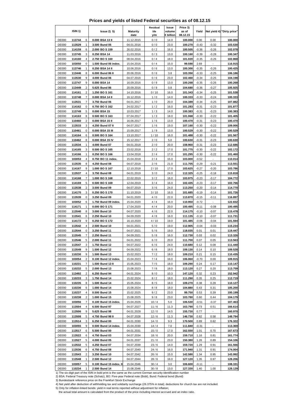## **Prices and yields of listed Federal securities as of 08.12.15**

|              |                                   |                         |                 | Residual | Issue     | Price 3) |         |         |                            |
|--------------|-----------------------------------|-------------------------|-----------------|----------|-----------|----------|---------|---------|----------------------------|
|              | ISIN <sub>1</sub> )               | lssue2) 5)              | <b>Maturity</b> | life     | volume    | as of    | Yield   |         | Net yield 4) "Dirty price" |
|              |                                   |                         | date            | y/m      | € billion | 08.12.15 |         |         |                            |
| <b>DE000</b> | 113744<br>6                       | 0.000 BSA 13 II         | 11.12.2015      | 0/0      | 14.0      | 100.000  | 0.00    | 0.00    | 100.000                    |
| <b>DE000</b> | 1<br>113529                       | 3.500 Bund 05           | 04.01.2016      | 0/0      | 23.0      | 100.270  | $-0.43$ | $-0.32$ | 103.530                    |
| <b>DE000</b> | 114159<br>6                       | 2.000 BO S 159          | 26.02.2016      | 0/2      | 16.0      | 100.505  | $-0.36$ | $-0.26$ | 102.078                    |
| <b>DE000</b> | 113745<br>3                       | 0.250 BSA 14            | 11.03.2016      | 0/3      | 13.0      | 100.160  | $-0.39$ | $-0.28$ | 100.347                    |
| <b>DE000</b> | 114160<br>$\overline{4}$          | 2.750 BO S 160          | 08.04.2016      | 0/4      | 18.0      | 101.020  | $-0.35$ | $-0.26$ | 102.868                    |
| <b>DE000</b> | 103050<br>0                       | 1.500 Bund 06 index.    | 15.04.2016      | 0/4      | 15.0      | 99.590   | 2.69    |         | 116.915                    |
| <b>DE000</b> | 1<br>113746                       | 0.250 BSA 14 II         | 10.06.2016      | 0/6      | 13.0      | 100.300  | $-0.35$ | $-0.26$ | 100.425                    |
| <b>DE000</b> | 113446<br>8                       | 6.000 Bund 86 II        | 20.06.2016      | 0/6      | 3.8       | 103.350  | $-0.33$ | $-0.25$ | 106.186                    |
|              |                                   |                         |                 |          |           |          |         |         |                            |
| <b>DE000</b> | 9<br>113530                       | 4.000 Bund 06           | 04.07.2016      | 0/6      | 23.0      | 102.460  | $-0.34$ | $-0.25$ | 104.198                    |
| <b>DE000</b> | 9<br>113747                       | 0.000 BSA 14            | 16.09.2016      | 0/9      | 13.0      | 100.268  | $-0.35$ | $-0.26$ | 100.268                    |
| <b>DE000</b> | $\sqrt{2}$<br>113449              | 5.625 Bund 86           | 20.09.2016      | 0/9      | 0.8       | 104.680  | $-0.36$ | $-0.27$ | 105.925                    |
| <b>DE000</b> | $\overline{2}$<br>114161          | 1.250 BO S 161          | 14.10.2016      | 0/10     | 16.0      | 101.343  | $-0.34$ | $-0.25$ | 101.538                    |
| <b>DE000</b> | 113748<br>$\overline{7}$          | 0.000 BSA 14 II         | 16.12.2016      | 1/0      | 14.0      | 100.333  | $-0.33$ | $-0.24$ | 100.333                    |
| <b>DE000</b> | 7<br>113531                       | 3.750 Bund 06           | 04.01.2017      | 1/0      | 20.0      | 104.389  | $-0.34$ | $-0.25$ | 107.882                    |
| <b>DE000</b> | 0<br>114162                       | 0.750 BOS162            | 24.02.2017      | 1/2      | 16.0      | 101.283  | $-0.31$ | $-0.23$ | 101.877                    |
| <b>DE000</b> | 5<br>113749                       | 0.000 BSA 15            | 10.03.2017      | 1/3      | 14.0      | 100.383  | $-0.31$ | $-0.23$ | 100.383                    |
| <b>DE000</b> | 8<br>114163                       | 0.500 BO S 163          | 07.04.2017      | 1/3      | 18.0      | 101.068  | $-0.30$ | $-0.22$ | 101.405                    |
| <b>DE000</b> | 110460<br>$\overline{2}$          | 0.000 BSA 15 II         | 16.06.2017      | 1/6      | 13.0      | 100.470  | $-0.31$ | $-0.23$ | 100.470                    |
| <b>DE000</b> | 113533<br>3                       | 4.250 Bund 07 II        | 04.07.2017      | 1/6      | 19.0      | 107.160  | $-0.30$ | $-0.22$ | 109.006                    |
| <b>DE000</b> | 0<br>110461                       | 0.000 BSA 15 III        | 15.09.2017      | 1/9      | 13.0      | 100.529  | $-0.30$ | $-0.22$ | 100.529                    |
| <b>DE000</b> | 114164<br>6                       | 0.500 BO S 164          | 13.10.2017      | 1/10     | 16.0      | 101.488  | $-0.30$ | $-0.22$ | 101.567                    |
|              | 8                                 |                         | 15.12.2017      | 2/0      |           | 100.630  |         |         |                            |
| <b>DE000</b> | 110462                            | 0.000 BSA 15 IV         |                 |          | 5.0       |          | $-0.31$ | $-0.23$ | 100.630                    |
| <b>DE000</b> | 113534<br>1                       | 4.000 Bund 07           | 04.01.2018      | 2/0      | 20.0      | 108.960  | $-0.31$ | $-0.23$ | 112.686                    |
| <b>DE000</b> | 114165<br>3                       | 0.500 BOS 165           | 23.02.2018      | 2/2      | 17.0      | 101.775  | $-0.30$ | $-0.22$ | 102.172                    |
| <b>DE000</b> | 114166<br>$\mathbf{1}$            | 0.250 BO S 166          | 13.04.2018      | 2/4      | 17.0      | 101.295  | $-0.30$ | $-0.22$ | 101.460                    |
| <b>DE000</b> | $\overline{\mathbf{4}}$<br>103053 | 0.750 BO 11 index.      | 15.04.2018      | 2/4      | 15.0      | 103.000  | $-0.52$ |         | 110.014                    |
| <b>DE000</b> | 8<br>113535                       | 4.250 Bund 08           | 04.07.2018      | 2/6      | 21.0      | 111.705  | $-0.29$ | $-0.21$ | 113.551                    |
| <b>DE000</b> | 114167<br>9                       | 1.000 BO S 167          | 12.10.2018      | 2/10     | 17.0      | 103.625  | $-0.27$ | $-0.20$ | 103.786                    |
| <b>DE000</b> | 113537<br>4                       | 3.750 Bund 08           | 04.01.2019      | 3/0      | 24.0      | 112.325  | $-0.25$ | $-0.18$ | 115.818                    |
| DE000        | $\overline{7}$<br>114168          | 1.000 BOS 168           | 22.02.2019      | 3/2      | 16.0      | 103.975  | $-0.23$ | $-0.17$ | 104.772                    |
| <b>DE000</b> | 5<br>114169                       | 0.500 BO S 169          | 12.04.2019      | 3/4      | 16.0      | 102.435  | $-0.23$ | $-0.17$ | 102.766                    |
| <b>DE000</b> | $\overline{\mathbf{c}}$<br>113538 | 3.500 Bund 09           | 04.07.2019      | 3/6      | 24.0      | 113.250  | $-0.20$ | $-0.14$ | 114.770                    |
| <b>DE000</b> | 114170<br>3                       | 0.250 BO S 170          | 11.10.2019      | 3/10     | 16.0      | 101.685  | $-0.19$ | $-0.14$ | 101.726                    |
| <b>DE000</b> | 113539<br>0                       | 3.250 Bund 09           | 04.01.2020      | 4/0      | 22.0      | 113.870  | $-0.15$ | $-0.11$ | 116.897                    |
|              |                                   |                         |                 |          |           |          |         | ä,      |                            |
| DE000        | 103052<br>6<br>$\mathbf{1}$       | 1.750 Bund 09 index.    | 15.04.2020      | 4 / 4    | 16.0      | 110.950  | $-0.72$ |         | 122.832                    |
| <b>DE000</b> | 114171                            | 0.000 BO S 171          | 17.04.2020      | 4 / 4    | 20.0      | 100.495  | $-0.11$ | $-0.08$ | 100.495                    |
| <b>DE000</b> | 8<br>113540                       | 3.000 Bund 10           | 04.07.2020      | 4/6      | 22.0      | 114.175  | $-0.10$ | $-0.07$ | 115.478                    |
| <b>DE000</b> | 113541<br>6                       | 2.250 Bund 10           | 04.09.2020      | 4/8      | 16.0      | 111.135  | $-0.10$ | $-0.07$ | 111.731                    |
| <b>DE000</b> | 9<br>114172                       | 0.250 BOS 172           | 16.10.2020      | 4/10     | 19.0      | 101.485  | $-0.06$ | $-0.04$ | 101.594                    |
| DE000        | 4<br>113542                       | 2.500 Bund 10           | 04.01.2021      | 5/0      | 19.0      | 112.905  | $-0.04$ | $-0.03$ | 115.234                    |
| <b>DE000</b> | 0<br>113544                       | 3.250 Bund 11           | 04.07.2021      | 5/6      | 19.0      | 118.035  | 0.01    | 0.01    | 119.447                    |
| <b>DE000</b> | 7<br>113545                       | 2.250 Bund 11           | 04.09.2021      | 5/8      | 16.0      | 112.730  | 0.03    | 0.02    | 113.326                    |
| <b>DE000</b> | 113546<br>5                       | 2.000 Bund 11           | 04.01.2022      | 6/0      | 20.0      | 111.700  | 0.07    | 0.05    | 113.563                    |
| <b>DE000</b> | 113547<br>3                       | 1.750 Bund 12           | 04.07.2022      | 6/6      | 24.0      | 110.680  | 0.12    | 0.08    | 111.440                    |
| DE000        | 113549<br>9                       | 1.500 Bund 12           | 04.09.2022      | 6/8      | 18.0      | 109.130  | 0.14    | 0.10    | 109.528                    |
| <b>DE000</b> | 110230<br>9                       | 1.500 Bund 13           | 15.02.2023      | $7/2$    | 18.0      | 109.210  | 0.21    | 0.15    | 110.435                    |
| DE000        | 103054<br>2                       | 0.100 Bund 12 index.    |                 | 7/4      |           | 106.060  | $-0.70$ |         | 109.915                    |
|              |                                   |                         | 15.04.2023      |          | 16.0      |          |         | 0.00    |                            |
| <b>DE000</b> | 110231<br>7                       | 1.500 Bund 13 II        | 15.05.2023      | 7/5      | 18.0      | 109.290  | 0.24    | 0.17    | 110.147                    |
| <b>DE000</b> | 110232<br>5                       | 2.000 Bund 13           | 15.08.2023      | 7/8      | 18.0      | 113.120  | 0.27    | 0.20    | 113.759                    |
| <b>DE000</b> | 113492<br>2                       | 6.250 Bund 94           | 04.01.2024      | 8/0      | 10.3      | 147.120  | 0.32    | 0.23    | 152.942                    |
| <b>DE000</b> | 110233<br>3                       | 1.750 Bund 14           | 15.02.2024      | 8/2      | 18.0      | 111.290  | 0.35    | 0.25    | 112.719                    |
| <b>DE000</b> | 110235<br>8                       | 1.500 Bund 14           | 15.05.2024      | 8/5      | 18.0      | 109.270  | 0.38    | 0.28    | 110.127                    |
| <b>DE000</b> | 110236<br>6                       | 1.000 Bund 14           | 15.08.2024      | 8/8      | 18.0      | 104.880  | 0.43    | 0.31    | 105.200                    |
| <b>DE000</b> | 110237<br>4                       | 0.500 Bund 15           | 15.02.2025      | 9/2      | 23.0      | 99.750   | 0.53    | 0.39    | 100.199                    |
| <b>DE000</b> | 110238<br>2                       | 1.000 Bund 15           | 15.08.2025      | 9/8      | 23.0      | 103.780  | 0.60    | 0.44    | 104.179                    |
| <b>DE000</b> | $\boldsymbol{7}$<br>103056        | 0.100 Bund 15 index.    | 15.04.2026      | 10/4     | 5.0       | 106.530  | $-0.51$ | $-0.37$ | 107.463                    |
| <b>DE000</b> | 113504<br>4                       | 6.500 Bund 97           | 04.07.2027      | 11/6     | 11.3      | 163.790  | 0.73    | 0.51    | 166.614                    |
| <b>DE000</b> | 113506<br>9                       | 5.625 Bund 98           | 04.01.2028      | 12/0     | 14.5      | 155.730  | 0.77    |         | 160.970                    |
| <b>DE000</b> | 113508<br>5                       | 4.750 Bund 98 II        | 04.07.2028      | 12/6     | 11.3      | 146.730  | 0.82    | 0.58    | 148.794                    |
|              |                                   |                         |                 |          |           |          |         |         |                            |
| DE000        | 113514<br>3                       | 6.250 Bund 00           | 04.01.2030      | 14/0     | 9.3       | 170.500  | 0.89    | 0.62    | 176.322                    |
| <b>DE000</b> | 9<br>103055                       | 0.500 Bund 14 index.    | 15.04.2030      | 14/4     | 7.0       | 111.840  | $-0.31$ |         | 113.369                    |
| DE000        | 113517<br>6                       | 5.500 Bund 00           | 04.01.2031      | 15/0     | 17.0      | 162.550  | 1.01    | 0.70    | 167.673                    |
| <b>DE000</b> | 113522<br>6                       | 4.750 Bund 03           | 04.07.2034      | 18/6     | 20.0      | 159.710  | 1.16    | 0.81    | 161.774                    |
| <b>DE000</b> | 113527<br>5                       | 4.000 Bund 05           | 04.01.2037      | 21/0     | 23.0      | 150.380  | 1.26    | 0.89    | 154.106                    |
| DE000        | 113532<br>5                       | 4.250 Bund 07           | 04.07.2039      | 23/6     | 14.0      | 159.720  | 1.29    | 0.91    | 161.566                    |
| <b>DE000</b> | 6<br>113536                       | 4.750 Bund 08           | 04.07.2040      | 24/6     | 16.0      | 171.940  | 1.31    | 0.91    | 174.004                    |
| <b>DE000</b> | 113543<br>2                       | 3.250 Bund 10           | 04.07.2042      | 26/6     | 15.0      | 142.580  | 1.34    | 0.95    | 143.992                    |
| DE000        | 113548<br>1                       | 2.500 Bund 12           | 04.07.2044      | 28/6     | 16.0      | 127.120  | 1.35    | 0.97    | 128.206                    |
| <b>DE000</b> | 103057<br>5                       | 0.100 Bund 15 index. II | 15.04.2046      | 30/4     | 3.0       | 106.600  | $-0.11$ |         | 108.331                    |
| DE000        | 110234<br>1                       | 2.500 Bund 14           | 15.08.2046      | 30/8     | 13.0      | 127.330  | 1.40    | 1.00    | 128.129                    |

1) The six-digit part of the ISIN in bold print is the same as the current German security identification number 2) BSA: Federal Treasury note (Schatz), BO: Five-year Federal note (Bobl), Bund: Federal bond (Bund)

3) Bundesbank reference price on the Frankfurt Stock Exchange 4) Net yield after deduction of withholding tax and solidarity surcharge (26.375% in total); deductions for church tax are not included.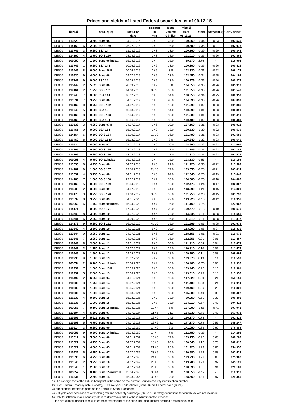|  |  | Prices and yields of listed Federal securities as of 09.12.15 |  |
|--|--|---------------------------------------------------------------|--|
|--|--|---------------------------------------------------------------|--|

|                              | ISIN <sub>1</sub> ) |                | lssue2)5)                               | <b>Maturity</b>          | Residual<br>life | Issue<br>volume | Price 3)<br>as of  | Yield              |                    | Net yield 4) "Dirty price" |
|------------------------------|---------------------|----------------|-----------------------------------------|--------------------------|------------------|-----------------|--------------------|--------------------|--------------------|----------------------------|
|                              |                     |                |                                         | date                     | y/m              | € billion       | 09.12.15           |                    |                    |                            |
| <b>DE000</b>                 | 113529              | 1              | 3.500 Bund 05                           | 04.01.2016               | 0/0              | 23.0            | 100.260            | $-0.44$            | $-0.33$            | 103.530                    |
| <b>DE000</b>                 | 114159              | 6              | 2.000 BOS 159                           | 26.02.2016               | 0/2              | 16.0            | 100.500            | $-0.36$            | $-0.27$            | 102.078                    |
| <b>DE000</b>                 | 113745              | 3              | 0.250 BSA 14                            | 11.03.2016               | 0/3              | 13.0            | 100.160            | $-0.39$            | $-0.29$            | 100.348                    |
| <b>DE000</b>                 | 114160              | 4<br>0         | 2.750 BOS 160                           | 08.04.2016               | 0/3<br>0/4       | 18.0            | 101.010            | $-0.35$            | $-0.26$            | 102.866                    |
| DE000<br><b>DE000</b>        | 103050<br>113746    | 1              | 1.500 Bund 06 index.<br>0.250 BSA 14 II | 15.04.2016<br>10.06.2016 | 0/6              | 15.0<br>13.0    | 99.570<br>100.300  | 2.76<br>$-0.35$    | $-0.26$            | 116.902<br>100.426         |
| <b>DE000</b>                 | 113446              | 8              | 6.000 Bund 86 II                        | 20.06.2016               | 0/6              | 3.8             | 103.320            | $-0.31$            | $-0.23$            | 106.172                    |
| DE000                        | 113530              | 9              | 4.000 Bund 06                           | 04.07.2016               | 0/6              | 23.0            | 102.450            | $-0.34$            | $-0.25$            | 104.199                    |
| <b>DE000</b>                 | 113747              | 9              | 0.000 BSA 14                            | 16.09.2016               | 0/9              | 13.0            | 100.275            | $-0.36$            | $-0.26$            | 100.275                    |
| <b>DE000</b>                 | 113449              | 2              | 5.625 Bund 86                           | 20.09.2016               | 0/9              | 0.8             | 104.650            | $-0.35$            | $-0.26$            | 105.910                    |
| <b>DE000</b>                 | 114161              | 2              | 1.250 BOS 161                           | 14.10.2016               | 0/10             | 16.0            | 101.350            | $-0.35$            | $-0.26$            | 101.548                    |
| <b>DE000</b>                 | 113748              | 7              | 0.000 BSA 14 II                         | 16.12.2016               | 1/0              | 14.0            | 100.350            | $-0.34$            | $-0.25$            | 100.350                    |
| <b>DE000</b>                 | 113531              | $\overline{7}$ | 3.750 Bund 06                           | 04.01.2017               | 1/0              | 20.0            | 104.390            | $-0.35$            | $-0.26$            | 107.893                    |
| <b>DE000</b>                 | 114162              | 0              | 0.750 BOS 162                           | 24.02.2017               | 1/2              | 16.0            | 101.290            | $-0.32$            | $-0.23$            | 101.886                    |
| <b>DE000</b>                 | 113749              | 5              | 0.000 BSA 15                            | 10.03.2017               | 1/3              | 14.0            | 100.390            | $-0.31$            | $-0.23$            | 100.390                    |
| <b>DE000</b>                 | 114163              | 8              | 0.500 BOS 163                           | 07.04.2017               | 1/3              | 18.0            | 101.080            | $-0.31$            | $-0.23$            | 101.419                    |
| <b>DE000</b>                 | 110460              | 2              | 0.000 BSA 15 II                         | 16.06.2017               | 1/6              | 13.0            | 100.480            | $-0.32$            | $-0.23$            | 100.480                    |
| <b>DE000</b>                 | 113533              | 3              | 4.250 Bund 07 II                        | 04.07.2017               | 1/6              | 19.0            | 107.160            | $-0.31$            | $-0.23$            | 109.018                    |
| <b>DE000</b><br><b>DE000</b> | 110461              | 0<br>6         | 0.000 BSA 15 III<br>0.500 BOS 164       | 15.09.2017               | 1/9              | 13.0            | 100.539            | $-0.30$            | $-0.22$            | 100.539                    |
| <b>DE000</b>                 | 114164<br>110462    | 8              | 0.000 BSA 15 IV                         | 13.10.2017<br>15.12.2017 | 1/10<br>2/0      | 16.0<br>8.0     | 101.499<br>100.640 | $-0.31$<br>$-0.32$ | $-0.23$<br>$-0.23$ | 101.580<br>100.640         |
| <b>DE000</b>                 | 113534              | 1              | 4.000 Bund 07                           | 04.01.2018               | 2/0              | 20.0            | 108.960            | $-0.32$            | $-0.23$            | 112.697                    |
| <b>DE000</b>                 | 114165              | 3              | 0.500 BOS 165                           | 23.02.2018               | 2/2              | 17.0            | 101.785            | $-0.31$            | $-0.23$            | 102.184                    |
| <b>DE000</b>                 | 114166              | 1              | 0.250 BOS 166                           | 13.04.2018               | 2/4              | 17.0            | 101.310            | $-0.31$            | $-0.23$            | 101.475                    |
| <b>DE000</b>                 | 103053              | 4              | 0.750 BO 11 index.                      | 15.04.2018               | 2/4              | 15.0            | 103.130            | $-0.57$            |                    | 110.159                    |
| <b>DE000</b>                 | 113535              | 8              | 4.250 Bund 08                           | 04.07.2018               | 2/6              | 21.0            | 111.725            | $-0.30$            | $-0.22$            | 113.583                    |
| <b>DE000</b>                 | 114167              | 9              | 1.000 BOS 167                           | 12.10.2018               | 2/10             | 17.0            | 103.650            | $-0.28$            | $-0.21$            | 103.814                    |
| <b>DE000</b>                 | 113537              | 4              | 3.750 Bund 08                           | 04.01.2019               | 3/0              | 24.0            | 112.345            | $-0.26$            | $-0.19$            | 115.848                    |
| <b>DE000</b>                 | 114168              | 7              | 1.000 BOS 168                           | 22.02.2019               | 3/2              | 16.0            | 104.005            | $-0.25$            | $-0.18$            | 104.805                    |
| <b>DE000</b>                 | 114169              | 5              | 0.500 BOS 169                           | 12.04.2019               | 3/4              | 16.0            | 102.475            | $-0.24$            | $-0.17$            | 102.807                    |
| <b>DE000</b>                 | 113538              | 2              | 3.500 Bund 09                           | 04.07.2019               | 3/6              | 24.0            | 113.290            | $-0.21$            | $-0.15$            | 114.820                    |
| <b>DE000</b>                 | 114170              | 3              | 0.250 BOS 170                           | 11.10.2019               | 3/10             | 16.0            | 101.750            | $-0.20$            | $-0.15$            | 101.792                    |
| <b>DE000</b>                 | 113539              | 0              | 3.250 Bund 09                           | 04.01.2020               | 4/0              | 22.0            | 113.920            | $-0.16$            | $-0.12$            | 116.956                    |
| <b>DE000</b><br><b>DE000</b> | 103052<br>114171    | 6<br>1         | 1.750 Bund 09 index.<br>0.000 BOS 171   | 15.04.2020<br>17.04.2020 | 4/4<br>4/4       | 16.0<br>20.0    | 111.150<br>100.570 | $-0.76$<br>$-0.13$ | $-0.10$            | 123.062<br>100.570         |
| <b>DE000</b>                 | 113540              | 8              | 3.000 Bund 10                           | 04.07.2020               | 4/6              | 22.0            | 114.245            | $-0.11$            | $-0.08$            | 115.556                    |
| <b>DE000</b>                 | 113541              | 6              | 2.250 Bund 10                           | 04.09.2020               | 4/8              | 16.0            | 111.210            | $-0.11$            | $-0.08$            | 111.812                    |
| <b>DE000</b>                 | 114172              | 9              | 0.250 BOS 172                           | 16.10.2020               | 4/10             | 19.0            | 101.565            | $-0.07$            | $-0.05$            | 101.675                    |
| <b>DE000</b>                 | 113542              | 4              | 2.500 Bund 10                           | 04.01.2021               | 5/0              | 19.0            | 113.000            | $-0.06$            | $-0.04$            | 115.336                    |
| <b>DE000</b>                 | 113544              | 0              | 3.250 Bund 11                           | 04.07.2021               | 5/6              | 19.0            | 118.155            | $-0.01$            | $-0.01$            | 119.576                    |
| <b>DE000</b>                 | 113545              | $\overline{7}$ | 2.250 Bund 11                           | 04.09.2021               | 5/8              | 16.0            | 112.855            | 0.01               | 0.01               | 113.457                    |
| <b>DE000</b>                 | 113546              | 5              | 2.000 Bund 11                           | 04.01.2022               | 6/0              | 20.0            | 111.810            | 0.05               | 0.04               | 113.678                    |
| <b>DE000</b>                 | 113547              | 3              | 1.750 Bund 12                           | 04.07.2022               | 6/6              | 24.0            | 110.810            | 0.10               | 0.07               | 111.575                    |
| <b>DE000</b>                 | 113549              | 9              | 1.500 Bund 12                           | 04.09.2022               | 6/8              | 18.0            | 109.290            | 0.11               | 0.08               | 109.692                    |
| <b>DE000</b>                 | 110230              | 9              | 1.500 Bund 13                           | 15.02.2023               | 7/2              | 18.0            | 109.370            | 0.19               | 0.14               | 110.599                    |
| <b>DE000</b>                 | 103054              | 2              | 0.100 Bund 12 index.                    | 15.04.2023               | 7/4              | 16.0            | 106.460            | $-0.75$            | 0.00               | 110.335                    |
| <b>DE000</b>                 | 110231              | $\overline{7}$ | 1.500 Bund 13 II                        | 15.05.2023               | $7/5$            | 18.0            | 109.440            | 0.22               | 0.16               | 110.301                    |
| <b>DE000</b>                 | 110232              | 5              | 2.000 Bund 13                           | 15.08.2023               | 7/8              | 18.0            | 113.310            | 0.25               | 0.18               | 113.955                    |
| <b>DE000</b><br><b>DE000</b> | 113492<br>110233    | 2<br>3         | 6.250 Bund 94<br>1.750 Bund 14          | 04.01.2024<br>15.02.2024 | 8/0<br>8/2       | 10.3<br>18.0    | 147.320<br>111.480 | 0.30<br>0.33       | 0.21<br>0.24       | 153.159<br>112.914         |
| <b>DE000</b>                 | 110235              | 8              | 1.500 Bund 14                           | 15.05.2024               | 8/5              | 18.0            | 109.460            | 0.36               | 0.26               | 110.321                    |
| <b>DE000</b>                 | 110236              | 6              | 1.000 Bund 14                           | 15.08.2024               | 8/8              | 18.0            | 105.080            | 0.40               | 0.30               | 105.402                    |
| <b>DE000</b>                 | 110237              | 4              | 0.500 Bund 15                           | 15.02.2025               | 9/2              | 23.0            | 99.950             | 0.51               | 0.37               | 100.401                    |
| <b>DE000</b>                 | 110238              | 2              | 1.000 Bund 15                           | 15.08.2025               | 9/8              | 23.0            | 104.010            | 0.57               | 0.42               | 104.412                    |
| <b>DE000</b>                 | 103056              | 7              | 0.100 Bund 15 index.                    | 15.04.2026               | 10/4             | 5.0             | 107.000            | $-0.56$            | -0.41              | 107.942                    |
| <b>DE000</b>                 | 113504              | 4              | 6.500 Bund 97                           | 04.07.2027               | 11/6             | 11.3            | 164.230            | 0.70               | 0.49               | 167.072                    |
| <b>DE000</b>                 | 113506              | 9              | 5.625 Bund 98                           | 04.01.2028               | 12/0             | 14.5            | 156.170            | 0.74               | $\sim$             | 161.425                    |
| <b>DE000</b>                 | 113508              | 5              | 4.750 Bund 98 II                        | 04.07.2028               | 12/6             | 11.3            | 147.170            | 0.79               | 0.56               | 149.247                    |
| <b>DE000</b>                 | 113514              | 3              | 6.250 Bund 00                           | 04.01.2030               | 14/0             | 9.3             | 171.050            | 0.86               | 0.60               | 176.889                    |
| <b>DE000</b>                 | 103055              | 9              | 0.500 Bund 14 index.                    | 15.04.2030               | 14/4             | 7.0             | 112.750            | $-0.36$            | $\blacksquare$     | 114.296                    |
| <b>DE000</b>                 | 113517              | 6              | 5.500 Bund 00                           | 04.01.2031               | 15/0             | 17.0            | 163.150            | 0.97               | 0.68               | 168.288                    |
| <b>DE000</b>                 | 113522              | 6              | 4.750 Bund 03<br>4.000 Bund 05          | 04.07.2034               | 18/6             | 20.0            | 160.540            | 1.12               | 0.78               | 162.617                    |
| <b>DE000</b><br><b>DE000</b> | 113527<br>113532    | 5<br>5         | 4.250 Bund 07                           | 04.01.2037<br>04.07.2039 | 21/0<br>23/6     | 23.0<br>14.0    | 151.220<br>160.680 | 1.23<br>1.26       | 0.86<br>0.88       | 154.957<br>162.538         |
| <b>DE000</b>                 | 113536              | 6              | 4.750 Bund 08                           | 04.07.2040               | 24/6             | 16.0            | 173.230            | 1.26               | 0.88               | 175.307                    |
| <b>DE000</b>                 | 113543              | 2              | 3.250 Bund 10                           | 04.07.2042               | 26/6             | 15.0            | 143.700            | 1.29               | 0.92               | 145.121                    |
| <b>DE000</b>                 | 113548              | 1              | 2.500 Bund 12                           | 04.07.2044               | 28/6             | 16.0            | 128.090            | 1.31               | 0.94               | 129.183                    |
| <b>DE000</b>                 | 103057              | 5              | 0.100 Bund 15 index. II                 | 15.04.2046               | 30/4             | 3.0             | 108.550            | $-0.17$            |                    | 110.318                    |
| <b>DE000</b>                 | 110234              | $\mathbf{1}$   | 2.500 Bund 14                           | 15.08.2046               | 30/8             | 13.0            | 128.550            | 1.36               | 0.97               | 129.356                    |

2) BSA: Federal Treasury note (Schatz), BO: Five-year Federal note (Bobl), Bund: Federal bond (Bund)

3) Bundesbank reference price on the Frankfurt Stock Exchange

4) Net yield after deduction of withholding tax and solidarity surcharge (26.375% in total); deductions for church tax are not included.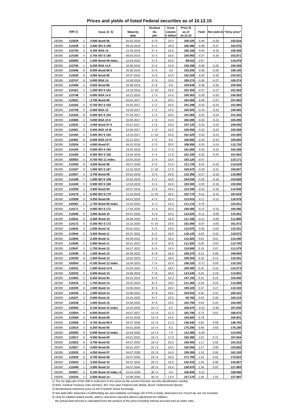**Prices and yields of listed Federal securities as of 10.12.15**

|                              | ISIN <sub>1</sub> ) |                     | lssue2)5)                             | <b>Maturity</b>          | Residual<br>life | Issue<br>volume | Price 3)<br>as of  | Yield              |                           | Net yield 4) "Dirty price" |
|------------------------------|---------------------|---------------------|---------------------------------------|--------------------------|------------------|-----------------|--------------------|--------------------|---------------------------|----------------------------|
|                              |                     |                     |                                       | date                     | y/m              | € billion       | 10.12.15           |                    |                           |                            |
| <b>DE000</b>                 | 113529              | 1                   | 3.500 Bund 05                         | 04.01.2016               | 0/0              | 23.0            | 100.225            | $-0.40$            | $-0.29$                   | 103.524                    |
| <b>DE000</b>                 | 114159              | 6                   | 2.000 BOS 159                         | 26.02.2016               | 0/2              | 16.0            | 100.480            | $-0.36$            | $-0.27$                   | 102.075                    |
| <b>DE000</b>                 | 113745              | 3                   | 0.250 BSA 14                          | 11.03.2016               | 0/3              | 13.0            | 100.168            | $-0.45$            | $-0.33$                   | 100.358                    |
| <b>DE000</b>                 | 114160              | 4                   | 2.750 BOS 160                         | 08.04.2016               | 0/3              | 18.0            | 100.993            | $-0.37$            | $-0.28$                   | 102.871                    |
| <b>DE000</b>                 | 103050              | 0                   | 1.500 Bund 06 index.                  | 15.04.2016               | 0/4              | 15.0            | 99.610             | 2.67               |                           | 116.979                    |
| <b>DE000</b>                 | 113746              | 1                   | 0.250 BSA 14 II                       | 10.06.2016               | 0/6              | 13.0            | 100.298            | $-0.36$            | $-0.26$                   | 100.426                    |
| <b>DE000</b>                 | 113446              | 8                   | 6.000 Bund 86 II                      | 20.06.2016               | 0/6              | 3.8             | 103.293            | $-0.35$            | $-0.26$                   | 106.195                    |
| <b>DE000</b>                 | 113530              | 9                   | 4.000 Bund 06                         | 04.07.2016               | 0/6              | 23.0            | 102.420            | $-0.35$            | $-0.26$                   | 104.201                    |
| <b>DE000</b>                 | 113747              | 9                   | 0.000 BSA 14                          | 16.09.2016               | 0/9              | 13.0            | 100.274            | $-0.36$            | $-0.27$                   | 100.274                    |
| <b>DE000</b>                 | 113449              | 2                   | 5.625 Bund 86                         | 20.09.2016               | 0/9              | 0.8             | 104.630            | $-0.38$            | $-0.28$                   | 105.936                    |
| <b>DE000</b>                 | 114161              | $\overline{2}$      | 1.250 BOS 161                         | 14.10.2016               | 0/10             | 16.0            | 101.355            | $-0.37$            | $-0.27$                   | 101.563                    |
| <b>DE000</b>                 | 113748              | 7<br>$\overline{7}$ | 0.000 BSA 14 II                       | 16.12.2016               | 1/0              | 14.0            | 100.363            | $-0.36$            | $-0.26$                   | 100.363                    |
| <b>DE000</b><br><b>DE000</b> | 113531<br>114162    | 0                   | 3.750 Bund 06<br>0.750 BOS 162        | 04.01.2017<br>24.02.2017 | 1/0<br>1/2       | 20.0<br>16.0    | 104.368<br>101.298 | $-0.36$<br>$-0.33$ | $-0.27$<br>$-0.24$        | 107.902<br>101.900         |
| <b>DE000</b>                 | 113749              | 5                   | 0.000 BSA 15                          | 10.03.2017               | 1/3              | 14.0            | 100.405            | $-0.33$            | $-0.24$                   | 100.405                    |
| <b>DE000</b>                 | 114163              | 8                   | 0.500 BOS 163                         | 07.04.2017               | 1/3              | 18.0            | 101.083            | $-0.32$            | $-0.24$                   | 101.426                    |
| <b>DE000</b>                 | 110460              | $\overline{2}$      | 0.000 BSA 15 II                       | 16.06.2017               | 1/6              | 13.0            | 100.495            | $-0.33$            | $-0.24$                   | 100.495                    |
| <b>DE000</b>                 | 113533              | 3                   | 4.250 Bund 07 II                      | 04.07.2017               | 1/6              | 19.0            | 107.143            | $-0.32$            | $-0.24$                   | 109.036                    |
| DE000                        | 110461              | 0                   | 0.000 BSA 15 III                      | 15.09.2017               | 1/9              | 13.0            | 100.558            | $-0.32$            | $-0.23$                   | 100.558                    |
| <b>DE000</b>                 | 114164              | 6                   | 0.500 BOS 164                         | 13.10.2017               | 1/10             | 16.0            | 101.520            | $-0.33$            | $-0.24$                   | 101.605                    |
| <b>DE000</b>                 | 110462              | 8                   | 0.000 BSA 15 IV                       | 15.12.2017               | 2/0              | 8.0             | 100.665            | $-0.33$            | $-0.24$                   | 100.665                    |
| <b>DE000</b>                 | 113534              | 1                   | 4.000 Bund 07                         | 04.01.2018               | 2/0              | 20.0            | 108.950            | $-0.33$            | $-0.24$                   | 112.720                    |
| <b>DE000</b>                 | 114165              | 3                   | 0.500 BOS 165                         | 23.02.2018               | 2/2              | 17.0            | 101.805            | $-0.32$            | $-0.23$                   | 102.208                    |
| <b>DE000</b>                 | 114166              | 1                   | 0.250 BOS 166                         | 13.04.2018               | 2/4              | 17.0            | 101.335            | $-0.32$            | $-0.24$                   | 101.502                    |
| <b>DE000</b>                 | 103053              | 4                   | 0.750 BO 11 index.                    | 15.04.2018               | 2/4              | 15.0            | 103.120            | $-0.57$            |                           | 110.171                    |
| <b>DE000</b>                 | 113535              | 8                   | 4.250 Bund 08                         | 04.07.2018               | 2/6              | 21.0            | 111.725            | $-0.31$            | $-0.23$                   | 113.618                    |
| <b>DE000</b>                 | 114167              | 9                   | 1.000 BOS 167                         | 12.10.2018               | 2/10             | 17.0            | 103.675            | $-0.29$            | $-0.21$                   | 103.847                    |
| <b>DE000</b>                 | 113537              | 4                   | 3.750 Bund 08                         | 04.01.2019               | 3/0              | 24.0            | 112.350            | $-0.27$            | $-0.19$                   | 115.884                    |
| <b>DE000</b>                 | 114168              | 7                   | 1.000 BOS 168                         | 22.02.2019               | 3/2              | 16.0            | 104.030            | $-0.26$            | $-0.19$                   | 104.838                    |
| <b>DE000</b>                 | 114169              | 5                   | 0.500 BOS 169                         | 12.04.2019               | 3/4              | 16.0            | 102.500            | $-0.25$            | $-0.18$                   | 102.836                    |
| <b>DE000</b>                 | 113538              | 2                   | 3.500 Bund 09                         | 04.07.2019               | 3/6              | 24.0            | 113.290            | $-0.22$            | $-0.16$                   | 114.849                    |
| <b>DE000</b>                 | 114170              | 3                   | 0.250 BOS 170                         | 11.10.2019               | 3/10             | 16.0            | 101.775            | $-0.21$            | $-0.16$                   | 101.819                    |
| <b>DE000</b>                 | 113539              | 0                   | 3.250 Bund 09                         | 04.01.2020               | 4/0              | 22.0            | 113.915            | $-0.17$            | $-0.12$                   | 116.978                    |
| <b>DE000</b><br><b>DE000</b> | 103052<br>114171    | 6<br>1              | 1.750 Bund 09 index.<br>0.000 BOS 171 | 15.04.2020               | 4/4<br>4/4       | 16.0<br>20.0    | 111.110<br>100.585 | $-0.76$<br>$-0.13$ | $\blacksquare$<br>$-0.10$ | 123.051<br>100.585         |
| <b>DE000</b>                 | 113540              | 8                   | 3.000 Bund 10                         | 17.04.2020<br>04.07.2020 | 4/6              | 22.0            | 114.225            | $-0.11$            | $-0.08$                   | 115.561                    |
| <b>DE000</b>                 | 113541              | 6                   | 2.250 Bund 10                         | 04.09.2020               | 4/8              | 16.0            | 111.185            | $-0.11$            | $-0.08$                   | 111.806                    |
| <b>DE000</b>                 | 114172              | 9                   | 0.250 BOS 172                         | 16.10.2020               | 4/10             | 19.0            | 101.560            | $-0.07$            | $-0.05$                   | 101.672                    |
| <b>DE000</b>                 | 113542              | 4                   | 2.500 Bund 10                         | 04.01.2021               | 5/0              | 19.0            | 112.975            | $-0.06$            | $-0.04$                   | 115.331                    |
| <b>DE000</b>                 | 113544              | 0                   | 3.250 Bund 11                         | 04.07.2021               | 5/6              | 19.0            | 118.125            | $-0.01$            | $-0.01$                   | 119.572                    |
| <b>DE000</b>                 | 113545              | $\overline{7}$      | 2.250 Bund 11                         | 04.09.2021               | 5/8              | 16.0            | 112.825            | 0.01               | 0.01                      | 113.446                    |
| <b>DE000</b>                 | 113546              | 5                   | 2.000 Bund 11                         | 04.01.2022               | 6/0              | 20.0            | 111.820            | 0.05               | 0.03                      | 113.705                    |
| <b>DE000</b>                 | 113547              |                     | 1.750 Bund 12                         | 04.07.2022               | 6/6              | 24.0            | 110.800            | 0.10               | 0.07                      | 111.579                    |
| <b>DE000</b>                 | 113549              | 9                   | 1.500 Bund 12                         | 04.09.2022               | 6/8              | 18.0            | 109.270            | 0.12               | 0.08                      | 109.684                    |
| DE000                        | 110230              | 9                   | 1.500 Bund 13                         | 15.02.2023               | 7/2              | 18.0            | 109.350            | 0.19               | 0.14                      | 110.591                    |
| <b>DE000</b>                 | 103054              | 2                   | 0.100 Bund 12 index.                  | 15.04.2023               | 7/4              | 16.0            | 106.220            | $-0.72$            | 0.00                      | 110.102                    |
| <b>DE000</b>                 | 110231              | 7                   | 1.500 Bund 13 II                      | 15.05.2023               | 7/5              | 18.0            | 109.400            | 0.22               | 0.16                      | 110.273                    |
| <b>DE000</b>                 | 110232              | 5                   | 2.000 Bund 13                         | 15.08.2023               | 7/8              | 18.0            | 113.240            | 0.25               | 0.18                      | 113.901                    |
| <b>DE000</b>                 | 113492              | 2                   | 6.250 Bund 94                         | 04.01.2024               | 8/0              | 10.3            | 147.150            | 0.31               | 0.22                      | 153.040                    |
| <b>DE000</b>                 | 110233              | 3                   | 1.750 Bund 14                         | 15.02.2024               | 8/2              | 18.0            | 111.360            | 0.34               | 0.25                      | 112.808                    |
| <b>DE000</b>                 | 110235              | 8                   | 1.500 Bund 14                         | 15.05.2024               | 8/5              | 18.0            | 109.320            | 0.37               | 0.27                      | 110.193                    |
| <b>DE000</b>                 | 110236              | 6                   | 1.000 Bund 14                         | 15.08.2024               | 8/8              | 18.0            | 104.910            | 0.42               | 0.31                      | 105.241                    |
| <b>DE000</b>                 | 110237              | 4                   | 0.500 Bund 15                         | 15.02.2025               | 9/2              | 23.0            | 99.760             | 0.53               | 0.39                      | 100.215                    |
| <b>DE000</b>                 | 110238              | 2                   | 1.000 Bund 15                         | 15.08.2025               | 9/8              | 23.0            | 103.790            | 0.60               | 0.44                      | 104.200                    |
| <b>DE000</b><br><b>DE000</b> | 103056              | 7                   | 0.100 Bund 15 index.                  | 15.04.2026               | 10/4             | 5.0             | 106.675            | $-0.53$            | $-0.38$                   | 107.630                    |
| <b>DE000</b>                 | 113504<br>113506    | 4<br>9              | 6.500 Bund 97<br>5.625 Bund 98        | 04.07.2027<br>04.01.2028 | 11/6<br>12/0     | 11.3<br>14.5    | 163.780<br>155.600 | 0.73<br>0.78       | 0.51                      | 166.675<br>160.901         |
| <b>DE000</b>                 | 113508              | 5                   | 4.750 Bund 98 II                      | 04.07.2028               | 12/6             | 11.3            | 146.640            | 0.82               | 0.58                      | 148.755                    |
| <b>DE000</b>                 | 113514              | 3                   | 6.250 Bund 00                         | 04.01.2030               | 14/0             | 9.3             | 170.290            | 0.90               | 0.63                      | 176.180                    |
| <b>DE000</b>                 | 103055              | 9                   | 0.500 Bund 14 index.                  | 15.04.2030               | 14/4             | 7.0             | 112.380            | $-0.34$            |                           | 113.942                    |
| <b>DE000</b>                 | 113517              | 6                   | 5.500 Bund 00                         | 04.01.2031               | 15/0             | 17.0            | 162.380            | 1.01               | 0.71                      | 167.564                    |
| <b>DE000</b>                 | 113522              | 6                   | 4.750 Bund 03                         | 04.07.2034               | 18/6             | 20.0            | 159.400            | 1.17               | 0.82                      | 161.515                    |
| <b>DE000</b>                 | 113527              | 5                   | 4.000 Bund 05                         | 04.01.2037               | 21/0             | 23.0            | 150.050            | 1.27               | 0.90                      | 153.820                    |
| <b>DE000</b>                 | 113532              | 5                   | 4.250 Bund 07                         | 04.07.2039               | 23/6             | 14.0            | 159.300            | 1.31               | 0.92                      | 161.193                    |
| <b>DE000</b>                 | 113536              | 6                   | 4.750 Bund 08                         | 04.07.2040               | 24/6             | 16.0            | 171.700            | 1.31               | 0.91                      | 173.815                    |
| <b>DE000</b>                 | 113543              | 2                   | 3.250 Bund 10                         | 04.07.2042               | 26/6             | 15.0            | 142.410            | 1.34               | 0.95                      | 143.857                    |
| <b>DE000</b>                 | 113548              | $\mathbf{1}$        | 2.500 Bund 12                         | 04.07.2044               | 28/6             | 16.0            | 126.870            | 1.36               | 0.97                      | 127.983                    |
| <b>DE000</b>                 | 103057              | 5                   | 0.100 Bund 15 index. II               | 15.04.2046               | 30/4             | 3.0             | 106.830            | $-0.12$            |                           | 108.586                    |
| <b>DE000</b>                 | 110234              | 1                   | 2.500 Bund 14                         | 15.08.2046               | 30/8             | 13.0            | 127.170            | 1.40               | 1.01                      | 127.997                    |

2) BSA: Federal Treasury note (Schatz), BO: Five-year Federal note (Bobl), Bund: Federal bond (Bund)

3) Bundesbank reference price on the Frankfurt Stock Exchange

4) Net yield after deduction of withholding tax and solidarity surcharge (26.375% in total); deductions for church tax are not included.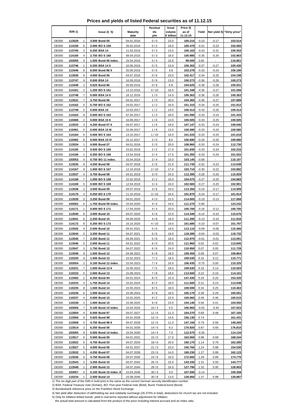**Prices and yields of listed Federal securities as of 11.12.15**

|              |                          |                         |                         | Residual | Issue               | Price 3)           |         |                |                            |
|--------------|--------------------------|-------------------------|-------------------------|----------|---------------------|--------------------|---------|----------------|----------------------------|
|              | ISIN <sub>1</sub> )      | lssue2)5                | <b>Maturity</b><br>date | life     | volume<br>€ billion | as of<br>11.12.15  | Yield   |                | Net yield 4) "Dirty price" |
|              |                          |                         |                         | y/m      |                     |                    |         |                |                            |
| <b>DE000</b> | 113529<br>1              | 3.500 Bund 05           | 04.01.2016              | 0/0      | 23.0                | 100.215            | $-0.23$ | $-0.17$        | 103.514                    |
| DE000        | 6<br>114159              | 2.000 BOS 159           | 26.02.2016              | 0/2      | 16.0                | 100.470            | $-0.31$ | $-0.23$        | 102.065                    |
| <b>DE000</b> | 113745<br>3              | 0.250 BSA 14            | 11.03.2016              | 0/3      | 13.0                | 100.163            | $-0.43$ | $-0.31$        | 100.353                    |
| <b>DE000</b> | 114160<br>4              | 2.750 BO S 160          | 08.04.2016              | 0/3      | 18.0                | 100.985            | $-0.35$ | -0.26          | 102.863                    |
| <b>DE000</b> | 0<br>103050              | 1.500 Bund 06 index.    | 15.04.2016              | 0/4      | 15.0                | 99.500             | 3.00    |                | 116.851                    |
| <b>DE000</b> | 113746<br>1              | 0.250 BSA 14 II         | 10.06.2016              | 0/5      | 13.0                | 100.302            | $-0.37$ | $-0.27$        | 100.430                    |
| <b>DE000</b> | 8<br>113446              | 6.000 Bund 86 II        | 20.06.2016              | 0/6      | 3.8                 | 103.278            | $-0.33$ | $-0.24$        | 106.180                    |
| <b>DE000</b> | 9<br>113530              | 4.000 Bund 06           | 04.07.2016              | 0/6      | 23.0                | 102.417            | $-0.34$ | $-0.25$        | 104.198                    |
| <b>DE000</b> | 113747<br>9              | 0.000 BSA 14            | 16.09.2016              | 0/9      | 13.0                | 100.273            | $-0.36$ | $-0.26$        | 100.273                    |
| <b>DE000</b> | 2<br>113449              | 5.625 Bund 86           | 20.09.2016              | 0/9      | 0.8                 | 104.625            | $-0.38$ | $-0.28$        | 105.931                    |
| <b>DE000</b> | 2<br>114161              | 1.250 BOS 161           | 14.10.2016              | 0/10     | 16.0                | 101.348            | $-0.36$ | $-0.27$        | 101.556                    |
| <b>DE000</b> | $\overline{7}$<br>113748 | 0.000 BSA 14 II         | 16.12.2016              | 1/0      | 14.0                | 100.363            | $-0.36$ | $-0.26$        | 100.363                    |
| <b>DE000</b> | 7<br>113531              | 3.750 Bund 06           | 04.01.2017              | 1/0      | 20.0                | 104.365            | $-0.36$ | $-0.27$        | 107.899                    |
| <b>DE000</b> | 0<br>114162              | 0.750 BOS 162           | 24.02.2017              | 1/2      | 16.0                | 101.310            | $-0.34$ | $-0.25$        | 101.912                    |
| <b>DE000</b> | 113749<br>5              | 0.000 BSA 15            | 10.03.2017              | 1/2      | 14.0                | 100.414            | $-0.33$ | $-0.25$        | 100.414                    |
| <b>DE000</b> | 8<br>114163              | 0.500 BO S 163          | 07.04.2017              | 1/3      | 18.0                | 101.090            | $-0.33$ | $-0.24$        | 101.433                    |
| <b>DE000</b> | $\overline{2}$<br>110460 | 0.000 BSA 15 II         | 16.06.2017              | 1/6      | 13.0                | 100.505            | $-0.33$ | $-0.25$        | 100.505                    |
| <b>DE000</b> | 113533<br>3              | 4.250 Bund 07 II        | 04.07.2017              | 1/6      | 19.0                | 107.147            | $-0.33$ | $-0.24$        | 109.040                    |
| <b>DE000</b> | 0<br>110461              | 0.000 BSA 15 III        | 15.09.2017              | 1/9      | 13.0                | 100.580            | $-0.33$ | $-0.24$        | 100.580                    |
| <b>DE000</b> | 114164<br>6              | 0.500 BOS 164           | 13.10.2017              | 1/10     | 16.0                | 101.533            | $-0.33$ | $-0.25$        | 101.618                    |
| <b>DE000</b> | 8<br>110462              | 0.000 BSA 15 IV         | 15.12.2017              | 2/0      | 8.0                 | 100.680            | $-0.34$ | $-0.25$        | 100.680                    |
| <b>DE000</b> | 113534<br>1              | 4.000 Bund 07           | 04.01.2018              | 2/0      | 20.0                | 108.960            | $-0.33$ | $-0.24$        | 112.730                    |
|              |                          | 0.500 BOS 165           |                         |          |                     |                    |         |                | 102.233                    |
| <b>DE000</b> | 114165<br>3              |                         | 23.02.2018              | 2/2      | 17.0                | 101.830<br>101.355 | $-0.33$ | $-0.24$        |                            |
| <b>DE000</b> | 1<br>114166              | 0.250 BO S 166          | 13.04.2018              | 2/4      | 17.0                |                    | $-0.33$ | $-0.24$        | 101.522                    |
| <b>DE000</b> | 103053<br>4              | 0.750 BO 11 index.      | 15.04.2018              | 2/4      | 15.0                | 103.145            | $-0.58$ |                | 110.197                    |
| <b>DE000</b> | 8<br>113535              | 4.250 Bund 08           | 04.07.2018              | 2/6      | 21.0                | 111.745            | $-0.32$ | $-0.23$        | 113.638                    |
| <b>DE000</b> | 9<br>114167              | 1.000 BOS 167           | 12.10.2018              | 2/10     | 17.0                | 103.710            | $-0.30$ | $-0.22$        | 103.882                    |
| <b>DE000</b> | 113537<br>4              | 3.750 Bund 08           | 04.01.2019              | 3/0      | 24.0                | 112.395            | $-0.28$ | $-0.20$        | 115.929                    |
| <b>DE000</b> | 114168<br>$\overline{7}$ | 1.000 BOS 168           | 22.02.2019              | 3/2      | 16.0                | 104.075            | $-0.27$ | $-0.20$        | 104.883                    |
| <b>DE000</b> | 5<br>114169              | 0.500 BOS 169           | 12.04.2019              | 3/4      | 16.0                | 102.565            | $-0.27$ | $-0.20$        | 102.901                    |
| <b>DE000</b> | 113538<br>$\overline{2}$ | 3.500 Bund 09           | 04.07.2019              | 3/6      | 24.0                | 113.350            | $-0.24$ | $-0.17$        | 114.909                    |
| <b>DE000</b> | 114170<br>3              | 0.250 BO S 170          | 11.10.2019              | 3/10     | 16.0                | 101.870            | $-0.24$ | $-0.17$        | 101.914                    |
| <b>DE000</b> | 113539<br>0              | 3.250 Bund 09           | 04.01.2020              | 4/0      | 22.0                | 114.005            | $-0.19$ | $-0.13$        | 117.068                    |
| <b>DE000</b> | 103052<br>6              | 1.750 Bund 09 index.    | 15.04.2020              | 4/4      | 16.0                | 111.275            | $-0.80$ | $\sim$         | 123.232                    |
| <b>DE000</b> | 1<br>114171              | 0.000 BOS 171           | 17.04.2020              | 4/4      | 20.0                | 100.700            | $-0.16$ | $-0.12$        | 100.700                    |
| <b>DE000</b> | 8<br>113540              | 3.000 Bund 10           | 04.07.2020              | 4/6      | 22.0                | 114.340            | $-0.14$ | $-0.10$        | 115.676                    |
| <b>DE000</b> | 113541<br>6              | 2.250 Bund 10           | 04.09.2020              | 4/8      | 16.0                | 111.295            | $-0.13$ | $-0.10$        | 111.916                    |
| <b>DE000</b> | 114172<br>9              | 0.250 BOS 172           | 16.10.2020              | 4/10     | 19.0                | 101.685            | $-0.10$ | $-0.07$        | 101.797                    |
| <b>DE000</b> | 4<br>113542              | 2.500 Bund 10           | 04.01.2021              | 5/0      | 19.0                | 113.110            | $-0.09$ | $-0.06$        | 115.466                    |
| <b>DE000</b> | 113544<br>0              | 3.250 Bund 11           | 04.07.2021              | 5/6      | 19.0                | 118.285            | $-0.04$ | $-0.03$        | 119.732                    |
| <b>DE000</b> | 113545<br>7              | 2.250 Bund 11           | 04.09.2021              | 5/8      | 16.0                | 112.970            | $-0.01$ | $-0.01$        | 113.591                    |
| <b>DE000</b> | 113546<br>5              | 2.000 Bund 11           | 04.01.2022              | 6/0      | 20.0                | 111.960            | 0.02    | 0.02           | 113.845                    |
| DE000        | 113547                   | 1.750 Bund 12           | 04.07.2022              | 6/6      | 24.0                | 110.950            | 0.07    | 0.05           | 111.729                    |
| <b>DE000</b> | 113549<br>9              | 1.500 Bund 12           | 04.09.2022              | 6/8      | 18.0                | 109.450            | 0.09    | 0.07           | 109.864                    |
| <b>DE000</b> | 110230<br>9              | 1.500 Bund 13           | 15.02.2023              | $7/2$    | 18.0                | 109.530            | 0.16    | 0.12           | 110.771                    |
| <b>DE000</b> | 103054<br>2              | 0.100 Bund 12 index.    | 15.04.2023              | 7/4      | 16.0                | 106.435            | $-0.75$ | 0.00           | 110.325                    |
| <b>DE000</b> | 110231<br>7              | 1.500 Bund 13 II        | 15.05.2023              | 7/5      | 18.0                | 109.630            | 0.19    | 0.14           | 110.503                    |
|              | 110232<br>5              |                         |                         |          |                     |                    |         |                |                            |
| <b>DE000</b> |                          | 2.000 Bund 13           | 15.08.2023              | 7/8      | 18.0                | 113.500            | 0.22    | 0.16<br>0.20   | 114.161                    |
| <b>DE000</b> | 113492<br>2              | 6.250 Bund 94           | 04.01.2024              | 8/0      | 10.3                | 147.430            | 0.29    |                | 153.320                    |
| <b>DE000</b> | 110233<br>3              | 1.750 Bund 14           | 15.02.2024              | 8/2      | 18.0                | 111.600            | 0.31    | 0.23           | 113.048                    |
| <b>DE000</b> | 110235<br>8              | 1.500 Bund 14           | 15.05.2024              | 8/5      | 18.0                | 109.590            | 0.34    | 0.25           | 110.463                    |
| <b>DE000</b> | 110236<br>6              | 1.000 Bund 14           | 15.08.2024              | 8/8      | 18.0                | 105.170            | 0.39    | 0.29           | 105.501                    |
| <b>DE000</b> | 110237<br>4              | 0.500 Bund 15           | 15.02.2025              | 9/2      | 23.0                | 100.060            | 0.49    | 0.36           | 100.515                    |
| <b>DE000</b> | 110238<br>2              | 1.000 Bund 15           | 15.08.2025              | 9/8      | 23.0                | 104.140            | 0.56    | 0.41           | 104.550                    |
| <b>DE000</b> | 7<br>103056              | 0.100 Bund 15 index.    | 15.04.2026              | 10/4     | 5.0                 | 106.965            | $-0.55$ | $-0.40$        | 107.923                    |
| <b>DE000</b> | 113504<br>4              | 6.500 Bund 97           | 04.07.2027              | 11/6     | 11.3                | 164.270            | 0.69    | 0.48           | 167.165                    |
| <b>DE000</b> | 113506<br>9              | 5.625 Bund 98           | 04.01.2028              | 12/0     | 14.5                | 156.130            | 0.74    |                | 161.431                    |
| <b>DE000</b> | 5<br>113508              | 4.750 Bund 98 II        | 04.07.2028              | 12/6     | 11.3                | 147.150            | 0.79    | 0.56           | 149.265                    |
| <b>DE000</b> | 113514<br>3              | 6.250 Bund 00           | 04.01.2030              | 14/0     | 9.3                 | 170.920            | 0.87    | 0.60           | 176.810                    |
| <b>DE000</b> | 103055<br>9              | 0.500 Bund 14 index.    | 15.04.2030              | 14/4     | 7.0                 | 112.570            | $-0.35$ | $\omega$       | 114.134                    |
| <b>DE000</b> | 113517<br>6              | 5.500 Bund 00           | 04.01.2031              | 15/0     | 17.0                | 163.060            | 0.98    | 0.68           | 168.244                    |
| <b>DE000</b> | 113522<br>6              | 4.750 Bund 03           | 04.07.2034              | 18/6     | 20.0                | 160.170            | 1.14    | 0.79           | 162.285                    |
| <b>DE000</b> | 113527<br>5              | 4.000 Bund 05           | 04.01.2037              | 21/0     | 23.0                | 150.760            | 1.24    | 0.88           | 154.530                    |
| <b>DE000</b> | 113532<br>5              | 4.250 Bund 07           | 04.07.2039              | 23/6     | 14.0                | 160.230            | 1.27    | 0.89           | 162.123                    |
| <b>DE000</b> | 113536<br>6              | 4.750 Bund 08           | 04.07.2040              | 24/6     | 16.0                | 172.660            | 1.28    | 0.89           | 174.775                    |
| <b>DE000</b> | 113543<br>2              | 3.250 Bund 10           | 04.07.2042              | 26/6     | 15.0                | 143.330            | 1.31    | 0.93           | 144.777                    |
| <b>DE000</b> | 113548<br>1              | 2.500 Bund 12           | 04.07.2044              | 28/6     | 16.0                | 127.790            | 1.32    | 0.95           | 128.903                    |
| <b>DE000</b> | 103057<br>5              | 0.100 Bund 15 index. II | 15.04.2046              | 30/4     | 3.0                 | 107.590            | $-0.14$ | $\blacksquare$ | 109.358                    |
| <b>DE000</b> | 110234<br>1              | 2.500 Bund 14           | 15.08.2046              | 30/8     | 13.0                | 128.060            | 1.37    | 0.98           | 128.887                    |

2) BSA: Federal Treasury note (Schatz), BO: Five-year Federal note (Bobl), Bund: Federal bond (Bund)

3) Bundesbank reference price on the Frankfurt Stock Exchange

4) Net yield after deduction of withholding tax and solidarity surcharge (26.375% in total); deductions for church tax are not included.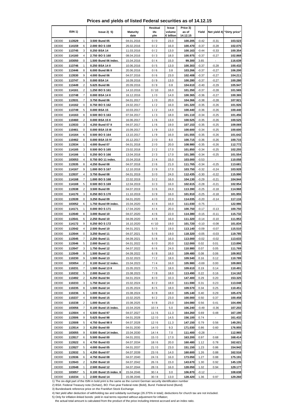**Prices and yields of listed Federal securities as of 14.12.15**

|              |                          |                         |                         | Residual | Issue               | Price 3)          |         |         |                            |
|--------------|--------------------------|-------------------------|-------------------------|----------|---------------------|-------------------|---------|---------|----------------------------|
|              | ISIN <sub>1</sub> )      | lssue2)5                | <b>Maturity</b><br>date | life     | volume<br>€ billion | as of<br>14.12.15 | Yield   |         | Net yield 4) "Dirty price" |
|              |                          |                         |                         | y/m      |                     |                   |         |         |                            |
| <b>DE000</b> | 113529<br>1              | 3.500 Bund 05           | 04.01.2016              | 0/0      | 23.0                | 100.205           | $-0.42$ | $-0.31$ | 103.523                    |
| DE000        | 6<br>114159              | 2.000 BOS 159           | 26.02.2016              | 0/2      | 16.0                | 100.470           | $-0.37$ | $-0.28$ | 102.075                    |
| <b>DE000</b> | 113745<br>3              | 0.250 BSA 14            | 11.03.2016              | 0/2      | 13.0                | 100.163           | $-0.44$ | $-0.33$ | 100.354                    |
| <b>DE000</b> | 114160<br>4              | 2.750 BO S 160          | 08.04.2016              | 0/3      | 18.0                | 100.975           | $-0.37$ | -0.27   | 102.868                    |
| <b>DE000</b> | 0<br>103050              | 1.500 Bund 06 index.    | 15.04.2016              | 0/4      | 15.0                | 99.300            | 3.65    |         | 116.639                    |
| <b>DE000</b> | 113746<br>1              | 0.250 BSA 14 II         | 10.06.2016              | 0/5      | 13.0                | 100.303           | $-0.37$ | $-0.28$ | 100.432                    |
| <b>DE000</b> | 8<br>113446              | 6.000 Bund 86 II        | 20.06.2016              | 0/6      | 3.8                 | 103.266           | $-0.37$ | $-0.27$ | 106.200                    |
| <b>DE000</b> | 9<br>113530              | 4.000 Bund 06           | 04.07.2016              | 0/6      | 23.0                | 102.408           | $-0.37$ | $-0.27$ | 104.211                    |
| <b>DE000</b> | 113747<br>9              | 0.000 BSA 14            | 16.09.2016              | 0/9      | 13.0                | 100.280           | $-0.37$ | $-0.27$ | 100.280                    |
| <b>DE000</b> | 2<br>113449              | 5.625 Bund 86           | 20.09.2016              | 0/9      | 0.8                 | 104.610           | $-0.40$ | $-0.29$ | 105.947                    |
| <b>DE000</b> | 2<br>114161              | 1.250 BOS 161           |                         | 0/10     | 16.0                | 101.350           | $-0.37$ | $-0.28$ |                            |
|              |                          |                         | 14.10.2016              |          |                     |                   |         |         | 101.565                    |
| <b>DE000</b> | $\overline{7}$<br>113748 | 0.000 BSA 14 II         | 16.12.2016              | 1/0      | 14.0                | 100.365           | $-0.36$ | $-0.27$ | 100.365                    |
| <b>DE000</b> | 7<br>113531              | 3.750 Bund 06           | 04.01.2017              | 1/0      | 20.0                | 104.366           | $-0.38$ | $-0.28$ | 107.921                    |
| <b>DE000</b> | 0<br>114162              | 0.750 BOS 162           | 24.02.2017              | 1/2      | 16.0                | 101.320           | $-0.35$ | $-0.26$ | 101.926                    |
| <b>DE000</b> | 113749<br>5              | 0.000 BSA 15            | 10.03.2017              | 1/2      | 14.0                | 100.440           | $-0.36$ | $-0.26$ | 100.440                    |
| <b>DE000</b> | 8<br>114163              | 0.500 BO S 163          | 07.04.2017              | 1/3      | 18.0                | 101.110           | $-0.34$ | $-0.25$ | 101.456                    |
| <b>DE000</b> | $\overline{2}$<br>110460 | 0.000 BSA 15 II         | 16.06.2017              | 1/6      | 13.0                | 100.525           | $-0.35$ | $-0.26$ | 100.525                    |
| <b>DE000</b> | 113533<br>3              | 4.250 Bund 07 II        | 04.07.2017              | 1/6      | 19.0                | 107.153           | $-0.35$ | $-0.25$ | 109.069                    |
| <b>DE000</b> | 0<br>110461              | 0.000 BSA 15 III        | 15.09.2017              | 1/9      | 13.0                | 100.600           | $-0.34$ | $-0.25$ | 100.600                    |
| <b>DE000</b> | 114164<br>6              | 0.500 BOS 164           | 13.10.2017              | 1/9      | 16.0                | 101.555           | $-0.35$ | $-0.26$ | 101.642                    |
| <b>DE000</b> | 8<br>110462              | 0.000 BSA 15 IV         | 15.12.2017              | 2/0      | 8.0                 | 100.715           | $-0.36$ | $-0.26$ | 100.715                    |
| <b>DE000</b> | 113534<br>1              | 4.000 Bund 07           |                         |          | 20.0                | 108.980           | $-0.35$ | $-0.26$ | 112.772                    |
|              |                          |                         | 04.01.2018              | 2/0      |                     |                   |         |         |                            |
| <b>DE000</b> | 114165<br>3              | 0.500 BOS 165           | 23.02.2018              | 2/2      | 17.0                | 101.850           | $-0.34$ | $-0.25$ | 102.255                    |
| <b>DE000</b> | 1<br>114166              | 0.250 BO S 166          | 13.04.2018              | 2/3      | 17.0                | 101.385           | $-0.34$ | $-0.25$ | 101.554                    |
| <b>DE000</b> | 103053<br>4              | 0.750 BO 11 index.      | 15.04.2018              | 2/4      | 15.0                | 103.000           | $-0.53$ |         | 110.058                    |
| <b>DE000</b> | 8<br>113535              | 4.250 Bund 08           | 04.07.2018              | 2/6      | 21.0                | 111.765           | $-0.34$ | $-0.25$ | 113.681                    |
| <b>DE000</b> | 9<br>114167              | 1.000 BOS 167           | 12.10.2018              | 2/9      | 17.0                | 103.750           | $-0.32$ | $-0.24$ | 103.928                    |
| <b>DE000</b> | 113537<br>4              | 3.750 Bund 08           | 04.01.2019              | 3/0      | 24.0                | 112.435           | $-0.30$ | $-0.22$ | 115.990                    |
| <b>DE000</b> | 114168<br>$\overline{7}$ | 1.000 BOS 168           | 22.02.2019              | 3/2      | 16.0                | 104.130           | $-0.29$ | $-0.21$ | 104.944                    |
| <b>DE000</b> | 5<br>114169              | 0.500 BOS 169           | 12.04.2019              | 3/3      | 16.0                | 102.615           | $-0.28$ | $-0.21$ | 102.954                    |
| <b>DE000</b> | 113538<br>2              | 3.500 Bund 09           | 04.07.2019              | 3/6      | 24.0                | 113.390           | $-0.25$ | $-0.18$ | 114.968                    |
|              | 3                        |                         |                         |          |                     |                   |         |         |                            |
| <b>DE000</b> | 114170                   | 0.250 BO S 170          | 11.10.2019              | 3/9      | 16.0                | 101.910           | $-0.25$ | $-0.18$ | 101.955                    |
| <b>DE000</b> | 113539<br>0              | 3.250 Bund 09           | 04.01.2020              | 4/0      | 22.0                | 114.035           | $-0.20$ | $-0.14$ | 117.116                    |
| <b>DE000</b> | 103052<br>6              | 1.750 Bund 09 index.    | 15.04.2020              | 4/4      | 16.0                | 111.030           | $-0.75$ | $\sim$  | 122.986                    |
| <b>DE000</b> | 1<br>114171              | 0.000 BOS 171           | 17.04.2020              | 4/4      | 20.0                | 100.750           | $-0.17$ | $-0.13$ | 100.750                    |
| <b>DE000</b> | 8<br>113540              | 3.000 Bund 10           | 04.07.2020              | 4/6      | 22.0                | 114.380           | $-0.15$ | -0.11   | 115.732                    |
| <b>DE000</b> | 113541<br>6              | 2.250 Bund 10           | 04.09.2020              | 4/8      | 16.0                | 111.320           | $-0.14$ | $-0.10$ | 111.953                    |
| <b>DE000</b> | 114172<br>9              | 0.250 BOS 172           | 16.10.2020              | 4/10     | 19.0                | 101.720           | $-0.10$ | $-0.08$ | 101.834                    |
| <b>DE000</b> | 4<br>113542              | 2.500 Bund 10           | 04.01.2021              | 5/0      | 19.0                | 113.140           | $-0.09$ | $-0.07$ | 115.510                    |
| <b>DE000</b> | 113544<br>0              | 3.250 Bund 11           | 04.07.2021              | 5/6      | 19.0                | 118.320           | $-0.05$ | $-0.03$ | 119.785                    |
| <b>DE000</b> | 113545<br>7              | 2.250 Bund 11           | 04.09.2021              | 5/8      | 16.0                | 113.000           | $-0.02$ | $-0.02$ | 113.633                    |
| <b>DE000</b> | 113546<br>5              | 2.000 Bund 11           | 04.01.2022              | 6/0      | 20.0                | 112.000           | 0.02    | 0.01    | 113.896                    |
|              |                          |                         |                         |          |                     |                   |         |         |                            |
| DE000        | 113547                   | 1.750 Bund 12           | 04.07.2022              | 6/6      | 24.0                | 110.980           | 0.07    | 0.05    | 111.769                    |
| <b>DE000</b> | 113549<br>9              | 1.500 Bund 12           | 04.09.2022              | 6/8      | 18.0                | 109.480           | 0.08    | 0.06    | 109.902                    |
| <b>DE000</b> | 110230<br>9              | 1.500 Bund 13           | 15.02.2023              | $7/2$    | 18.0                | 109.540           | 0.16    | 0.12    | 110.789                    |
| <b>DE000</b> | 103054<br>2              | 0.100 Bund 12 index.    | 15.04.2023              | 7/4      | 16.0                | 105.980           | $-0.69$ | 0.00    | 109.865                    |
| <b>DE000</b> | 110231<br>7              | 1.500 Bund 13 II        | 15.05.2023              | 7/5      | 18.0                | 109.610           | 0.19    | 0.14    | 110.491                    |
| <b>DE000</b> | 110232<br>5              | 2.000 Bund 13           | 15.08.2023              | 7/8      | 18.0                | 113.490           | 0.22    | 0.16    | 114.162                    |
| <b>DE000</b> | 113492<br>2              | 6.250 Bund 94           | 04.01.2024              | 8/0      | 10.3                | 147.400           | 0.29    | 0.20    | 153.325                    |
| <b>DE000</b> | 110233<br>3              | 1.750 Bund 14           | 15.02.2024              | 8/2      | 18.0                | 111.590           | 0.31    | 0.23    | 113.048                    |
| <b>DE000</b> | 110235<br>8              | 1.500 Bund 14           | 15.05.2024              | 8/5      | 18.0                | 109.570           | 0.34    | 0.25    | 110.451                    |
| <b>DE000</b> | 110236<br>6              | 1.000 Bund 14           | 15.08.2024              | 8/8      | 18.0                | 105.140           | 0.40    | 0.29    | 105.476                    |
| <b>DE000</b> | 110237<br>4              | 0.500 Bund 15           | 15.02.2025              | 9/2      | 23.0                | 100.000           | 0.50    | 0.37    | 100.458                    |
| <b>DE000</b> | 110238<br>2              | 1.000 Bund 15           |                         |          | 23.0                | 104.080           | 0.56    | 0.41    | 104.496                    |
|              |                          |                         | 15.08.2025              | 9/8      |                     |                   |         |         |                            |
| <b>DE000</b> | 7<br>103056              | 0.100 Bund 15 index.    | 15.04.2026              | 10/4     | 5.0                 | 106.240           | $-0.49$ | $-0.36$ | 107.202                    |
| <b>DE000</b> | 113504<br>4              | 6.500 Bund 97           | 04.07.2027              | 11/6     | 11.3                | 164.260           | 0.69    | 0.48    | 167.190                    |
| <b>DE000</b> | 113506<br>9              | 5.625 Bund 98           | 04.01.2028              | 12/0     | 14.5                | 156.100           | 0.74    |         | 161.432                    |
| <b>DE000</b> | 5<br>113508              | 4.750 Bund 98 II        | 04.07.2028              | 12/6     | 11.3                | 147.150           | 0.79    | 0.56    | 149.291                    |
| <b>DE000</b> | 113514<br>3              | 6.250 Bund 00           | 04.01.2030              | 14/0     | 9.3                 | 171.030           | 0.86    | 0.60    | 176.955                    |
| <b>DE000</b> | 103055<br>9              | 0.500 Bund 14 index.    | 15.04.2030              | 14/4     | 7.0                 | 111.400           | $-0.28$ | ÷.      | 112.965                    |
| <b>DE000</b> | 113517<br>6              | 5.500 Bund 00           | 04.01.2031              | 15/0     | 17.0                | 163.200           | 0.97    | 0.68    | 168.414                    |
| <b>DE000</b> | 113522<br>6              | 4.750 Bund 03           | 04.07.2034              | 18/6     | 20.0                | 160.480           | 1.12    | 0.78    | 162.621                    |
| <b>DE000</b> | 113527<br>5              | 4.000 Bund 05           | 04.01.2037              | 21/0     | 23.0                | 151.150           | 1.23    | 0.86    | 154.942                    |
| <b>DE000</b> | 113532<br>5              | 4.250 Bund 07           | 04.07.2039              | 23/6     | 14.0                | 160.600           | 1.26    | 0.88    | 162.516                    |
| <b>DE000</b> | 113536<br>6              | 4.750 Bund 08           | 04.07.2040              | 24/6     | 16.0                | 173.050           | 1.27    | 0.88    | 175.191                    |
|              |                          |                         |                         |          |                     |                   |         |         |                            |
| <b>DE000</b> | 113543<br>2              | 3.250 Bund 10           | 04.07.2042              | 26/6     | 15.0                | 143.670           | 1.30    | 0.92    | 145.135                    |
| <b>DE000</b> | 113548<br>1              | 2.500 Bund 12           | 04.07.2044              | 28/6     | 16.0                | 128.050           | 1.32    | 0.94    | 129.177                    |
| <b>DE000</b> | 103057<br>5              | 0.100 Bund 15 index. II | 15.04.2046              | 30/4     | 3.0                 | 106.870           | $-0.12$ |         | 108.638                    |
| <b>DE000</b> | 110234<br>1              | 2.500 Bund 14           | 15.08.2046              | 30/8     | 13.0                | 128.420           | 1.36    | 0.97    | 129.260                    |

2) BSA: Federal Treasury note (Schatz), BO: Five-year Federal note (Bobl), Bund: Federal bond (Bund)

3) Bundesbank reference price on the Frankfurt Stock Exchange

4) Net yield after deduction of withholding tax and solidarity surcharge (26.375% in total); deductions for church tax are not included.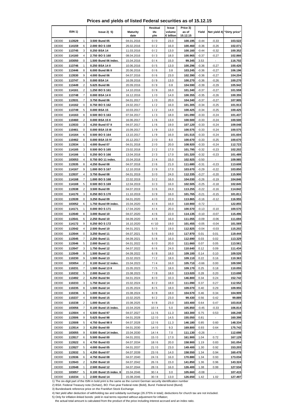**Prices and yields of listed Federal securities as of 15.12.15**

|                              |                            |                         |                         | Residual | Issue               | Price 3)           |         |          |                            |
|------------------------------|----------------------------|-------------------------|-------------------------|----------|---------------------|--------------------|---------|----------|----------------------------|
|                              | ISIN 1)                    | lssue2)5                | <b>Maturity</b><br>date | life     | volume<br>€ billion | as of<br>15.12.15  | Yield   |          | Net yield 4) "Dirty price" |
|                              |                            |                         |                         | y/m      |                     |                    |         |          |                            |
| <b>DE000</b>                 | 113529<br>1                | 3.500 Bund 05           | 04.01.2016              | 0/0      | 23.0                | 100.195            | $-0.44$ | $-0.33$  | 103.522                    |
| DE000                        | 6<br>114159                | 2.000 BOS 159           | 26.02.2016              | 0/2      | 16.0                | 100.460            | $-0.36$ | $-0.26$  | 102.071                    |
| <b>DE000</b>                 | 113745<br>3                | 0.250 BSA 14            | 11.03.2016              | 0/2      | 13.0                | 100.160            | $-0.44$ | $-0.32$  | 100.352                    |
| <b>DE000</b>                 | 114160<br>4                | 2.750 BO S 160          | 08.04.2016              | 0/3      | 18.0                | 100.965            | $-0.37$ | $-0.27$  | 102.866                    |
| <b>DE000</b>                 | 0<br>103050                | 1.500 Bund 06 index.    | 15.04.2016              | 0/4      | 15.0                | 99.345             | 3.53    |          | 116.702                    |
| <b>DE000</b>                 | 113746<br>1                | 0.250 BSA 14 II         | 10.06.2016              | 0/5      | 13.0                | 100.296            | $-0.36$ | $-0.27$  | 100.426                    |
| <b>DE000</b>                 | 8<br>113446                | 6.000 Bund 86 II        | 20.06.2016              | 0/6      | 3.8                 | 103.245            | $-0.36$ | $-0.27$  | 106.196                    |
| <b>DE000</b>                 | 9<br>113530                | 4.000 Bund 06           | 04.07.2016              | 0/6      | 23.0                | 102.390            | $-0.36$ | $-0.27$  | 104.204                    |
| <b>DE000</b>                 | 113747<br>9                | 0.000 BSA 14            | 16.09.2016              | 0/9      | 13.0                | 100.270            | $-0.36$ | $-0.26$  | 100.270                    |
| <b>DE000</b>                 | 2<br>113449                | 5.625 Bund 86           | 20.09.2016              | 0/9      | 0.8                 | 104.590            | $-0.39$ | $-0.29$  | 105.942                    |
| <b>DE000</b>                 | 2<br>114161                | 1.250 BOS 161           | 14.10.2016              | 0/9      | 16.0                | 101.340            | $-0.37$ | $-0.27$  | 101.559                    |
| <b>DE000</b>                 | $\overline{7}$<br>113748   | 0.000 BSA 14 II         | 16.12.2016              | 1/0      | 14.0                | 100.355            | $-0.35$ | $-0.26$  | 100.355                    |
| <b>DE000</b>                 | 7<br>113531                | 3.750 Bund 06           | 04.01.2017              | 1/0      | 20.0                | 104.340            | $-0.37$ | $-0.27$  | 107.905                    |
| <b>DE000</b>                 | 0<br>114162                | 0.750 BOS 162           | 24.02.2017              | 1/2      | 16.0                | 101.305            | $-0.34$ | $-0.25$  | 101.913                    |
| <b>DE000</b>                 | 113749<br>5                | 0.000 BSA 15            | 10.03.2017              | 1/2      | 14.0                | 100.425            | $-0.34$ | $-0.25$  | 100.425                    |
| <b>DE000</b>                 | 8<br>114163                | 0.500 BO S 163          | 07.04.2017              | 1/3      | 18.0                | 101.090            | $-0.33$ | $-0.24$  | 101.437                    |
| <b>DE000</b>                 | $\overline{2}$<br>110460   | 0.000 BSA 15 II         | 16.06.2017              | 1/6      | 13.0                | 100.500            | $-0.33$ | $-0.24$  | 100.500                    |
| <b>DE000</b>                 | 113533<br>3                | 4.250 Bund 07 II        | 04.07.2017              | 1/6      | 19.0                | 107.120            | $-0.33$ | $-0.24$  | 109.048                    |
| <b>DE000</b>                 | 0<br>110461                | 0.000 BSA 15 III        | 15.09.2017              | 1/9      | 13.0                | 100.575            | $-0.33$ | $-0.24$  | 100.575                    |
| <b>DE000</b>                 | 114164<br>6                | 0.500 BOS 164           | 13.10.2017              | 1/9      | 16.0                | 101.515            | $-0.33$ | $-0.24$  | 101.604                    |
| <b>DE000</b>                 | 8<br>110462                | 0.000 BSA 15 IV         | 15.12.2017              | 2/0      | 8.0                 | 100.670            | $-0.33$ | $-0.25$  | 100.670                    |
| <b>DE000</b>                 | 113534<br>1                | 4.000 Bund 07           | 04.01.2018              | 2/0      | 20.0                | 108.920            | $-0.33$ | $-0.24$  | 112.723                    |
| <b>DE000</b>                 | 114165<br>3                | 0.500 BOS 165           | 23.02.2018              | 2/2      | 17.0                | 101.795            | $-0.32$ | $-0.23$  | 102.202                    |
| <b>DE000</b>                 | 1<br>114166                | 0.250 BO S 166          | 13.04.2018              | 2/3      | 17.0                | 101.320            | $-0.32$ | $-0.23$  | 101.489                    |
| <b>DE000</b>                 | 103053<br>4                | 0.750 BO 11 index.      | 15.04.2018              | 2/4      | 15.0                | 102.925            | $-0.50$ |          | 109.985                    |
| <b>DE000</b>                 | 8<br>113535                | 4.250 Bund 08           | 04.07.2018              | 2/6      | 21.0                | 111.680            | $-0.31$ | $-0.23$  | 113.608                    |
| <b>DE000</b>                 | 9<br>114167                | 1.000 BOS 167           | 12.10.2018              | 2/9      | 17.0                | 103.670            | $-0.29$ | $-0.22$  | 103.850                    |
| <b>DE000</b>                 | 113537<br>4                | 3.750 Bund 08           | 04.01.2019              | 3/0      | 24.0                | 112.335            | $-0.27$ | $-0.20$  | 115.900                    |
| <b>DE000</b>                 | 114168<br>$\overline{7}$   |                         |                         | 3/2      | 16.0                | 104.030            | $-0.26$ | $-0.19$  | 104.846                    |
|                              | 5                          | 1.000 BOS 168           | 22.02.2019              |          |                     |                    |         |          |                            |
| <b>DE000</b>                 | 114169                     | 0.500 BOS 169           | 12.04.2019              | 3/3      | 16.0                | 102.505            | $-0.25$ | $-0.18$  | 102.845                    |
| <b>DE000</b>                 | 113538<br>2                | 3.500 Bund 09           | 04.07.2019              | 3/6      | 24.0                | 113.255            | $-0.22$ | $-0.16$  | 114.842                    |
| <b>DE000</b>                 | 114170<br>3                | 0.250 BO S 170          | 11.10.2019              | 3/9      | 16.0                | 101.765            | $-0.21$ | $-0.15$  | 101.811                    |
| <b>DE000</b>                 | 113539<br>0                | 3.250 Bund 09           | 04.01.2020              | 4/0      | 22.0                | 113.865            | $-0.16$ | $-0.12$  | 116.955                    |
| <b>DE000</b>                 | 103052<br>6                | 1.750 Bund 09 index.    | 15.04.2020              | 4/4      | 16.0                | 110.900            | $-0.72$ | $\sim$   | 122.855                    |
| <b>DE000</b>                 | 1<br>114171                | 0.000 BOS 171           | 17.04.2020              | 4/4      | 20.0                | 100.570            | $-0.13$ | $-0.10$  | 100.570                    |
| <b>DE000</b>                 | 8<br>113540                | 3.000 Bund 10           | 04.07.2020              | 4/6      | 22.0                | 114.135            | $-0.10$ | $-0.07$  | 115.496                    |
| <b>DE000</b>                 | 113541<br>6                | 2.250 Bund 10           | 04.09.2020              | 4/8      | 16.0                | 111.055            | $-0.09$ | $-0.06$  | 111.694                    |
| <b>DE000</b>                 | 114172<br>9                | 0.250 BOS 172           | 16.10.2020              | 4/10     | 19.0                | 101.455            | $-0.05$ | $-0.04$  | 101.569                    |
| <b>DE000</b>                 | 4<br>113542                | 2.500 Bund 10           | 04.01.2021              | 5/0      | 19.0                | 112.825            | $-0.04$ | $-0.03$  | 115.202                    |
| <b>DE000</b>                 | 113544<br>0                | 3.250 Bund 11           | 04.07.2021              | 5/6      | 19.0                | 117.970            | 0.01    | 0.01     | 119.444                    |
| <b>DE000</b>                 | 113545<br>7                | 2.250 Bund 11           | 04.09.2021              | 5/8      | 16.0                | 112.690            | 0.03    | 0.02     | 113.329                    |
| <b>DE000</b>                 | 113546<br>5                | 2.000 Bund 11           | 04.01.2022              | 6/0      | 20.0                | 111.660            | 0.07    | 0.05     | 113.561                    |
| DE000                        | 113547                     | 1.750 Bund 12           | 04.07.2022              | 6/6      | 24.0                | 110.640            | 0.12    | 0.09     | 111.434                    |
| <b>DE000</b>                 | 113549<br>9                | 1.500 Bund 12           | 04.09.2022              | 6/8      | 18.0                | 109.100            | 0.14    | 0.10     | 109.526                    |
| <b>DE000</b>                 | 110230<br>9                | 1.500 Bund 13           | 15.02.2023              | $7/2$    | 18.0                | 109.110            | 0.22    | 0.16     | 110.363                    |
| <b>DE000</b>                 | 103054<br>2                | 0.100 Bund 12 index.    | 15.04.2023              | 7/4      | 16.0                | 105.710            | $-0.66$ | 0.00     | 109.590                    |
| <b>DE000</b>                 | 110231<br>7                | 1.500 Bund 13 II        | 15.05.2023              | 7/5      | 18.0                | 109.170            | 0.25    | 0.18     | 110.055                    |
| <b>DE000</b>                 | 110232<br>5                | 2.000 Bund 13           | 15.08.2023              | 7/8      | 18.0                | 113.020            | 0.28    | 0.20     | 113.698                    |
| <b>DE000</b>                 | 113492<br>2                | 6.250 Bund 94           | 04.01.2024              | 8/0      | 10.3                | 146.800            | 0.34    | 0.24     | 152.742                    |
| <b>DE000</b>                 | 110233<br>3                | 1.750 Bund 14           | 15.02.2024              | 8/2      | 18.0                | 111.090            | 0.37    | 0.27     | 112.552                    |
| <b>DE000</b>                 | 110235<br>8                | 1.500 Bund 14           | 15.05.2024              | 8/5      | 18.0                | 109.070            | 0.40    | 0.29     | 109.955                    |
| <b>DE000</b>                 | 110236<br>6                | 1.000 Bund 14           | 15.08.2024              | 8/8      | 18.0                | 104.570            | 0.46    | 0.34     | 104.909                    |
| <b>DE000</b>                 | 110237<br>4                | 0.500 Bund 15           | 15.02.2025              | 9/2      | 23.0                | 99.430             | 0.56    | 0.42     | 99.889                     |
| <b>DE000</b>                 | 110238<br>2                | 1.000 Bund 15           | 15.08.2025              | 9/8      | 23.0                | 103.400            | 0.64    | 0.47     | 103.818                    |
| <b>DE000</b>                 | 7<br>103056                | 0.100 Bund 15 index.    | 15.04.2026              | 10/4     | 5.0                 | 105.850            | $-0.45$ | $-0.33$  | 106.814                    |
| <b>DE000</b>                 | 113504<br>4                | 6.500 Bund 97           | 04.07.2027              | 11/6     | 11.3                | 163.300            | 0.75    | 0.53     | 166.248                    |
| <b>DE000</b>                 | 113506<br>9                | 5.625 Bund 98           | 04.01.2028              | 12/0     | 14.5                | 155.050            | 0.81    |          | 160.398                    |
| <b>DE000</b>                 | 5<br>113508                | 4.750 Bund 98 II        | 04.07.2028              | 12/6     | 11.3                | 146.180            | 0.85    | 0.60     | 148.334                    |
| <b>DE000</b>                 | 113514<br>3                | 6.250 Bund 00           | 04.01.2030              | 14/0     | 9.3                 | 169.800            | 0.93    | 0.64     | 175.742                    |
| <b>DE000</b>                 | 103055<br>9                | 0.500 Bund 14 index.    | 15.04.2030              | 14/4     | 7.0                 | 111.130            | $-0.26$ | $\omega$ | 112.698                    |
| <b>DE000</b>                 | 113517<br>6                | 5.500 Bund 00           | 04.01.2031              | 15/0     | 17.0                | 161.900            | 1.04    | 0.72     | 167.129                    |
| <b>DE000</b>                 | 113522<br>6                | 4.750 Bund 03           | 04.07.2034              | 18/6     | 20.0                | 158.900            | 1.19    | 0.83     | 161.054                    |
| <b>DE000</b>                 | 113527<br>5                | 4.000 Bund 05           | 04.01.2037              | 21/0     | 23.0                | 149.400            | 1.30    | 0.92     | 153.203                    |
| <b>DE000</b>                 | 113532<br>5                | 4.250 Bund 07           | 04.07.2039              | 23/6     | 14.0                | 158.550            | 1.34    | 0.94     | 160.478                    |
| <b>DE000</b>                 | 113536<br>6                | 4.750 Bund 08           | 04.07.2040              | 24/6     | 16.0                | 170.880            | 1.34    | 0.93     | 173.034                    |
| <b>DE000</b>                 | 113543<br>2                | 3.250 Bund 10           | 04.07.2042              | 26/6     | 15.0                | 141.850            | 1.36    | 0.96     | 143.324                    |
|                              |                            |                         | 04.07.2044              |          |                     |                    |         | 0.99     |                            |
| <b>DE000</b>                 | 113548<br>1                | 2.500 Bund 12           |                         | 28/6     | 16.0                | 126.400            | 1.38    | $\omega$ | 127.534                    |
| <b>DE000</b><br><b>DE000</b> | 103057<br>5<br>110234<br>1 | 0.100 Bund 15 index. II | 15.04.2046              | 30/4     | 3.0                 | 105.660<br>126.650 | $-0.08$ | 1.02     | 107.415                    |
|                              |                            | 2.500 Bund 14           | 15.08.2046              | 30/8     | 13.0                |                    | 1.42    |          | 127.497                    |

2) BSA: Federal Treasury note (Schatz), BO: Five-year Federal note (Bobl), Bund: Federal bond (Bund)

3) Bundesbank reference price on the Frankfurt Stock Exchange

4) Net yield after deduction of withholding tax and solidarity surcharge (26.375% in total); deductions for church tax are not included.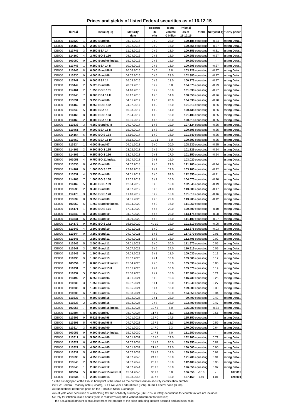|  |  | Prices and yields of listed Federal securities as of 16.12.15 |  |
|--|--|---------------------------------------------------------------|--|
|--|--|---------------------------------------------------------------|--|

|                              |                     |                         |                                          |                          | Residual     | Issue               | Price 3)           |                                        |                    |                            |
|------------------------------|---------------------|-------------------------|------------------------------------------|--------------------------|--------------|---------------------|--------------------|----------------------------------------|--------------------|----------------------------|
|                              | ISIN <sub>1</sub> ) |                         | $lssue2)$ 5)                             | <b>Maturity</b><br>date  | life<br>y/m  | volume<br>€ billion | as of<br>16.12.15  | Yield                                  | Net yield 4)       | "Dirty price"              |
| <b>DE000</b>                 |                     | $\mathbf{1}$            |                                          |                          |              | 23.0                |                    | 100.185 equesting                      |                    | esting Data                |
|                              | 113529              | 6                       | 3.500 Bund 05                            | 04.01.2016               | 0/0          |                     |                    |                                        | $-0.34$            |                            |
| <b>DE000</b><br><b>DE000</b> | 114159<br>113745    | 3                       | 2.000 BOS 159<br>0.250 BSA 14            | 26.02.2016<br>11.03.2016 | 0/2<br>0/2   | 16.0<br>13.0        |                    | 100.455 equesting<br>100.155 equesting | $-0.27$<br>$-0.31$ | esting Data<br>esting Data |
| <b>DE000</b>                 | 114160              | 4                       | 2.750 BOS 160                            | 08.04.2016               | 0/3          | 18.0                |                    | 100.955 equesting                      | $-0.27$            | esting Data                |
| <b>DE000</b>                 | 103050              | 0                       | 1.500 Bund 06 index.                     | 15.04.2016               | 0/3          | 15.0                |                    | 99.250 equesting                       | $\sim$             | esting Data                |
| <b>DE000</b>                 | 113746              | $\mathbf{1}$            | 0.250 BSA 14 II                          | 10.06.2016               | 0/5          | 13.0                |                    | 100.298 equesting                      | $-0.27$            | esting Data                |
| <b>DE000</b>                 | 113446              | 8                       | 6.000 Bund 86 II                         | 20.06.2016               | 0/6          | 3.8                 |                    | 103.228 equesting                      | $-0.27$            | esting Data                |
| <b>DE000</b>                 | 113530              | 9                       | 4.000 Bund 06                            | 04.07.2016               | 0/6          | 23.0                |                    | 102.380 equesting                      | $-0.27$            | esting Data                |
| <b>DE000</b>                 | 113747              | 9                       | 0.000 BSA 14                             | 16.09.2016               | 0/9          | 13.0                |                    | 100.273 equesting                      | $-0.27$            | esting Data                |
| <b>DE000</b>                 | 113449              | $\overline{2}$          | 5.625 Bund 86                            | 20.09.2016               | 0/9          | 0.8                 |                    | 104.575 equesting                      | $-0.29$            | esting Data                |
| <b>DE000</b>                 | 114161              | $\overline{2}$          | 1.250 BOS 161                            | 14.10.2016               | 0/9          | 16.0                |                    | 101.338 equesting                      | $-0.27$            | esting Data                |
| <b>DE000</b>                 | 113748              | $\overline{7}$          | 0.000 BSA 14 II                          | 16.12.2016               | 1/0          | 14.0                |                    | $100.358$ equesting                    | $-0.26$            | esting Data                |
| <b>DE000</b>                 | 113531              | $\overline{7}$          | 3.750 Bund 06                            | 04.01.2017               | 1/0          | 20.0                |                    | 104.338 equesting                      | $-0.28$            | esting Data                |
| <b>DE000</b>                 | 114162              | 0                       | 0.750 BOS 162                            | 24.02.2017               | 1/2          | 16.0                |                    | 101.313 equesting                      | $-0.26$            | esting Data                |
| <b>DE000</b>                 | 113749              | 5                       | 0.000 BSA 15                             | 10.03.2017               | 1/2          | 14.0                |                    | 100.438 equesting                      | $-0.26$            | esting Data                |
| <b>DE000</b>                 | 114163              | 8                       | 0.500 BOS 163                            | 07.04.2017               | 1/3          | 18.0                |                    | 101.103 equesting                      | $-0.25$            | esting Data                |
| <b>DE000</b>                 | 110460              | $\overline{2}$          | 0.000 BSA 15 II                          | 16.06.2017               | 1/6          | 13.0                |                    | 100.518 equesting                      | $-0.25$            | esting Data                |
| <b>DE000</b>                 | 113533              | 3                       | 4.250 Bund 07 II                         | 04.07.2017               | 1/6          | 19.0                |                    | 107.124 equesting                      | $-0.25$            | esting Data                |
| <b>DE000</b>                 | 110461              | 0                       | 0.000 BSA 15 III                         | 15.09.2017               | 1/8          | 13.0                |                    | 100.598 equesting                      | $-0.25$            | esting Data                |
| <b>DE000</b>                 | 114164              | 6                       | 0.500 BOS 164                            | 13.10.2017               | 1/9          | 16.0                |                    | 101.540 equesting                      | $-0.25$            | esting Data                |
| <b>DE000</b>                 | 110462              | 8                       | 0.000 BSA 15 IV                          | 15.12.2017               | 1/11         | 8.0                 |                    | 100.693 equesting                      | $-0.25$            | esting Data                |
| <b>DE000</b>                 | 113534              | 1                       | 4.000 Bund 07                            | 04.01.2018               | 2/0          | 20.0                |                    | 108.930 equesting                      | $-0.25$            | esting Data                |
| <b>DE000</b>                 | 114165              | 3                       | 0.500 BOS 165                            | 23.02.2018               | 2/2          | 17.0                |                    | 101.825 equesting                      | $-0.24$            | esting Data                |
| <b>DE000</b>                 | 114166              | 1                       | 0.250 BOS 166                            | 13.04.2018               | 2/3          | 17.0                |                    | 101.350 equesting                      | $-0.24$            | esting Data                |
| <b>DE000</b>                 | 103053              | 4                       | 0.750 BO 11 index.                       | 15.04.2018               | 2/3          | 15.0                |                    | 103.020 equesting                      |                    | esting Data                |
| <b>DE000</b>                 | 113535              | 8                       | 4.250 Bund 08                            | 04.07.2018               | 2/6          | 21.0                |                    | 111.700 equesting                      | $-0.24$            | esting Data                |
| <b>DE000</b>                 | 114167              | 9                       | 1.000 BOS 167                            | 12.10.2018               | 2/9          | 17.0                |                    | 103.700 equesting                      | $-0.22$            | esting Data                |
| <b>DE000</b>                 | 113537              | 4                       | 3.750 Bund 08                            | 04.01.2019               | 3/0          | 24.0                |                    | 112.355 equesting                      | $-0.21$            | esting Data                |
| <b>DE000</b>                 | 114168              | $\overline{7}$          | 1.000 BOS 168                            | 22.02.2019               | 3/2          | 16.0                |                    | 104.070 equesting                      | $-0.20$            | esting Data                |
| <b>DE000</b>                 | 114169              | 5                       | 0.500 BOS 169                            | 12.04.2019               | 3/3          | 16.0                |                    | 102.545 equesting                      | $-0.19$            | esting Data                |
| <b>DE000</b>                 | 113538              | $\overline{2}$          | 3.500 Bund 09                            | 04.07.2019               | 3/6          | 24.0                |                    | $113.300$ equesting                    | $-0.17$            | esting Data                |
| <b>DE000</b>                 | 114170              | 3                       | 0.250 BOS 170                            | 11.10.2019               | 3/9          | 16.0                |                    | 101.810 equesting                      | $-0.16$            | esting Data                |
| <b>DE000</b>                 | 113539              | 0                       | 3.250 Bund 09                            | 04.01.2020               | 4/0          | 22.0                |                    | 113.905 equesting                      | -0.12              | esting Data.               |
| <b>DE000</b>                 | 103052              | 6                       | 1.750 Bund 09 index.                     | 15.04.2020               | 4/3          | 16.0                |                    | 111.050 equesting                      |                    | esting Data                |
| <b>DE000</b>                 | 114171              | $\mathbf{1}$            | 0.000 BOS 171                            | 17.04.2020               | 4/4          | 20.0                |                    | 100.600 equesting                      | $-0.10$            | esting Data                |
| <b>DE000</b>                 | 113540              | 8                       | 3.000 Bund 10                            | 04.07.2020               | 4/6          | 22.0                |                    | 114.175 equesting                      | $-0.08$            | esting Data                |
| <b>DE000</b>                 | 113541              | 6                       | 2.250 Bund 10                            | 04.09.2020               | 4/8          | 16.0                |                    | 111.100 equesting                      | $-0.07$            | esting Data                |
| <b>DE000</b>                 | 114172              | 9                       | 0.250 BOS 172                            | 16.10.2020               | 4/10         | 19.0                |                    | 101.510 equesting                      | $-0.05$            | esting Data                |
| <b>DE000</b>                 | 113542              | 4                       | 2.500 Bund 10                            | 04.01.2021               | 5/0          | 19.0                |                    | 112.875 equesting                      | $-0.03$            | esting Data                |
| <b>DE000</b>                 | 113544              | 0                       | 3.250 Bund 11                            | 04.07.2021               | 5/6          | 19.0                |                    | 117.970 equesting                      | 0.01               | esting Data                |
| <b>DE000</b>                 | 113545              | $\overline{7}$          | 2.250 Bund 11                            | 04.09.2021               | 5/8          | 16.0                |                    | 112.705 equesting                      | 0.02               | esting Data                |
| <b>DE000</b>                 | 113546              | 5                       | 2.000 Bund 11                            | 04.01.2022               | 6/0          | 20.0                |                    | 111.670 equesting                      | 0.05               | esting Data                |
| <b>DE000</b>                 | 113547              | 3                       | 1.750 Bund 12                            | 04.07.2022               | 6/6          | 24.0                |                    | 110.615 equesting                      | 0.09               | esting Data                |
| <b>DE000</b>                 | 113549              | 9                       | 1.500 Bund 12                            | 04.09.2022               | 6/8          | 18.0                |                    | 109.030 equesting                      | 0.11               | esting Data                |
| <b>DE000</b>                 | 110230              | 9                       | 1.500 Bund 13                            | 15.02.2023               | 7/1          | 18.0                |                    | 109.000 equesting                      | 0.17               | esting Data                |
| <b>DE000</b>                 | 103054              | 2                       | 0.100 Bund 12 index.                     | 15.04.2023               | 7/3          | 16.0                |                    | 105.690 equesting                      | 0.00               | esting Data                |
| <b>DE000</b>                 | 110231              | $\overline{7}$          | 1.500 Bund 13 II                         | 15.05.2023               | 7/4          | 18.0                |                    | 109.070 equesting                      | 0.19               | esting Data                |
| <b>DE000</b>                 | 110232              | 5                       | 2.000 Bund 13                            | 15.08.2023               | 7/7          | 18.0                |                    | 112.900 equesting                      | 0.21               | esting Data                |
| <b>DE000</b>                 | 113492              | 2                       | 6.250 Bund 94                            | 04.01.2024               | 8/0          | 10.3                |                    | 146.730 equesting                      | 0.25               | esting Data                |
| <b>DE000</b>                 | 110233              | 3                       | 1.750 Bund 14                            | 15.02.2024               | 8/1          | 18.0                |                    | 111.040 equesting                      | 0.27               | esting Data                |
| <b>DE000</b>                 | 110235              | 8                       | 1.500 Bund 14                            | 15.05.2024               | 8/4          | 18.0                |                    | 109.000 equesting                      | 0.30               | esting Data                |
| <b>DE000</b>                 | 110236              | 6                       | 1.000 Bund 14                            | 15.08.2024               | 8/7          | 18.0                |                    | 104.550 equesting                      | 0.34               | esting Data                |
| <b>DE000</b>                 | 110237              | 4                       | 0.500 Bund 15                            | 15.02.2025               | 9/1          | 23.0                |                    | 99.400 equesting                       | 0.42               | esting Data                |
| <b>DE000</b>                 | 110238              | 2                       | 1.000 Bund 15                            | 15.08.2025               | 9/7          | 23.0                |                    | 103.400 equesting                      | 0.47               | esting Data                |
| <b>DE000</b>                 | 103056              | 7                       | 0.100 Bund 15 index.                     | 15.04.2026               | 10/3         | 5.0                 |                    | 105.980 equesting                      | $-0.34$            | esting Data                |
| <b>DE000</b>                 | 113504              | $\overline{4}$          | 6.500 Bund 97                            | 04.07.2027               | 11/6         | 11.3                |                    | 163.600 equesting                      | 0.51               | esting Data                |
| <b>DE000</b>                 | 113506              | 9                       | 5.625 Bund 98                            | 04.01.2028               | 12/0         | 14.5                |                    | 155.150 equesting                      | $\blacksquare$     | esting Data                |
| <b>DE000</b>                 | 113508              | 5                       | 4.750 Bund 98 II                         | 04.07.2028               | 12/6         | 11.3                |                    | 146.350 equesting                      | 0.59               | esting Data                |
| <b>DE000</b>                 | 113514              | 3                       | 6.250 Bund 00                            | 04.01.2030               | 14/0         | 9.3                 |                    | 170.000 equesting                      | 0.64               | esting Data                |
| <b>DE000</b>                 | 103055              | 9                       | 0.500 Bund 14 index.                     | 15.04.2030               | 14/3         | 7.0                 |                    | 111.250 equesting                      | $\blacksquare$     | esting Data                |
| <b>DE000</b>                 | 113517              | 6                       | 5.500 Bund 00                            | 04.01.2031               | 15/0         | 17.0                |                    | 162.200 equesting                      | 0.71               | esting Data                |
| <b>DE000</b>                 | 113522              | 6                       | 4.750 Bund 03                            | 04.07.2034               | 18/6         | 20.0                |                    | 159.350 equesting                      | 0.82               | esting Data                |
| <b>DE000</b>                 | 113527              | 5                       | 4.000 Bund 05                            | 04.01.2037               | 21/0         | 23.0                |                    | 150.000 equesting                      | 0.90               | esting Data                |
| <b>DE000</b>                 | 113532              | 5                       | 4.250 Bund 07                            | 04.07.2039               | 23/6         | 14.0                |                    | 159.300 equesting                      | 0.92               | esting Data                |
| <b>DE000</b>                 | 113536              | 6                       | 4.750 Bund 08                            | 04.07.2040               | 24/6         | 16.0                |                    | 171.700 equesting                      | 0.91               | esting Data                |
| <b>DE000</b>                 | 113543              | $\overline{\mathbf{c}}$ | 3.250 Bund 10                            | 04.07.2042               | 26/6         | 15.0                |                    | 142.400 equesting                      | 0.95               | esting Data                |
| <b>DE000</b>                 | 113548              | 1                       | 2.500 Bund 12                            | 04.07.2044               | 28/6         | 16.0                |                    | 126.850 equesting                      | 0.97               | esting Data                |
| <b>DE000</b>                 | 103057<br>110234    | 5<br>$\mathbf{1}$       | 0.100 Bund 15 index. II<br>2.500 Bund 14 | 15.04.2046<br>15.08.2046 | 30/3<br>30/7 | 3.0<br>13.0         | 106.050<br>127.150 | $-0.10$<br>1.40                        | ÷.<br>1.01         | 107.815<br>128.004         |
| <b>DE000</b>                 |                     |                         |                                          |                          |              |                     |                    |                                        |                    |                            |

2) BSA: Federal Treasury note (Schatz), BO: Five-year Federal note (Bobl), Bund: Federal bond (Bund)

3) Bundesbank reference price on the Frankfurt Stock Exchange

4) Net yield after deduction of withholding tax and solidarity surcharge (26.375% in total); deductions for church tax are not included.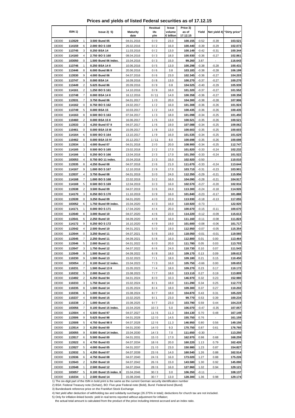**Prices and yields of listed Federal securities as of 17.12.15**

|                              |                     |                     |                                     |                          | Residual     | Issue               | Price 3)           |                    |                    |                            |
|------------------------------|---------------------|---------------------|-------------------------------------|--------------------------|--------------|---------------------|--------------------|--------------------|--------------------|----------------------------|
|                              | ISIN <sub>1</sub> ) |                     | lssue2)5                            | <b>Maturity</b><br>date  | life<br>y/m  | volume<br>€ billion | as of<br>17.12.15  | Yield              |                    | Net yield 4) "Dirty price" |
| <b>DE000</b>                 | 113529              | 1                   | 3.500 Bund 05                       | 04.01.2016               | 0/0          | 23.0                | 100.155            | $-0.52$            | $-0.39$            | 103.521                    |
| <b>DE000</b>                 | 114159              | 6                   | 2.000 BOS 159                       | 26.02.2016               | 0/2          | 16.0                | 100.440            | $-0.39$            | $-0.29$            | 102.073                    |
| <b>DE000</b>                 | 113745              | 3                   | 0.250 BSA 14                        | 11.03.2016               | 0/2          | 13.0                | 100.149            | $-0.42$            | $-0.31$            | 100.344                    |
| <b>DE000</b>                 | 114160              | 4                   | 2.750 BOS 160                       | 08.04.2016               | 0/3          | 18.0                | 100.930            | $-0.36$            | $-0.27$            | 102.861                    |
| <b>DE000</b>                 | 103050              | 0                   | 1.500 Bund 06 index.                | 15.04.2016               | 0/3          | 15.0                | 99.260             | 3.87               |                    | 116.643                    |
| <b>DE000</b>                 | 113746              | 1                   | 0.250 BSA 14 II                     | 10.06.2016               | 0/5          | 13.0                | 100.298            | $-0.38$            | $-0.28$            | 100.431                    |
| <b>DE000</b>                 | 113446              | 8                   | 6.000 Bund 86 II                    | 20.06.2016               | 0/6          | 3.8                 | 103.183            | $-0.38$            | $-0.28$            | 106.199                    |
| <b>DE000</b>                 | 113530              | 9                   | 4.000 Bund 06                       | 04.07.2016               | 0/6          | 23.0                | 102.345            | $-0.36$            | $-0.27$            | 104.203                    |
| <b>DE000</b>                 | 113747              | 9                   | 0.000 BSA 14                        | 16.09.2016               | 0/8          | 13.0                | 100.270            | $-0.37$            | $-0.27$            | 100.270                    |
| <b>DE000</b><br><b>DE000</b> | 113449<br>114161    | 2<br>$\overline{2}$ | 5.625 Bund 86<br>1.250 BOS 161      | 20.09.2016               | 0/9          | 0.8<br>16.0         | 104.525<br>101.320 | $-0.40$<br>$-0.37$ | $-0.29$            | 105.939<br>101.552         |
| <b>DE000</b>                 | 113748              | 7                   | 0.000 BSA 14 II                     | 14.10.2016<br>16.12.2016 | 0/9<br>0/11  | 14.0                | 100.358            | $-0.36$            | $-0.27$<br>$-0.27$ | 100.358                    |
| <b>DE000</b>                 | 113531              | 7                   | 3.750 Bund 06                       | 04.01.2017               | 1/0          | 20.0                | 104.300            | $-0.38$            | $-0.28$            | 107.906                    |
| <b>DE000</b>                 | 114162              | 0                   | 0.750 BOS 162                       | 24.02.2017               | 1/2          | 16.0                | 101.308            | $-0.36$            | $-0.26$            | 101.924                    |
| <b>DE000</b>                 | 113749              | 5                   | 0.000 BSA 15                        | 10.03.2017               | 1/2          | 14.0                | 100.435            | $-0.36$            | $-0.26$            | 100.435                    |
| <b>DE000</b>                 | 114163              | 8                   | 0.500 BOS 163                       | 07.04.2017               | 1/3          | 18.0                | 101.098            | $-0.34$            | $-0.25$            | 101.450                    |
| <b>DE000</b>                 | 110460              | $\overline{2}$      | 0.000 BSA 15 II                     | 16.06.2017               | 1/5          | 13.0                | 100.521            | $-0.35$            | $-0.26$            | 100.521                    |
| <b>DE000</b>                 | 113533              | 3                   | 4.250 Bund 07 II                    | 04.07.2017               | 1/6          | 19.0                | 107.088            | $-0.34$            | $-0.25$            | 109.062                    |
| <b>DE000</b>                 | 110461              | 0                   | 0.000 BSA 15 III                    | 15.09.2017               | 1/8          | 13.0                | 100.603            | $-0.35$            | $-0.25$            | 100.603                    |
| <b>DE000</b>                 | 114164              | 6                   | 0.500 BOS 164                       | 13.10.2017               | 1/9          | 16.0                | 101.535            | $-0.34$            | $-0.25$            | 101.629                    |
| <b>DE000</b>                 | 110462              | 8                   | 0.000 BSA 15 IV                     | 15.12.2017               | 1/11         | 8.0                 | 100.698            | $-0.35$            | $-0.26$            | 100.698                    |
| <b>DE000</b>                 | 113534              | 1                   | 4.000 Bund 07                       | 04.01.2018               | 2/0          | 20.0                | 108.900            | $-0.34$            | $-0.25$            | 112.747                    |
| <b>DE000</b>                 | 114165              | 3                   | 0.500 BOS 165                       | 23.02.2018               | 2/2          | 17.0                | 101.820<br>101.350 | $-0.33$            | $-0.24$            | 102.232                    |
| <b>DE000</b><br><b>DE000</b> | 114166<br>103053    | 1<br>$\overline{4}$ | 0.250 BOS 166<br>0.750 BO 11 index. | 13.04.2018<br>15.04.2018 | 2/3<br>2/3   | 17.0<br>15.0        | 102.920            | $-0.33$<br>$-0.50$ | $-0.24$            | 101.522<br>110.010         |
| <b>DE000</b>                 | 113535              | 8                   | 4.250 Bund 08                       | 04.07.2018               | 2/6          | 21.0                | 111.670            | $-0.33$            | $-0.24$            | 113.644                    |
| <b>DE000</b>                 | 114167              | 9                   | 1.000 BOS 167                       | 12.10.2018               | 2/9          | 17.0                | 103.710            | $-0.31$            | $-0.23$            | 103.901                    |
| <b>DE000</b>                 | 113537              | 4                   | 3.750 Bund 08                       | 04.01.2019               | 3/0          | 24.0                | 112.350            | $-0.29$            | $-0.21$            | 115.956                    |
| <b>DE000</b>                 | 114168              | 7                   | 1.000 BOS 168                       | 22.02.2019               | 3/2          | 16.0                | 104.090            | $-0.28$            | $-0.21$            | 104.917                    |
| <b>DE000</b>                 | 114169              | 5                   | 0.500 BOS 169                       | 12.04.2019               | 3/3          | 16.0                | 102.570            | $-0.27$            | $-0.20$            | 102.916                    |
| <b>DE000</b>                 | 113538              | 2                   | 3.500 Bund 09                       | 04.07.2019               | 3/6          | 24.0                | 113.300            | $-0.24$            | $-0.18$            | 114.926                    |
| <b>DE000</b>                 | 114170              | 3                   | 0.250 BOS 170                       | 11.10.2019               | 3/9          | 16.0                | 101.840            | $-0.23$            | $-0.17$            | 101.888                    |
| <b>DE000</b>                 | 113539              | 0                   | 3.250 Bund 09                       | 04.01.2020               | 4/0          | 22.0                | 113.930            | $-0.18$            | $-0.13$            | 117.055                    |
| <b>DE000</b>                 | 103052              | 6                   | 1.750 Bund 09 index.                | 15.04.2020               | 4/3          | 16.0                | 110.920            | $-0.73$            |                    | 122.920                    |
| <b>DE000</b>                 | 114171              | 1                   | 0.000 BOS 171                       | 17.04.2020               | 4/4          | 20.0                | 100.670            | $-0.15$            | $-0.11$            | 100.670                    |
| <b>DE000</b>                 | 113540              | 8                   | 3.000 Bund 10                       | 04.07.2020               | 4/6          | 22.0                | 114.220            | $-0.12$            | $-0.09$            | 115.613                    |
| <b>DE000</b><br><b>DE000</b> | 113541<br>114172    | 6<br>9              | 2.250 Bund 10<br>0.250 BOS 172      | 04.09.2020               | 4/8<br>4/9   | 16.0<br>19.0        | 111.160<br>101.600 | $-0.11$<br>$-0.08$ | $-0.08$<br>$-0.06$ | 111.824<br>101.717         |
| <b>DE000</b>                 | 113542              | $\overline{4}$      | 2.500 Bund 10                       | 16.10.2020<br>04.01.2021 | 5/0          | 19.0                | 112.950            | $-0.07$            | $-0.05$            | 115.354                    |
| <b>DE000</b>                 | 113544              | 0                   | 3.250 Bund 11                       | 04.07.2021               | 5/6          | 19.0                | 118.050            | $-0.01$            | $-0.01$            | 119.560                    |
| <b>DE000</b>                 | 113545              | 7                   | 2.250 Bund 11                       | 04.09.2021               | 5/8          | 16.0                | 112.800            | 0.01               | 0.00               | 113.464                    |
| <b>DE000</b>                 | 113546              | 5                   | 2.000 Bund 11                       | 04.01.2022               | 6/0          | 20.0                | 111.780            | 0.05               | 0.03               | 113.703                    |
| DE000                        | 113547              |                     | 1.750 Bund 12                       | 04.07.2022               | 6/6          | 24.0                | 110.730            | 0.10               | 0.07               | <u> 111.543</u>            |
| <b>DE000</b>                 | 113549              | 9                   | 1.500 Bund 12                       | 04.09.2022               | 6/8          | 18.0                | 109.170            | 0.13               | 0.09               | 109.613                    |
| <b>DE000</b>                 | 110230              | 9                   | 1.500 Bund 13                       | 15.02.2023               | 7/1          | 18.0                | 109.180            | 0.21               | 0.15               | 110.450                    |
| <b>DE000</b>                 | 103054              | 2                   | 0.100 Bund 12 index.                | 15.04.2023               | 7/3          | 16.0                | 105.750            | $-0.66$            | 0.00               | 109.653                    |
| <b>DE000</b>                 | 110231              | $\overline{7}$      | 1.500 Bund 13 II                    | 15.05.2023               | 7/4          | 18.0                | 109.270            | 0.23               | 0.17               | 110.172                    |
| <b>DE000</b>                 | 110232              | 5                   | 2.000 Bund 13                       | 15.08.2023               | $7/7$        | 18.0                | 113.110            | 0.27               | 0.19               | 113.809                    |
| <b>DE000</b>                 | 113492              | 2                   | 6.250 Bund 94                       | 04.01.2024               | 8/0          | 10.3                | 146.970            | 0.32               | 0.23               | 152.980                    |
| <b>DE000</b>                 | 110233              | 3                   | 1.750 Bund 14<br>1.500 Bund 14      | 15.02.2024               | 8/1          | 18.0                | 111.290<br>109.300 | 0.34<br>0.37       | 0.25               | 112.772                    |
| <b>DE000</b><br><b>DE000</b> | 110235<br>110236    | 8<br>6              | 1.000 Bund 14                       | 15.05.2024<br>15.08.2024 | 8/4<br>8/7   | 18.0<br>18.0        | 104.870            | 0.43               | 0.27<br>0.31       | 110.202<br>105.220         |
| <b>DE000</b>                 | 110237              | 4                   | 0.500 Bund 15                       | 15.02.2025               | 9/1          | 23.0                | 99.770             | 0.53               | 0.39               | 100.234                    |
| <b>DE000</b>                 | 110238              | 2                   | 1.000 Bund 15                       | 15.08.2025               | 9/7          | 23.0                | 103.790            | 0.59               | 0.44               | 104.219                    |
| <b>DE000</b>                 | 103056              | 7                   | 0.100 Bund 15 index.                | 15.04.2026               | 10/3         | 5.0                 | 106.070            | $-0.47$            | $-0.35$            | 107.057                    |
| <b>DE000</b>                 | 113504              | 4                   | 6.500 Bund 97                       | 04.07.2027               | 11/6         | 11.3                | 164.130            | 0.70               | 0.48               | 167.149                    |
| <b>DE000</b>                 | 113506              | 9                   | 5.625 Bund 98                       | 04.01.2028               | 12/0         | 14.5                | 155.750            | 0.76               |                    | 161.159                    |
| <b>DE000</b>                 | 113508              | 5                   | 4.750 Bund 98 II                    | 04.07.2028               | 12/6         | 11.3                | 146.950            | 0.80               | 0.56               | 149.156                    |
| <b>DE000</b>                 | 113514              | 3                   | 6.250 Bund 00                       | 04.01.2030               | 14/0         | 9.3                 | 170.750            | 0.87               | 0.61               | 176.760                    |
| <b>DE000</b>                 | 103055              | 9                   | 0.500 Bund 14 index.                | 15.04.2030               | 14/3         | 7.0                 | 111.650            | $-0.30$            |                    | 113.250                    |
| <b>DE000</b>                 | 113517              | 6                   | 5.500 Bund 00                       | 04.01.2031               | 15/0         | 17.0                | 162.970            | 0.98               | 0.68               | 168.259                    |
| <b>DE000</b>                 | 113522              | 6                   | 4.750 Bund 03                       | 04.07.2034               | 18/6         | 20.0                | 160.220            | 1.13               | 0.79               | 162.426                    |
| <b>DE000</b>                 | 113527              | 5                   | 4.000 Bund 05                       | 04.01.2037               | 21/0         | 23.0                | 150.980            | 1.23               | 0.87               | 154.827                    |
| <b>DE000</b><br><b>DE000</b> | 113532              | 5                   | 4.250 Bund 07<br>4.750 Bund 08      | 04.07.2039<br>04.07.2040 | 23/6<br>24/6 | 14.0<br>16.0        | 160.540<br>173.020 | 1.26<br>1.27       | 0.88<br>0.88       | 162.514<br>175.226         |
| <b>DE000</b>                 | 113536<br>113543    | 6<br>2              | 3.250 Bund 10                       | 04.07.2042               | 26/6         | 15.0                | 143.580            | 1.30               | 0.92               | 145.090                    |
| <b>DE000</b>                 | 113548              | 1                   | 2.500 Bund 12                       | 04.07.2044               | 28/6         | 16.0                | 127.960            | 1.32               | 0.94               | 129.121                    |
| <b>DE000</b>                 | 103057              | 5                   | 0.100 Bund 15 index. II             | 15.04.2046               | 30/3         | 3.0                 | 106.350            | $-0.11$            | $\sim$             | 108.137                    |
| <b>DE000</b>                 | 110234              | 1                   | 2.500 Bund 14                       | 15.08.2046               | 30/7         | 13.0                | 128.300            | 1.36               | 0.98               | 129.174                    |

2) BSA: Federal Treasury note (Schatz), BO: Five-year Federal note (Bobl), Bund: Federal bond (Bund)

3) Bundesbank reference price on the Frankfurt Stock Exchange

4) Net yield after deduction of withholding tax and solidarity surcharge (26.375% in total); deductions for church tax are not included.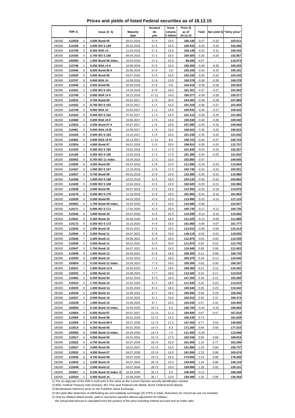**Prices and yields of listed Federal securities as of 18.12.15**

|              |                          |                         |                         | Residual | Issue               | Price 3)          |         |                |                            |
|--------------|--------------------------|-------------------------|-------------------------|----------|---------------------|-------------------|---------|----------------|----------------------------|
|              | ISIN 1)                  | lssue2)5                | <b>Maturity</b><br>date | life     | volume<br>€ billion | as of<br>18.12.15 | Yield   |                | Net yield 4) "Dirty price" |
|              |                          |                         |                         | y/m      |                     |                   |         |                |                            |
| <b>DE000</b> | 113529<br>1              | 3.500 Bund 05           | 04.01.2016              | 0/0      | 23.0                | 100.145           | $-0.27$ | $-0.20$        | 103.511                    |
| DE000        | 6<br>114159              | 2.000 BOS 159           | 26.02.2016              | 0/2      | 16.0                | 100.433           | $-0.35$ | $-0.26$        | 102.066                    |
| <b>DE000</b> | 113745<br>3              | 0.250 BSA 14            | 11.03.2016              | 0/2      | 13.0                | 100.148           | $-0.42$ | $-0.31$        | 100.343                    |
| <b>DE000</b> | 114160<br>4              | 2.750 BO S 160          | 08.04.2016              | 0/3      | 18.0                | 100.926           | $-0.35$ | -0.26          | 102.857                    |
| <b>DE000</b> | 0<br>103050              | 1.500 Bund 06 index.    | 15.04.2016              | 0/3      | 15.0                | 99.200            | 4.07    |                | 116.573                    |
| <b>DE000</b> | 113746<br>1              | 0.250 BSA 14 II         | 10.06.2016              | 0/5      | 13.0                | 100.300           | $-0.39$ | $-0.28$        | 100.433                    |
| <b>DE000</b> | 8<br>113446              | 6.000 Bund 86 II        | 20.06.2016              | 0/6      | 3.8                 | 103.165           | $-0.34$ | $-0.25$        | 106.181                    |
| <b>DE000</b> | 9<br>113530              | 4.000 Bund 06           | 04.07.2016              | 0/6      | 23.0                | 102.335           | $-0.35$ | $-0.26$        | 104.193                    |
| <b>DE000</b> | 113747<br>9              | 0.000 BSA 14            | 16.09.2016              | 0/8      | 13.0                | 100.278           | $-0.38$ | $-0.28$        | 100.278                    |
| <b>DE000</b> | 2<br>113449              | 5.625 Bund 86           | 20.09.2016              | 0/9      | 0.8                 | 104.510           | $-0.38$ | $-0.28$        | 105.924                    |
| <b>DE000</b> | 2<br>114161              | 1.250 BOS 161           | 14.10.2016              | 0/9      | 16.0                | 101.321           | $-0.37$ | $-0.27$        | 101.553                    |
| <b>DE000</b> | $\overline{7}$<br>113748 | 0.000 BSA 14 II         | 16.12.2016              | 0/11     | 14.0                | 100.377           | $-0.38$ | $-0.28$        | 100.377                    |
| <b>DE000</b> | 7<br>113531              | 3.750 Bund 06           | 04.01.2017              | 1/0      | 20.0                | 104.303           | $-0.38$ | $-0.28$        | 107.909                    |
| <b>DE000</b> | 0<br>114162              | 0.750 BOS 162           | 24.02.2017              | 1/2      | 16.0                | 101.318           | $-0.36$ | $-0.27$        | 101.934                    |
| <b>DE000</b> | 113749<br>5              | 0.000 BSA 15            | 10.03.2017              | 1/2      | 14.0                | 100.443           | $-0.36$ | $-0.27$        | 100.443                    |
| <b>DE000</b> | 8<br>114163              | 0.500 BO S 163          | 07.04.2017              | 1/3      | 18.0                | 101.113           | $-0.36$ | $-0.26$        | 101.465                    |
| <b>DE000</b> | $\overline{2}$<br>110460 | 0.000 BSA 15 II         | 16.06.2017              | 1/5      | 13.0                | 100.530           | $-0.36$ | $-0.26$        | 100.530                    |
| <b>DE000</b> | 113533<br>3              | 4.250 Bund 07 II        | 04.07.2017              | 1/6      | 19.0                | 107.095           | $-0.35$ | $-0.26$        | 109.069                    |
| <b>DE000</b> | 0<br>110461              | 0.000 BSA 15 III        | 15.09.2017              | 1/8      | 13.0                | 100.623           | $-0.36$ | $-0.26$        | 100.623                    |
| <b>DE000</b> | 114164<br>6              | 0.500 BOS 164           | 13.10.2017              | 1/9      | 16.0                | 101.548           | $-0.35$ | $-0.26$        | 101.642                    |
| <b>DE000</b> | 8<br>110462              | 0.000 BSA 15 IV         | 15.12.2017              | 1/11     | 8.0                 | 100.723           | $-0.36$ | $-0.27$        | 100.723                    |
| <b>DE000</b> | 113534<br>1              | 4.000 Bund 07           | 04.01.2018              | 2/0      | 20.0                | 108.910           | $-0.35$ | $-0.25$        | 112.757                    |
| <b>DE000</b> | 114165<br>3              | 0.500 BOS 165           | 23.02.2018              | 2/2      | 17.0                | 101.845           | $-0.34$ | $-0.25$        | 102.257                    |
| <b>DE000</b> | 1<br>114166              | 0.250 BO S 166          | 13.04.2018              | 2/3      | 17.0                | 101.380           | $-0.34$ | $-0.25$        | 101.552                    |
| <b>DE000</b> | 103053<br>4              | 0.750 BO 11 index.      | 15.04.2018              | 2/3      | 15.0                | 102.850           | $-0.47$ | $\sim$         | 109.935                    |
| <b>DE000</b> | 8<br>113535              | 4.250 Bund 08           | 04.07.2018              | 2/6      | 21.0                | 111.690           | $-0.33$ | $-0.24$        | 113.664                    |
| <b>DE000</b> | 9<br>114167              | 1.000 BOS 167           | 12.10.2018              | 2/9      | 17.0                | 103.740           | $-0.32$ | $-0.24$        | 103.931                    |
| <b>DE000</b> | 113537<br>4              | 3.750 Bund 08           | 04.01.2019              | 3/0      | 24.0                | 112.380           | $-0.30$ | $-0.22$        | 115.986                    |
| <b>DE000</b> | 114168<br>$\overline{7}$ | 1.000 BOS 168           | 22.02.2019              | 3/2      | 16.0                | 104.135           | $-0.30$ | $-0.22$        | 104.962                    |
| <b>DE000</b> | 5<br>114169              | 0.500 BOS 169           | 12.04.2019              | 3/3      | 16.0                | 102.620           | $-0.29$ | $-0.21$        | 102.966                    |
| <b>DE000</b> | 113538<br>2              | 3.500 Bund 09           | 04.07.2019              | 3/6      | 24.0                | 113.350           | $-0.25$ | $-0.18$        | 114.976                    |
|              | 3                        |                         |                         |          |                     |                   |         |                |                            |
| <b>DE000</b> | 114170                   | 0.250 BO S 170          | 11.10.2019              | 3/9      | 16.0                | 101.905           | $-0.25$ | $-0.18$        | 101.953                    |
| <b>DE000</b> | 113539<br>0              | 3.250 Bund 09           | 04.01.2020              | 4/0      | 22.0                | 113.990           | $-0.20$ | $-0.14$        | 117.115                    |
| <b>DE000</b> | 103052<br>6              | 1.750 Bund 09 index.    | 15.04.2020              | 4/3      | 16.0                | 110.680           | $-0.68$ | $\sim$         | 122.657                    |
| <b>DE000</b> | 1<br>114171              | 0.000 BOS 171           | 17.04.2020              | 4/3      | 20.0                | 100.735           | $-0.17$ | $-0.12$        | 100.735                    |
| <b>DE000</b> | 8<br>113540              | 3.000 Bund 10           | 04.07.2020              | 4/6      | 22.0                | 114.290           | $-0.14$ | $-0.10$        | 115.683                    |
| <b>DE000</b> | 113541<br>6              | 2.250 Bund 10           | 04.09.2020              | 4/8      | 16.0                | 111.225           | $-0.13$ | $-0.09$        | 111.889                    |
| <b>DE000</b> | 114172<br>9              | 0.250 BOS 172           | 16.10.2020              | 4/9      | 19.0                | 101.660           | $-0.09$ | $-0.07$        | 101.777                    |
| <b>DE000</b> | 4<br>113542              | 2.500 Bund 10           | 04.01.2021              | 5/0      | 19.0                | 113.010           | $-0.08$ | $-0.06$        | 115.414                    |
| <b>DE000</b> | 113544<br>0              | 3.250 Bund 11           | 04.07.2021              | 5/6      | 19.0                | 118.115           | $-0.02$ | $-0.01$        | 119.625                    |
| <b>DE000</b> | 113545<br>7              | 2.250 Bund 11           | 04.09.2021              | 5/8      | 16.0                | 112.875           | $-0.01$ | 0.00           | 113.539                    |
| <b>DE000</b> | 113546<br>5              | 2.000 Bund 11           | 04.01.2022              | 6/0      | 20.0                | 111.870           | 0.03    | 0.02           | 113.793                    |
| DE000        | 113547                   | 1.750 Bund 12           | 04.07.2022              | 6/6      | 24.0                | 110.840           | 0.09    | 0.06           | 111.653                    |
| <b>DE000</b> | 113549<br>9              | 1.500 Bund 12           | 04.09.2022              | 6/8      | 18.0                | 109.300           | 0.11    | 0.08           | 109.743                    |
| <b>DE000</b> | 110230<br>9              | 1.500 Bund 13           | 15.02.2023              | 7/1      | 18.0                | 109.370           | 0.18    | 0.13           | 110.640                    |
| <b>DE000</b> | 103054<br>2              | 0.100 Bund 12 index.    | 15.04.2023              | 7/3      | 16.0                | 105.300           | $-0.61$ | 0.00           | 109.187                    |
| <b>DE000</b> | 110231<br>7              | 1.500 Bund 13 II        | 15.05.2023              | 7/4      | 18.0                | 109.460           | 0.21    | 0.15           | 110.362                    |
| <b>DE000</b> | 110232<br>5              | 2.000 Bund 13           | 15.08.2023              | 7/7      | 18.0                | 113.320           | 0.24    | 0.17           | 114.019                    |
| <b>DE000</b> | 113492<br>2              | 6.250 Bund 94           | 04.01.2024              | 8/0      | 10.3                | 147.250           | 0.29    | 0.21           | 153.260                    |
| <b>DE000</b> | 110233<br>3              | 1.750 Bund 14           | 15.02.2024              | 8/1      | 18.0                | 111.530           | 0.32    | 0.23           | 113.012                    |
| <b>DE000</b> | 110235<br>8              | 1.500 Bund 14           | 15.05.2024              | 8/4      | 18.0                | 109.540           | 0.35    | 0.25           | 110.442                    |
| <b>DE000</b> | 110236<br>6              | 1.000 Bund 14           | 15.08.2024              | 8/7      | 18.0                | 105.090           | 0.40    | 0.29           | 105.440                    |
| <b>DE000</b> | 110237<br>4              | 0.500 Bund 15           | 15.02.2025              | 9/1      | 23.0                | 100.010           | 0.50    | 0.37           | 100.474                    |
| <b>DE000</b> | 110238<br>2              | 1.000 Bund 15           | 15.08.2025              | 9/7      | 23.0                | 104.030           | 0.57    | 0.42           | 104.459                    |
| <b>DE000</b> | 7<br>103056              | 0.100 Bund 15 index.    | 15.04.2026              | 10/3     | 5.0                 | 105.700           | $-0.44$ | $-0.32$        | 106.684                    |
| <b>DE000</b> | 113504<br>4              | 6.500 Bund 97           | 04.07.2027              | 11/6     | 11.3                | 164.500           | 0.67    | 0.47           | 167.519                    |
| <b>DE000</b> | 113506<br>9              | 5.625 Bund 98           | 04.01.2028              | 12/0     | 14.5                | 156.230           | 0.73    |                | 161.639                    |
| <b>DE000</b> | 5<br>113508              | 4.750 Bund 98 II        | 04.07.2028              | 12/6     | 11.3                | 147.450           | 0.77    | 0.54           | 149.656                    |
| <b>DE000</b> | 113514<br>3              | 6.250 Bund 00           | 04.01.2030              | 14/0     | 9.3                 | 171.300           | 0.84    | 0.59           | 177.310                    |
| <b>DE000</b> | 103055<br>9              | 0.500 Bund 14 index.    | 15.04.2030              | 14/3     | 7.0                 | 111.450           | $-0.28$ | $\omega$       | 113.048                    |
| <b>DE000</b> | 113517<br>6              | 5.500 Bund 00           | 04.01.2031              | 15/0     | 17.0                | 163.530           | 0.95    | 0.66           | 168.819                    |
| <b>DE000</b> | 113522<br>6              | 4.750 Bund 03           | 04.07.2034              | 18/6     | 20.0                | 161.000           | 1.10    | 0.77           | 163.206                    |
| <b>DE000</b> | 113527<br>5              | 4.000 Bund 05           | 04.01.2037              | 21/0     | 23.0                | 151.890           | 1.20    | 0.84           | 155.737                    |
| <b>DE000</b> | 113532<br>5              | 4.250 Bund 07           | 04.07.2039              | 23/6     | 14.0                | 161.500           | 1.23    | 0.86           | 163.474                    |
| <b>DE000</b> | 113536<br>6              | 4.750 Bund 08           | 04.07.2040              | 24/6     | 16.0                | 174.050           | 1.23    | 0.86           | 176.256                    |
| <b>DE000</b> | 113543<br>2              | 3.250 Bund 10           | 04.07.2042              | 26/6     | 15.0                | 144.600           | 1.26    | 0.89           | 146.110                    |
| <b>DE000</b> | 113548<br>1              | 2.500 Bund 12           | 04.07.2044              | 28/6     | 16.0                | 128.990           | 1.28    | 0.92           | 130.151                    |
| <b>DE000</b> | 103057<br>5              | 0.100 Bund 15 index. II | 15.04.2046              | 30/3     | 3.0                 | 106.400           | $-0.11$ | $\blacksquare$ | 108.188                    |
| <b>DE000</b> | 110234<br>1              | 2.500 Bund 14           | 15.08.2046              | 30/7     | 13.0                | 129.480           | 1.32    | 0.95           | 130.354                    |

2) BSA: Federal Treasury note (Schatz), BO: Five-year Federal note (Bobl), Bund: Federal bond (Bund)

3) Bundesbank reference price on the Frankfurt Stock Exchange

4) Net yield after deduction of withholding tax and solidarity surcharge (26.375% in total); deductions for church tax are not included.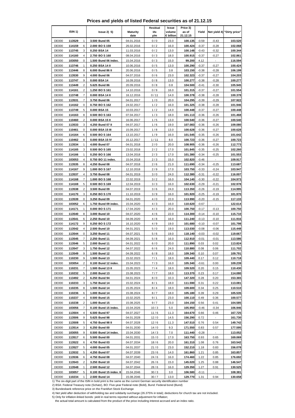**Prices and yields of listed Federal securities as of 21.12.15**

|                              |                     |                     |                                     |                          | <b>Residual</b> | Issue               | Price 3)           |                    |                    |                            |
|------------------------------|---------------------|---------------------|-------------------------------------|--------------------------|-----------------|---------------------|--------------------|--------------------|--------------------|----------------------------|
|                              | ISIN <sub>1</sub> ) |                     | lssue2)5)                           | <b>Maturity</b><br>date  | life<br>y/m     | volume<br>€ billion | as of<br>21.12.15  | Yield              |                    | Net yield 4) "Dirty price" |
| <b>DE000</b>                 | 113529              | 1                   | 3.500 Bund 05                       | 04.01.2016               | 0/0             | 23.0                | 100.135            | $-0.59$            | $-0.43$            | 103.520                    |
| <b>DE000</b>                 | 114159              | 6                   | 2.000 BOS 159                       | 26.02.2016               | 0/2             | 16.0                | 100.424            | $-0.37$            | $-0.28$            | 102.068                    |
| <b>DE000</b>                 | 113745              | 3                   | 0.250 BSA 14                        | 11.03.2016               | 0/2             | 13.0                | 100.148            | $-0.43$            | $-0.32$            | 100.344                    |
| <b>DE000</b>                 | 114160              | 4                   | 2.750 BOS 160                       | 08.04.2016               | 0/3             | 18.0                | 100.915            | $-0.37$            | $-0.27$            | 102.861                    |
| <b>DE000</b>                 | 103050              | 0                   | 1.500 Bund 06 index.                | 15.04.2016               | 0/3             | 15.0                | 99.200             | 4.12               |                    | 116.594                    |
| <b>DE000</b>                 | 113746              | 1                   | 0.250 BSA 14 II                     | 10.06.2016               | 0/5             | 13.0                | 100.290            | $-0.37$            | $-0.27$            | 100.424                    |
| <b>DE000</b>                 | 113446              | 8                   | 6.000 Bund 86 II                    | 20.06.2016               | 0/5             | 3.8                 | 103.150            | $-0.38$            | $-0.28$            | 106.199                    |
| <b>DE000</b>                 | 113530              | 9                   | 4.000 Bund 06                       | 04.07.2016               | 0/6             | 23.0                | 102.323            | $-0.37$            | $-0.27$            | 104.203                    |
| <b>DE000</b>                 | 113747              | 9                   | 0.000 BSA 14                        | 16.09.2016               | 0/8             | 13.0                | 100.277            | $-0.38$            | $-0.28$            | 100.277                    |
| <b>DE000</b><br><b>DE000</b> | 113449<br>114161    | 2<br>$\overline{2}$ | 5.625 Bund 86<br>1.250 BOS 161      | 20.09.2016<br>14.10.2016 | 0/8<br>0/9      | 0.8<br>16.0         | 104.500<br>101.315 | $-0.41$<br>$-0.37$ | $-0.30$<br>$-0.27$ | 105.945<br>101.554         |
| <b>DE000</b>                 | 113748              | 7                   | 0.000 BSA 14 II                     | 16.12.2016               | 0/11            | 14.0                | 100.378            | $-0.38$            | $-0.28$            | 100.378                    |
| <b>DE000</b>                 | 113531              | $\overline{7}$      | 3.750 Bund 06                       | 04.01.2017               | 1/0             | 20.0                | 104.295            | $-0.39$            | $-0.29$            | 107.922                    |
| <b>DE000</b>                 | 114162              | 0                   | 0.750 BOS 162                       | 24.02.2017               | 1/2             | 16.0                | 101.325            | $-0.38$            | $-0.28$            | 101.946                    |
| <b>DE000</b>                 | 113749              | 5                   | 0.000 BSA 15                        | 10.03.2017               | 1/2             | 14.0                | 100.448            | $-0.37$            | $-0.27$            | 100.448                    |
| <b>DE000</b>                 | 114163              | 8                   | 0.500 BOS 163                       | 07.04.2017               | 1/3             | 18.0                | 101.113            | $-0.36$            | $-0.26$            | 101.468                    |
| <b>DE000</b>                 | 110460              | $\overline{2}$      | 0.000 BSA 15 II                     | 16.06.2017               | 1/5             | 13.0                | 100.540            | $-0.36$            | $-0.27$            | 100.540                    |
| <b>DE000</b>                 | 113533              | 3                   | 4.250 Bund 07 II                    | 04.07.2017               | 1/6             | 19.0                | 107.083            | $-0.36$            | $-0.26$            | 109.080                    |
| DE000                        | 110461              | 0                   | 0.000 BSA 15 III                    | 15.09.2017               | 1/8             | 13.0                | 100.628            | $-0.36$            | $-0.27$            | 100.628                    |
| <b>DE000</b>                 | 114164              | 6                   | 0.500 BOS 164                       | 13.10.2017               | 1/9             | 16.0                | 101.545            | $-0.35$            | $-0.26$            | 101.642                    |
| <b>DE000</b>                 | 110462              | 8                   | 0.000 BSA 15 IV                     | 15.12.2017               | 1/11            | 8.0                 | 100.723            | $-0.36$            | $-0.27$            | 100.723                    |
| <b>DE000</b>                 | 113534              | 1                   | 4.000 Bund 07                       | 04.01.2018               | 2/0             | 20.0                | 108.905            | $-0.36$            | $-0.26$            | 112.773                    |
| <b>DE000</b>                 | 114165              | 3<br>1              | 0.500 BOS 165                       | 23.02.2018               | 2/2             | 17.0                | 101.845            | $-0.35$            | $-0.25$            | 102.260<br>101.553         |
| <b>DE000</b><br><b>DE000</b> | 114166<br>103053    | 4                   | 0.250 BOS 166<br>0.750 BO 11 index. | 13.04.2018<br>15.04.2018 | 2/3<br>2/3      | 17.0<br>15.0        | 101.380<br>102.820 | $-0.34$<br>$-0.46$ | $-0.25$            | 109.917                    |
| <b>DE000</b>                 | 113535              | 8                   | 4.250 Bund 08                       | 04.07.2018               | 2/6             | 21.0                | 111.690            | $-0.34$            | $-0.25$            | 113.687                    |
| <b>DE000</b>                 | 114167              | 9                   | 1.000 BOS 167                       | 12.10.2018               | 2/9             | 17.0                | 103.750            | $-0.33$            | $-0.24$            | 103.947                    |
| <b>DE000</b>                 | 113537              | 4                   | 3.750 Bund 08                       | 04.01.2019               | 3/0             | 24.0                | 112.380            | $-0.31$            | $-0.22$            | 116.007                    |
| <b>DE000</b>                 | 114168              | 7                   | 1.000 BOS 168                       | 22.02.2019               | 3/2             | 16.0                | 104.140            | $-0.30$            | $-0.22$            | 104.973                    |
| <b>DE000</b>                 | 114169              | 5                   | 0.500 BOS 169                       | 12.04.2019               | 3/3             | 16.0                | 102.630            | $-0.29$            | $-0.21$            | 102.978                    |
| <b>DE000</b>                 | 113538              | 2                   | 3.500 Bund 09                       | 04.07.2019               | 3/6             | 24.0                | 113.350            | $-0.26$            | $-0.19$            | 114.995                    |
| <b>DE000</b>                 | 114170              | 3                   | 0.250 BOS 170                       | 11.10.2019               | 3/9             | 16.0                | 101.920            | $-0.25$            | $-0.19$            | 101.970                    |
| <b>DE000</b>                 | 113539              | 0                   | 3.250 Bund 09                       | 04.01.2020               | 4/0             | 22.0                | 113.990            | $-0.20$            | $-0.15$            | 117.133                    |
| <b>DE000</b>                 | 103052              | 6                   | 1.750 Bund 09 index.                | 15.04.2020               | 4/3             | 16.0                | 110.620            | $-0.67$            | $\blacksquare$     | 122.614                    |
| <b>DE000</b>                 | 114171              | 1                   | 0.000 BOS 171                       | 17.04.2020               | 4/3             | 20.0                | 100.750            | $-0.17$            | $-0.13$            | 100.750                    |
| <b>DE000</b><br><b>DE000</b> | 113540<br>113541    | 8<br>6              | 3.000 Bund 10<br>2.250 Bund 10      | 04.07.2020<br>04.09.2020 | 4/6<br>4/8      | 22.0<br>16.0        | 114.300<br>111.240 | $-0.14$<br>$-0.13$ | $-0.10$<br>$-0.10$ | 115.710<br>111.916         |
| <b>DE000</b>                 | 114172              | 9                   | 0.250 BOS 172                       | 16.10.2020               | 4/9             | 19.0                | 101.680            | $-0.10$            | $-0.07$            | 101.798                    |
| <b>DE000</b>                 | 113542              | 4                   | 2.500 Bund 10                       | 04.01.2021               | 5/0             | 19.0                | 113.030            | $-0.08$            | $-0.06$            | 115.448                    |
| <b>DE000</b>                 | 113544              | 0                   | 3.250 Bund 11                       | 04.07.2021               | 5/6             | 19.0                | 118.140            | $-0.03$            | $-0.02$            | 119.667                    |
| <b>DE000</b>                 | 113545              | $\overline{7}$      | 2.250 Bund 11                       | 04.09.2021               | 5/8             | 16.0                | 112.910            | $-0.01$            | $-0.01$            | 113.586                    |
| <b>DE000</b>                 | 113546              | 5                   | 2.000 Bund 11                       | 04.01.2022               | 6/0             | 20.0                | 111.890            | 0.03               | 0.02               | 113.824                    |
| <b>DE000</b>                 | 113547              |                     | 1.750 Bund 12                       | 04.07.2022               | 6/6             | 24.0                | 110.880            | 0.08               | 0.06               | 111.702                    |
| <b>DE000</b>                 | 113549              | 9                   | 1.500 Bund 12                       | 04.09.2022               | 6/8             | 18.0                | 109.340            | 0.10               | 0.07               | 109.791                    |
| DE000                        | 110230              | 9                   | 1.500 Bund 13                       | 15.02.2023               | 7/1             | 18.0                | 109.440            | 0.17               | 0.12               | 110.718                    |
| <b>DE000</b>                 | 103054              | 2                   | 0.100 Bund 12 index.                | 15.04.2023               | 7/3             | 16.0                | 105.340            | $-0.61$            | 0.00               | 109.239                    |
| <b>DE000</b>                 | 110231              | 7                   | 1.500 Bund 13 II                    | 15.05.2023               | 7/4             | 18.0                | 109.520            | 0.20               | 0.15               | 110.430                    |
| <b>DE000</b>                 | 110232              | 5                   | 2.000 Bund 13                       | 15.08.2023               | 7/7             | 18.0                | 113.370            | 0.23               | 0.17               | 114.080                    |
| <b>DE000</b>                 | 113492              | 2                   | 6.250 Bund 94                       | 04.01.2024               | 8/0             | 10.3                | 147.320            | 0.28               | 0.20               | 153.365                    |
| <b>DE000</b><br><b>DE000</b> | 110233<br>110235    | 3<br>8              | 1.750 Bund 14<br>1.500 Bund 14      | 15.02.2024<br>15.05.2024 | 8/1<br>8/4      | 18.0<br>18.0        | 111.590<br>109.600 | 0.31<br>0.34       | 0.22<br>0.25       | 113.081<br>110.510         |
| <b>DE000</b>                 | 110236              | 6                   | 1.000 Bund 14                       | 15.08.2024               | 8/7             | 18.0                | 105.180            | 0.39               | 0.29               | 105.535                    |
| <b>DE000</b>                 | 110237              | 4                   | 0.500 Bund 15                       | 15.02.2025               | 9/1             | 23.0                | 100.110            | 0.49               | 0.36               | 100.577                    |
| <b>DE000</b>                 | 110238              | 2                   | 1.000 Bund 15                       | 15.08.2025               | 9/7             | 23.0                | 104.150            | 0.56               | 0.41               | 104.585                    |
| <b>DE000</b>                 | 103056              | 7                   | 0.100 Bund 15 index.                | 15.04.2026               | 10/3            | 5.0                 | 105.950            | $-0.46$            | $-0.34$            | 106.946                    |
| <b>DE000</b>                 | 113504              | 4                   | 6.500 Bund 97                       | 04.07.2027               | 11/6            | 11.3                | 164.670            | 0.66               | 0.46               | 167.725                    |
| <b>DE000</b>                 | 113506              | 9                   | 5.625 Bund 98                       | 04.01.2028               | 12/0            | 14.5                | 156.290            | 0.72               |                    | 161.730                    |
| <b>DE000</b>                 | 113508              | 5                   | 4.750 Bund 98 II                    | 04.07.2028               | 12/6            | 11.3                | 147.510            | 0.76               | 0.54               | 149.742                    |
| <b>DE000</b>                 | 113514              | 3                   | 6.250 Bund 00                       | 04.01.2030               | 14/0            | 9.3                 | 171.550            | 0.83               | 0.57               | 177.595                    |
| <b>DE000</b>                 | 103055              | 9                   | 0.500 Bund 14 index.                | 15.04.2030               | 14/3            | 7.0                 | 111.440            | $-0.28$            |                    | 113.052                    |
| <b>DE000</b>                 | 113517              | 6                   | 5.500 Bund 00                       | 04.01.2031               | 15/0            | 17.0                | 163.750            | 0.93               | 0.65               | 169.069                    |
| <b>DE000</b>                 | 113522              | 6                   | 4.750 Bund 03                       | 04.07.2034               | 18/6            | 20.0                | 161.310            | 1.08               | 0.76               | 163.542                    |
| <b>DE000</b><br><b>DE000</b> | 113527<br>113532    | 5<br>5              | 4.000 Bund 05<br>4.250 Bund 07      | 04.01.2037<br>04.07.2039 | 21/0<br>23/6    | 23.0<br>14.0        | 152.210<br>161.860 | 1.18<br>1.21       | 0.83<br>0.85       | 156.078<br>163.857         |
| <b>DE000</b>                 | 113536              | 6                   | 4.750 Bund 08                       | 04.07.2040               | 24/6            | 16.0                | 174.460            | 1.22               | 0.85               | 176.692                    |
| <b>DE000</b>                 | 113543              | 2                   | 3.250 Bund 10                       | 04.07.2042               | 26/6            | 15.0                | 145.020            | 1.25               | 0.88               | 146.547                    |
| <b>DE000</b>                 | 113548              | $\mathbf{1}$        | 2.500 Bund 12                       | 04.07.2044               | 28/6            | 16.0                | 129.350            | 1.27               | 0.91               | 130.525                    |
| <b>DE000</b>                 | 103057              | 5                   | 0.100 Bund 15 index. II             | 15.04.2046               | 30/3            | 3.0                 | 106.580            | $-0.11$            |                    | 108.381                    |
| <b>DE000</b>                 | 110234              | $\mathbf{1}$        | 2.500 Bund 14                       | 15.08.2046               | 30/7            | 13.0                | 129.770            | 1.31               | 0.94               | 130.658                    |

2) BSA: Federal Treasury note (Schatz), BO: Five-year Federal note (Bobl), Bund: Federal bond (Bund)

3) Bundesbank reference price on the Frankfurt Stock Exchange

4) Net yield after deduction of withholding tax and solidarity surcharge (26.375% in total); deductions for church tax are not included.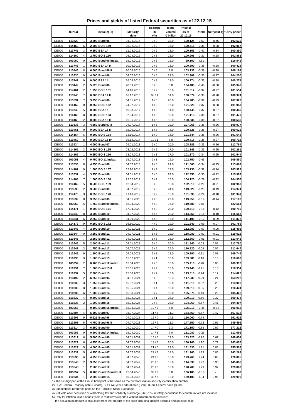**Prices and yields of listed Federal securities as of 22.12.15**

|                              | ISIN <sub>1</sub> ) |                     |                                          |                          | <b>Residual</b> | Issue               | Price 3)           |                    |                    |                            |
|------------------------------|---------------------|---------------------|------------------------------------------|--------------------------|-----------------|---------------------|--------------------|--------------------|--------------------|----------------------------|
|                              |                     |                     | lssue2)5)                                | <b>Maturity</b><br>date  | life<br>y/m     | volume<br>€ billion | as of<br>22.12.15  | Yield              |                    | Net yield 4) "Dirty price" |
| <b>DE000</b>                 | 113529              | 1                   | 3.500 Bund 05                            | 04.01.2016               | 0/0             | 23.0                | 100.125            | $-0.63$            | $-0.46$            | 103.520                    |
| <b>DE000</b>                 | 114159              | 6                   | 2.000 BOS 159                            | 26.02.2016               | 0/2             | 16.0                | 100.418            | $-0.38$            | $-0.28$            | 102.067                    |
| <b>DE000</b>                 | 113745              | 3                   | 0.250 BSA 14                             | 11.03.2016               | 0/2             | 13.0                | 100.153            | $-0.47$            | $-0.34$            | 100.350                    |
| <b>DE000</b>                 | 114160              | 4                   | 2.750 BOS 160                            | 08.04.2016               | 0/3             | 18.0                | 100.908            | $-0.37$            | $-0.28$            | 102.862                    |
| <b>DE000</b>                 | 103050              | 0                   | 1.500 Bund 06 index.                     | 15.04.2016               | 0/3             | 15.0                | 99.150             | 4.31               |                    | 116.546                    |
| <b>DE000</b>                 | 113746              | 1                   | 0.250 BSA 14 II                          | 10.06.2016               | 0/5             | 13.0                | 100.290            | $-0.38$            | $-0.28$            | 100.425                    |
| <b>DE000</b>                 | 113446              | 8                   | 6.000 Bund 86 II                         | 20.06.2016               | 0/5             | 3.8                 | 103.133            | $-0.38$            | $-0.28$            | 106.199                    |
| <b>DE000</b>                 | 113530              | 9                   | 4.000 Bund 06                            | 04.07.2016               | 0/6             | 23.0                | 102.309            | $-0.36$            | $-0.27$            | 104.200                    |
| <b>DE000</b>                 | 113747              | 9                   | 0.000 BSA 14                             | 16.09.2016               | 0/8             | 13.0                | 100.274            | $-0.37$            | $-0.28$            | 100.274                    |
| <b>DE000</b>                 | 113449              | 2                   | 5.625 Bund 86                            | 20.09.2016               | 0/8             | 0.8                 | 104.480            | $-0.40$            | $-0.30$            | 105.940                    |
| <b>DE000</b><br><b>DE000</b> | 114161<br>113748    | $\overline{2}$<br>7 | 1.250 BOS 161<br>0.000 BSA 14 II         | 14.10.2016<br>16.12.2016 | 0/9<br>0/11     | 16.0<br>14.0        | 101.312<br>100.374 | $-0.37$<br>$-0.38$ | $-0.27$<br>$-0.28$ | 101.554<br>100.374         |
| <b>DE000</b>                 | 113531              | $\overline{7}$      | 3.750 Bund 06                            | 04.01.2017               | 1/0             | 20.0                | 104.285            | $-0.39$            | $-0.29$            | 107.922                    |
| <b>DE000</b>                 | 114162              | 0                   | 0.750 BOS 162                            | 24.02.2017               | 1/2             | 16.0                | 101.320            | $-0.37$            | $-0.28$            | 101.943                    |
| <b>DE000</b>                 | 113749              | 5                   | 0.000 BSA 15                             | 10.03.2017               | 1/2             | 14.0                | 100.445            | $-0.37$            | $-0.27$            | 100.445                    |
| <b>DE000</b>                 | 114163              | 8                   | 0.500 BOS 163                            | 07.04.2017               | 1/3             | 18.0                | 101.113            | $-0.36$            | $-0.27$            | 101.470                    |
| <b>DE000</b>                 | 110460              | $\overline{2}$      | 0.000 BSA 15 II                          | 16.06.2017               | 1/5             | 13.0                | 100.536            | $-0.36$            | $-0.27$            | 100.536                    |
| <b>DE000</b>                 | 113533              | 3                   | 4.250 Bund 07 II                         | 04.07.2017               | 1/6             | 19.0                | 107.068            | $-0.36$            | $-0.26$            | 109.077                    |
| DE000                        | 110461              | 0                   | 0.000 BSA 15 III                         | 15.09.2017               | 1/8             | 13.0                | 100.625            | $-0.36$            | $-0.27$            | 100.625                    |
| <b>DE000</b>                 | 114164              | 6                   | 0.500 BOS 164                            | 13.10.2017               | 1/9             | 16.0                | 101.544            | $-0.35$            | $-0.26$            | 101.642                    |
| <b>DE000</b>                 | 110462              | 8                   | 0.000 BSA 15 IV                          | 15.12.2017               | 1/11            | 8.0                 | 100.718            | $-0.36$            | $-0.27$            | 100.718                    |
| <b>DE000</b>                 | 113534              | 1                   | 4.000 Bund 07                            | 04.01.2018               | 2/0             | 20.0                | 108.885            | $-0.35$            | $-0.26$            | 112.764                    |
| <b>DE000</b>                 | 114165              | 3                   | 0.500 BOS 165                            | 23.02.2018               | 2/2             | 17.0                | 101.845            | $-0.35$            | $-0.25$            | 102.261                    |
| <b>DE000</b>                 | 114166              | 1                   | 0.250 BOS 166                            | 13.04.2018               | 2/3             | 17.0                | 101.370            | $-0.34$            | $-0.25$            | 101.544                    |
| <b>DE000</b>                 | 103053              | 4                   | 0.750 BO 11 index.                       | 15.04.2018               | 2/3             | 15.0                | 102.750            | $-0.43$            |                    | 109.850                    |
| <b>DE000</b>                 | 113535              | 8                   | 4.250 Bund 08                            | 04.07.2018               | 2/6             | 21.0                | 111.660            | $-0.34$            | $-0.25$            | 113.669                    |
| <b>DE000</b>                 | 114167              | 9                   | 1.000 BOS 167                            | 12.10.2018               | 2/9             | 17.0                | 103.730            | $-0.32$            | $-0.24$            | 103.929                    |
| <b>DE000</b>                 | 113537              | 4                   | 3.750 Bund 08                            | 04.01.2019               | 3/0             | 24.0                | 112.350            | $-0.30$            | $-0.22$            | 115.987                    |
| <b>DE000</b>                 | 114168              | 7                   | 1.000 BOS 168                            | 22.02.2019               | 3/2             | 16.0                | 104.120            | $-0.29$            | $-0.22$            | 104.956                    |
| <b>DE000</b><br><b>DE000</b> | 114169              | 5<br>2              | 0.500 BOS 169<br>3.500 Bund 09           | 12.04.2019<br>04.07.2019 | 3/3<br>3/6      | 16.0<br>24.0        | 102.610<br>113.320 | $-0.29$<br>$-0.25$ | $-0.21$<br>$-0.19$ | 102.960                    |
| <b>DE000</b>                 | 113538<br>114170    | 3                   | 0.250 BOS 170                            | 11.10.2019               | 3/9             | 16.0                | 101.890            | $-0.24$            | $-0.18$            | 114.974<br>101.941         |
| <b>DE000</b>                 | 113539              | 0                   | 3.250 Bund 09                            | 04.01.2020               | 4/0             | 22.0                | 113.950            | $-0.19$            | $-0.14$            | 117.102                    |
| <b>DE000</b>                 | 103052              | 6                   | 1.750 Bund 09 index.                     | 15.04.2020               | 4/3             | 16.0                | 110.580            | $-0.66$            | $\blacksquare$     | 122.581                    |
| <b>DE000</b>                 | 114171              | 1                   | 0.000 BOS 171                            | 17.04.2020               | 4/3             | 20.0                | 100.710            | $-0.16$            | $-0.12$            | 100.710                    |
| <b>DE000</b>                 | 113540              | 8                   | 3.000 Bund 10                            | 04.07.2020               | 4/6             | 22.0                | 114.250            | $-0.14$            | $-0.10$            | 115.668                    |
| <b>DE000</b>                 | 113541              | 6                   | 2.250 Bund 10                            | 04.09.2020               | 4/8             | 16.0                | 111.190            | $-0.12$            | $-0.09$            | 111.872                    |
| <b>DE000</b>                 | 114172              | 9                   | 0.250 BOS 172                            | 16.10.2020               | 4/9             | 19.0                | 101.640            | $-0.09$            | $-0.07$            | 101.759                    |
| <b>DE000</b>                 | 113542              | 4                   | 2.500 Bund 10                            | 04.01.2021               | 5/0             | 19.0                | 112.980            | $-0.07$            | $-0.05$            | 115.405                    |
| <b>DE000</b>                 | 113544              | 0                   | 3.250 Bund 11                            | 04.07.2021               | 5/6             | 19.0                | 118.080            | $-0.02$            | $-0.01$            | 119.616                    |
| <b>DE000</b>                 | 113545              | $\overline{7}$      | 2.250 Bund 11                            | 04.09.2021               | 5/8             | 16.0                | 112.860            | $-0.01$            | $-0.01$            | 113.542                    |
| <b>DE000</b>                 | 113546              | 5                   | 2.000 Bund 11                            | 04.01.2022               | 6/0             | 20.0                | 111.840            | 0.03               | 0.02               | 113.780                    |
| <b>DE000</b>                 | 113547              |                     | 1.750 Bund 12                            | 04.07.2022               | 6/6             | 24.0                | 110.820            | 0.09               | 0.06               | 111.647                    |
| <b>DE000</b>                 | 113549              | 9                   | 1.500 Bund 12                            | 04.09.2022               | 6/8             | 18.0                | 109.290            | 0.11               | 0.08               | 109.745                    |
| DE000                        | 110230              | 9                   | 1.500 Bund 13                            | 15.02.2023               | 7/1             | 18.0                | 109.380            | 0.18               | 0.13               | 110.662                    |
| <b>DE000</b>                 | 103054              | 2                   | 0.100 Bund 12 index.                     | 15.04.2023               | 7/3             | 16.0                | 105.410            | $-0.62$            | 0.00               | 109.318                    |
| <b>DE000</b>                 | 110231              | 7                   | 1.500 Bund 13 II                         | 15.05.2023               | 7/4             | 18.0                | 109.440            | 0.21               | 0.15               | 110.354                    |
| <b>DE000</b>                 | 110232              | 5<br>2              | 2.000 Bund 13<br>6.250 Bund 94           | 15.08.2023<br>04.01.2024 | 7/7             | 18.0                | 113.310<br>147.230 | 0.24               | 0.17               | 114.026                    |
| <b>DE000</b><br><b>DE000</b> | 113492<br>110233    | 3                   | 1.750 Bund 14                            | 15.02.2024               | 8/0<br>8/1      | 10.3<br>18.0        | 111.510            | 0.29<br>0.32       | 0.21<br>0.23       | 153.292<br>113.006         |
| <b>DE000</b>                 | 110235              | 8                   | 1.500 Bund 14                            | 15.05.2024               | 8/4             | 18.0                | 109.510            | 0.35               | 0.25               | 110.424                    |
| <b>DE000</b>                 | 110236              | 6                   | 1.000 Bund 14                            | 15.08.2024               | 8/7             | 18.0                | 105.070            | 0.40               | 0.29               | 105.428                    |
| <b>DE000</b>                 | 110237              | 4                   | 0.500 Bund 15                            | 15.02.2025               | 9/1             | 23.0                | 100.010            | 0.50               | 0.37               | 100.478                    |
| <b>DE000</b>                 | 110238              | 2                   | 1.000 Bund 15                            | 15.08.2025               | 9/7             | 23.0                | 104.060            | 0.57               | 0.41               | 104.497                    |
| <b>DE000</b>                 | 103056              | 7                   | 0.100 Bund 15 index.                     | 15.04.2026               | 10/3            | 5.0                 | 105.910            | $-0.46$            | $-0.34$            | 106.912                    |
| <b>DE000</b>                 | 113504              | 4                   | 6.500 Bund 97                            | 04.07.2027               | 11/6            | 11.3                | 164.460            | 0.67               | 0.47               | 167.532                    |
| <b>DE000</b>                 | 113506              | 9                   | 5.625 Bund 98                            | 04.01.2028               | 12/0            | 14.5                | 156.060            | 0.74               |                    | 161.515                    |
| <b>DE000</b>                 | 113508              | 5                   | 4.750 Bund 98 II                         | 04.07.2028               | 12/6            | 11.3                | 147.250            | 0.78               | 0.55               | 149.495                    |
| <b>DE000</b>                 | 113514              | 3                   | 6.250 Bund 00                            | 04.01.2030               | 14/0            | 9.3                 | 171.150            | 0.85               | 0.59               | 177.212                    |
| <b>DE000</b>                 | 103055              | 9                   | 0.500 Bund 14 index.                     | 15.04.2030               | 14/3            | 7.0                 | 111.080            | $-0.26$            |                    | 112.695                    |
| <b>DE000</b>                 | 113517              | 6                   | 5.500 Bund 00                            | 04.01.2031               | 15/0            | 17.0                | 163.320            | 0.96               | 0.67               | 168.654                    |
| <b>DE000</b>                 | 113522              | 6                   | 4.750 Bund 03                            | 04.07.2034               | 18/6            | 20.0                | 160.760            | 1.10               | 0.77               | 163.005                    |
| <b>DE000</b>                 | 113527              | 5                   | 4.000 Bund 05                            | 04.01.2037               | 21/0            | 23.0                | 151.630            | 1.21               | 0.85               | 155.509                    |
| <b>DE000</b>                 | 113532              | 5                   | 4.250 Bund 07                            | 04.07.2039               | 23/6            | 14.0                | 161.260            | 1.23               | 0.86               | 163.269                    |
| <b>DE000</b>                 | 113536              | 6                   | 4.750 Bund 08                            | 04.07.2040               | 24/6            | 16.0                | 173.760            | 1.24               | 0.86               | 176.005                    |
| <b>DE000</b>                 | 113543              | 2                   | 3.250 Bund 10                            | 04.07.2042               | 26/6            | 15.0                | 144.330            | 1.27               | 0.90               | 145.866                    |
| <b>DE000</b><br><b>DE000</b> | 113548<br>103057    | $\mathbf{1}$<br>5   | 2.500 Bund 12<br>0.100 Bund 15 index. II | 04.07.2044<br>15.04.2046 | 28/6<br>30/3    | 16.0<br>3.0         | 128.700<br>106.180 | 1.29<br>$-0.10$    | 0.92               | 129.882<br>107.980         |
| <b>DE000</b>                 | 110234              | $\mathbf{1}$        | 2.500 Bund 14                            | 15.08.2046               | 30/7            | 13.0                | 129.100            | 1.34               | 0.96               | 129.995                    |

2) BSA: Federal Treasury note (Schatz), BO: Five-year Federal note (Bobl), Bund: Federal bond (Bund)

3) Bundesbank reference price on the Frankfurt Stock Exchange

4) Net yield after deduction of withholding tax and solidarity surcharge (26.375% in total); deductions for church tax are not included.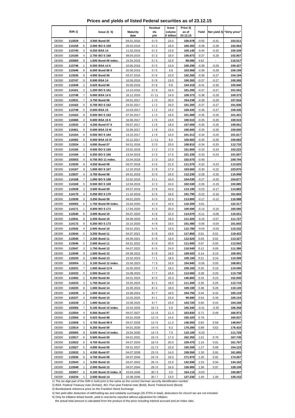**Prices and yields of listed Federal securities as of 23.12.15**

|                              | ISIN <sub>1</sub> ) |                     | lssue2)5)                                | <b>Maturity</b>          | Residual<br>life | Issue<br>volume | Price 3)<br>as of  | Yield              |                           | Net yield 4) "Dirty price" |
|------------------------------|---------------------|---------------------|------------------------------------------|--------------------------|------------------|-----------------|--------------------|--------------------|---------------------------|----------------------------|
|                              |                     |                     |                                          | date                     | y/m              | € billion       | 23.12.15           |                    |                           |                            |
| <b>DE000</b>                 | 113529              | 1                   | 3.500 Bund 05                            | 04.01.2016               | 0/0              | 23.0            | 100.078            | $-0.55$            | $-0.41$                   | 103.511                    |
| <b>DE000</b>                 | 114159              | 6                   | 2.000 BOS 159                            | 26.02.2016               | 0/2              | 16.0            | 100.393            | $-0.38$            | $-0.28$                   | 102.064                    |
| <b>DE000</b>                 | 113745              | 3                   | 0.250 BSA 14                             | 11.03.2016               | 0/2              | 13.0            | 100.140            | $-0.44$            | $-0.32$                   | 100.339                    |
| <b>DE000</b>                 | 114160              | 4                   | 2.750 BOS 160                            | 08.04.2016               | 0/3              | 18.0            | 100.873            | $-0.37$            | $-0.28$                   | 102.857                    |
| <b>DE000</b>                 | 103050              | 0                   | 1.500 Bund 06 index.                     | 15.04.2016               | 0/3              | 15.0            | 99.090             | 4.62               |                           | 116.517                    |
| <b>DE000</b><br><b>DE000</b> | 113746<br>113446    | 1<br>8              | 0.250 BSA 14 II<br>6.000 Bund 86 II      | 10.06.2016<br>20.06.2016 | 0/5<br>0/5       | 13.0<br>3.8     | 100.290<br>103.068 | $-0.39$<br>$-0.39$ | $-0.29$<br>$-0.29$        | 100.427<br>106.199         |
| <b>DE000</b>                 | 113530              | 9                   | 4.000 Bund 06                            | 04.07.2016               | 0/6              | 23.0            | 102.260            | $-0.36$            | $-0.27$                   | 104.194                    |
| <b>DE000</b>                 | 113747              | 9                   | 0.000 BSA 14                             | 16.09.2016               | 0/8              | 13.0            | 100.265            | $-0.37$            | $-0.27$                   | 100.265                    |
| <b>DE000</b>                 | 113449              | 2                   | 5.625 Bund 86                            | 20.09.2016               | 0/8              | 0.8             | 104.418            | $-0.41$            | $-0.30$                   | 105.940                    |
| <b>DE000</b>                 | 114161              | $\overline{2}$      | 1.250 BOS 161                            | 14.10.2016               | 0/9              | 16.0            | 101.295            | $-0.37$            | $-0.27$                   | 101.551                    |
| <b>DE000</b>                 | 113748              | 7                   | 0.000 BSA 14 II                          | 16.12.2016               | 0/11             | 14.0            | 100.373            | $-0.38$            | $-0.28$                   | 100.373                    |
| <b>DE000</b>                 | 113531              | $\overline{7}$      | 3.750 Bund 06                            | 04.01.2017               | 1/0              | 20.0            | 104.238            | $-0.39$            | $-0.29$                   | 107.916                    |
| <b>DE000</b><br><b>DE000</b> | 114162              | 0<br>5              | 0.750 BOS 162                            | 24.02.2017               | 1/2<br>1/2       | 16.0            | 101.305<br>100.435 | $-0.37$<br>$-0.36$ | $-0.27$                   | 101.936                    |
| <b>DE000</b>                 | 113749<br>114163    | 8                   | 0.000 BSA 15<br>0.500 BOS 163            | 10.03.2017<br>07.04.2017 | 1/3              | 14.0<br>18.0    | 101.089            | $-0.35$            | $-0.27$<br>$-0.26$        | 100.435<br>101.451         |
| <b>DE000</b>                 | 110460              | $\overline{2}$      | 0.000 BSA 15 II                          | 16.06.2017               | 1/5              | 13.0            | 100.515            | $-0.35$            | $-0.26$                   | 100.515                    |
| <b>DE000</b>                 | 113533              | 3                   | 4.250 Bund 07 II                         | 04.07.2017               | 1/6              | 19.0            | 107.006            | $-0.35$            | $-0.26$                   | 109.061                    |
| DE000                        | 110461              | 0                   | 0.000 BSA 15 III                         | 15.09.2017               | 1/8              | 13.0            | 100.600            | $-0.35$            | $-0.26$                   | 100.600                    |
| <b>DE000</b>                 | 114164              | 6                   | 0.500 BOS 164                            | 13.10.2017               | 1/9              | 16.0            | 101.513            | $-0.34$            | $-0.25$                   | 101.617                    |
| <b>DE000</b>                 | 110462              | 8                   | 0.000 BSA 15 IV                          | 15.12.2017               | 1/11             | 8.0             | 100.683            | $-0.35$            | $-0.25$                   | 100.683                    |
| <b>DE000</b>                 | 113534              | 1                   | 4.000 Bund 07                            | 04.01.2018               | 2/0              | 20.0            | 108.810            | $-0.34$            | $-0.25$                   | 112.733                    |
| <b>DE000</b>                 | 114165              | 3                   | 0.500 BOS 165                            | 23.02.2018               | 2/2              | 17.0            | 101.800            | $-0.33$            | $-0.24$                   | 102.222<br>101.507         |
| <b>DE000</b><br><b>DE000</b> | 114166<br>103053    | 1<br>4              | 0.250 BOS 166<br>0.750 BO 11 index.      | 13.04.2018<br>15.04.2018 | 2/3<br>2/3       | 17.0<br>15.0    | 101.330<br>102.670 | $-0.33$<br>$-0.40$ | $-0.24$                   | 109.794                    |
| <b>DE000</b>                 | 113535              | 8                   | 4.250 Bund 08                            | 04.07.2018               | 2/6              | 21.0            | 111.570            | $-0.32$            | $-0.23$                   | 113.625                    |
| <b>DE000</b>                 | 114167              | 9                   | 1.000 BOS 167                            | 12.10.2018               | 2/9              | 17.0            | 103.660            | $-0.30$            | $-0.22$                   | 103.870                    |
| <b>DE000</b>                 | 113537              | 4                   | 3.750 Bund 08                            | 04.01.2019               | 3/0              | 24.0            | 112.230            | $-0.28$            | $-0.20$                   | 115.908                    |
| <b>DE000</b>                 | 114168              | 7                   | 1.000 BOS 168                            | 22.02.2019               | 3/1              | 16.0            | 104.030            | $-0.27$            | $-0.20$                   | 104.877                    |
| <b>DE000</b>                 | 114169              | 5                   | 0.500 BOS 169                            | 12.04.2019               | 3/3              | 16.0            | 102.530            | $-0.26$            | $-0.19$                   | 102.885                    |
| <b>DE000</b>                 | 113538              | 2                   | 3.500 Bund 09                            | 04.07.2019               | 3/6              | 24.0            | 113.190            | $-0.23$            | $-0.17$                   | 114.883                    |
| <b>DE000</b>                 | 114170              | 3<br>0              | 0.250 BOS 170                            | 11.10.2019               | 3/9              | 16.0            | 101.790            | $-0.22$            | $-0.16$                   | 101.843                    |
| <b>DE000</b><br><b>DE000</b> | 113539<br>103052    | 6                   | 3.250 Bund 09<br>1.750 Bund 09 index.    | 04.01.2020<br>15.04.2020 | 4/0<br>4/3       | 22.0<br>16.0    | 113.800<br>110.300 | $-0.17$<br>$-0.61$ | $-0.12$<br>$\blacksquare$ | 116.988<br>122.317         |
| <b>DE000</b>                 | 114171              | 1                   | 0.000 BOS 171                            | 17.04.2020               | 4/3              | 20.0            | 100.590            | $-0.14$            | $-0.10$                   | 100.590                    |
| <b>DE000</b>                 | 113540              | 8                   | 3.000 Bund 10                            | 04.07.2020               | 4/6              | 22.0            | 114.070            | $-0.11$            | $-0.08$                   | 115.521                    |
| <b>DE000</b>                 | 113541              | 6                   | 2.250 Bund 10                            | 04.09.2020               | 4/8              | 16.0            | 111.020            | $-0.10$            | $-0.07$                   | 111.727                    |
| <b>DE000</b>                 | 114172              | 9                   | 0.250 BOS 172                            | 16.10.2020               | 4/9              | 19.0            | 101.480            | $-0.06$            | $-0.04$                   | 101.602                    |
| <b>DE000</b>                 | 113542              | 4                   | 2.500 Bund 10                            | 04.01.2021               | 5/0              | 19.0            | 112.780            | $-0.04$            | $-0.03$                   | 115.232                    |
| <b>DE000</b>                 | 113544              | 0                   | 3.250 Bund 11                            | 04.07.2021               | 5/6              | 19.0            | 117.850            | 0.01               | 0.01                      | 119.422                    |
| <b>DE000</b><br><b>DE000</b> | 113545<br>113546    | $\overline{7}$<br>5 | 2.250 Bund 11<br>2.000 Bund 11           | 04.09.2021<br>04.01.2022 | 5/8<br>6/0       | 16.0<br>20.0    | 112.620<br>111.600 | 0.03<br>0.07       | 0.02<br>0.05              | 113.327<br>113.562         |
| <b>DE000</b>                 | 113547              |                     | 1.750 Bund 12                            | 04.07.2022               | 6/6              | 24.0            | 110.540            | 0.12               | 0.09                      | 111.386                    |
| <b>DE000</b>                 | 113549              | 9                   | 1.500 Bund 12                            | 04.09.2022               | 6/8              | 18.0            | 109.020            | 0.14               | 0.10                      | 109.491                    |
| DE000                        | 110230              | 9                   | 1.500 Bund 13                            | 15.02.2023               | 7/1              | 18.0            | 109.100            | 0.21               | 0.16                      | 110.399                    |
| <b>DE000</b>                 | 103054              | 2                   | 0.100 Bund 12 index.                     | 15.04.2023               | 7/3              | 16.0            | 104.940            | $-0.56$            | 0.00                      | 108.851                    |
| <b>DE000</b>                 | 110231              | 7                   | 1.500 Bund 13 II                         | 15.05.2023               | 7/4              | 18.0            | 109.160            | 0.25               | 0.18                      | 110.090                    |
| <b>DE000</b>                 | 110232              | 5                   | 2.000 Bund 13                            | 15.08.2023               | 7/7              | 18.0            | 113.000            | 0.28               | 0.20                      | 113.738                    |
| <b>DE000</b>                 | 113492              | 2                   | 6.250 Bund 94                            | 04.01.2024               | 8/0              | 10.3            | 146.800            | 0.33               | 0.23                      | 152.930                    |
| <b>DE000</b><br><b>DE000</b> | 110233<br>110235    | 3<br>8              | 1.750 Bund 14<br>1.500 Bund 14           | 15.02.2024<br>15.05.2024 | 8/1<br>8/4       | 18.0<br>18.0    | 111.200<br>109.190 | 0.35<br>0.38       | 0.26<br>0.28              | 112.715<br>110.120         |
| <b>DE000</b>                 | 110236              | 6                   | 1.000 Bund 14                            | 15.08.2024               | 8/7              | 18.0            | 104.750            | 0.44               | 0.32                      | 105.119                    |
| <b>DE000</b>                 | 110237              | 4                   | 0.500 Bund 15                            | 15.02.2025               | 9/1              | 23.0            | 99.680             | 0.54               | 0.39                      | 100.154                    |
| <b>DE000</b>                 | 110238              | 2                   | 1.000 Bund 15                            | 15.08.2025               | 9/7              | 23.0            | 103.720            | 0.60               | 0.44                      | 104.168                    |
| <b>DE000</b>                 | 103056              | 7                   | 0.100 Bund 15 index.                     | 15.04.2026               | 10/3             | 5.0             | 105.340            | $-0.41$            | $-0.30$                   | 106.358                    |
| <b>DE000</b>                 | 113504              | 4                   | 6.500 Bund 97                            | 04.07.2027               | 11/6             | 11.3            | 163.830            | 0.71               | 0.49                      | 166.973                    |
| <b>DE000</b>                 | 113506              | 9                   | 5.625 Bund 98                            | 04.01.2028               | 12/0             | 14.5            | 155.420            | 0.78               |                           | 160.937                    |
| <b>DE000</b>                 | 113508              | 5                   | 4.750 Bund 98 II                         | 04.07.2028               | 12/6             | 11.3            | 146.550            | 0.82               | 0.58                      | 148.847                    |
| <b>DE000</b><br><b>DE000</b> | 113514<br>103055    | 3<br>9              | 6.250 Bund 00<br>0.500 Bund 14 index.    | 04.01.2030<br>15.04.2030 | 14/0<br>14/3     | 9.3<br>7.0      | 170.280<br>110.100 | 0.89<br>$-0.20$    | 0.62                      | 176.410<br>111.729         |
| <b>DE000</b>                 | 113517              | 6                   | 5.500 Bund 00                            | 04.01.2031               | 15/0             | 17.0            | 162.350            | 1.01               | 0.70                      | 167.745                    |
| <b>DE000</b>                 | 113522              | 6                   | 4.750 Bund 03                            | 04.07.2034               | 18/6             | 20.0            | 159.470            | 1.16               | 0.81                      | 161.767                    |
| <b>DE000</b>                 | 113527              | 5                   | 4.000 Bund 05                            | 04.01.2037               | 21/0             | 23.0            | 150.200            | 1.27               | 0.89                      | 154.123                    |
| <b>DE000</b>                 | 113532              | 5                   | 4.250 Bund 07                            | 04.07.2039               | 23/6             | 14.0            | 159.550            | 1.30               | 0.91                      | 161.605                    |
| <b>DE000</b>                 | 113536              | 6                   | 4.750 Bund 08                            | 04.07.2040               | 24/6             | 16.0            | 171.970            | 1.30               | 0.91                      | 174.267                    |
| <b>DE000</b>                 | 113543              | 2                   | 3.250 Bund 10                            | 04.07.2042               | 26/6             | 15.0            | 142.590            | 1.33               | 0.94                      | 144.162                    |
| <b>DE000</b>                 | 113548              | $\mathbf{1}$        | 2.500 Bund 12                            | 04.07.2044               | 28/6             | 16.0            | 126.900            | 1.36               | 0.97                      | 128.109                    |
| <b>DE000</b><br><b>DE000</b> | 103057<br>110234    | 5<br>1              | 0.100 Bund 15 index. II<br>2.500 Bund 14 | 15.04.2046<br>15.08.2046 | 30/3<br>30/7     | 3.0<br>13.0     | 104.110<br>127.230 | $-0.03$<br>1.40    | 1.00                      | 105.897<br>128.152         |

2) BSA: Federal Treasury note (Schatz), BO: Five-year Federal note (Bobl), Bund: Federal bond (Bund)

3) Bundesbank reference price on the Frankfurt Stock Exchange

4) Net yield after deduction of withholding tax and solidarity surcharge (26.375% in total); deductions for church tax are not included.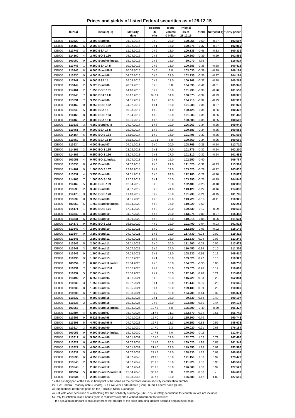**Prices and yields of listed Federal securities as of 28.12.15**

|                              | ISIN <sub>1</sub> ) |                     | lssue2)5)                                | <b>Maturity</b>          | Residual<br>life | Issue<br>volume | Price 3)<br>as of  | Yield              |                    | Net yield 4) "Dirty price" |
|------------------------------|---------------------|---------------------|------------------------------------------|--------------------------|------------------|-----------------|--------------------|--------------------|--------------------|----------------------------|
|                              |                     |                     |                                          | date                     | y/m              | € billion       | 28.12.15           |                    |                    |                            |
| <b>DE000</b>                 | 113529              | 1                   | 3.500 Bund 05                            | 04.01.2016               | 0/0              | 23.0            | 100.055            | $-0.50$            | $-0.37$            | 103.507                    |
| <b>DE000</b>                 | 114159              | 6                   | 2.000 BOS 159                            | 26.02.2016               | 0/1              | 16.0            | 100.378            | $-0.37$            | $-0.27$            | 102.060                    |
| <b>DE000</b>                 | 113745              | 3                   | 0.250 BSA 14                             | 11.03.2016               | 0/2              | 13.0            | 100.138            | $-0.45$            | $-0.33$            | 100.339                    |
| <b>DE000</b>                 | 114160              | 4                   | 2.750 BOS 160                            | 08.04.2016               | 0/3              | 18.0            | 100.860            | $-0.39$            | $-0.29$            | 102.859                    |
| <b>DE000</b>                 | 103050              | 0                   | 1.500 Bund 06 index.                     | 15.04.2016               | 0/3              | 15.0            | 99.070             | 4.75               |                    | 116.514                    |
| <b>DE000</b><br><b>DE000</b> | 113746<br>113446    | 1<br>8              | 0.250 BSA 14 II<br>6.000 Bund 86 II      | 10.06.2016<br>20.06.2016 | 0/5<br>0/5       | 13.0<br>3.8     | 100.283<br>103.030 | $-0.38$<br>$-0.39$ | $-0.28$<br>$-0.29$ | 100.422<br>106.194         |
| <b>DE000</b>                 | 113530              | 9                   | 4.000 Bund 06                            | 04.07.2016               | 0/6              | 23.0            | 102.235            | $-0.36$            | $-0.27$            | 104.191                    |
| <b>DE000</b>                 | 113747              | 9                   | 0.000 BSA 14                             | 16.09.2016               | 0/8              | 13.0            | 100.268            | $-0.37$            | $-0.28$            | 100.268                    |
| <b>DE000</b>                 | 113449              | 2                   | 5.625 Bund 86                            | 20.09.2016               | 0/8              | 0.8             | 104.390            | $-0.41$            | $-0.31$            | 105.942                    |
| <b>DE000</b>                 | 114161              | $\overline{2}$      | 1.250 BOS 161                            | 14.10.2016               | 0/9              | 16.0            | 101.290            | $-0.38$            | $-0.28$            | 101.553                    |
| <b>DE000</b>                 | 113748              | 7                   | 0.000 BSA 14 II                          | 16.12.2016               | 0/11             | 14.0            | 100.375            | $-0.39$            | $-0.29$            | 100.375                    |
| <b>DE000</b>                 | 113531              | $\overline{7}$      | 3.750 Bund 06                            | 04.01.2017               | 1/0              | 20.0            | 104.218            | $-0.39$            | $-0.29$            | 107.917                    |
| <b>DE000</b>                 | 114162              | 0                   | 0.750 BOS 162                            | 24.02.2017               | 1/1              | 16.0            | 101.288            | $-0.36$            | $-0.27$            | 101.923                    |
| <b>DE000</b>                 | 113749              | 5                   | 0.000 BSA 15                             | 10.03.2017               | 1/2              | 14.0            | 100.428            | $-0.36$            | $-0.26$            | 100.428                    |
| <b>DE000</b>                 | 114163              | 8<br>$\overline{2}$ | 0.500 BOS 163                            | 07.04.2017               | 1/3              | 18.0            | 101.083            | $-0.35$            | $-0.26$            | 101.448                    |
| <b>DE000</b><br><b>DE000</b> | 110460<br>113533    | 3                   | 0.000 BSA 15 II<br>4.250 Bund 07 II      | 16.06.2017<br>04.07.2017 | 1/5<br>1/6       | 13.0<br>19.0    | 100.508<br>106.963 | $-0.35$<br>$-0.34$ | $-0.25$<br>$-0.25$ | 100.508<br>109.042         |
| DE000                        | 110461              | 0                   | 0.000 BSA 15 III                         | 15.09.2017               | 1/8              | 13.0            | 100.583            | $-0.34$            | $-0.25$            | 100.583                    |
| <b>DE000</b>                 | 114164              | 6                   | 0.500 BOS 164                            | 13.10.2017               | 1/9              | 16.0            | 101.498            | $-0.33$            | $-0.25$            | 101.605                    |
| <b>DE000</b>                 | 110462              | 8                   | 0.000 BSA 15 IV                          | 15.12.2017               | 1/11             | 8.0             | 100.669            | $-0.34$            | $-0.25$            | 100.669                    |
| <b>DE000</b>                 | 113534              | 1                   | 4.000 Bund 07                            | 04.01.2018               | 2/0              | 20.0            | 108.765            | $-0.33$            | $-0.24$            | 112.710                    |
| <b>DE000</b>                 | 114165              | 3                   | 0.500 BOS 165                            | 23.02.2018               | 2/1              | 17.0            | 101.775            | $-0.32$            | $-0.24$            | 102.200                    |
| <b>DE000</b>                 | 114166              | 1                   | 0.250 BOS 166                            | 13.04.2018               | 2/3              | 17.0            | 101.310            | $-0.32$            | $-0.24$            | 101.488                    |
| <b>DE000</b>                 | 103053              | 4                   | 0.750 BO 11 index.                       | 15.04.2018               | 2/3              | 15.0            | 102.650            | $-0.40$            |                    | 109.787                    |
| <b>DE000</b>                 | 113535              | 8                   | 4.250 Bund 08                            | 04.07.2018               | 2/6              | 21.0            | 111.520            | $-0.31$            | $-0.23$            | 113.599                    |
| <b>DE000</b>                 | 114167              | 9                   | 1.000 BOS 167                            | 12.10.2018               | 2/9              | 17.0            | 103.620            | $-0.29$            | $-0.22$            | 103.836                    |
| <b>DE000</b><br><b>DE000</b> | 113537<br>114168    | 4<br>7              | 3.750 Bund 08<br>1.000 BOS 168           | 04.01.2019<br>22.02.2019 | 3/0<br>3/1       | 24.0<br>16.0    | 112.180<br>103.995 | $-0.27$<br>$-0.26$ | $-0.20$<br>$-0.19$ | 115.879<br>104.847         |
| <b>DE000</b>                 | 114169              | 5                   | 0.500 BOS 169                            | 12.04.2019               | 3/3              | 16.0            | 102.480            | $-0.25$            | $-0.18$            | 102.838                    |
| <b>DE000</b>                 | 113538              | 2                   | 3.500 Bund 09                            | 04.07.2019               | 3/6              | 24.0            | 113.120            | $-0.22$            | $-0.16$            | 114.832                    |
| <b>DE000</b>                 | 114170              | 3                   | 0.250 BOS 170                            | 11.10.2019               | 3/9              | 16.0            | 101.730            | $-0.21$            | $-0.15$            | 101.785                    |
| <b>DE000</b>                 | 113539              | 0                   | 3.250 Bund 09                            | 04.01.2020               | 4/0              | 22.0            | 113.720            | $-0.16$            | $-0.11$            | 116.925                    |
| <b>DE000</b>                 | 103052              | 6                   | 1.750 Bund 09 index.                     | 15.04.2020               | 4/3              | 16.0            | 110.220            | $-0.59$            | $\sim$             | 122.251                    |
| <b>DE000</b>                 | 114171              | 1                   | 0.000 BOS 171                            | 17.04.2020               | 4/3              | 20.0            | 100.530            | $-0.12$            | $-0.09$            | 100.530                    |
| <b>DE000</b>                 | 113540              | 8                   | 3.000 Bund 10                            | 04.07.2020               | 4/6              | 22.0            | 113.975            | $-0.09$            | $-0.07$            | 115.442                    |
| <b>DE000</b>                 | 113541              | 6                   | 2.250 Bund 10                            | 04.09.2020               | 4/8              | 16.0            | 110.915            | $-0.08$            | $-0.06$            | 111.634                    |
| <b>DE000</b><br><b>DE000</b> | 114172<br>113542    | 9<br>4              | 0.250 BOS 172<br>2.500 Bund 10           | 16.10.2020<br>04.01.2021 | 4/9<br>5/0       | 19.0<br>19.0    | 101.400<br>112.680 | $-0.04$<br>$-0.03$ | $-0.03$<br>$-0.02$ | 101.523<br>115.146         |
| <b>DE000</b>                 | 113544              | 0                   | 3.250 Bund 11                            | 04.07.2021               | 5/6              | 19.0            | 117.730            | 0.03               | 0.02               | 119.319                    |
| <b>DE000</b>                 | 113545              | $\overline{7}$      | 2.250 Bund 11                            | 04.09.2021               | 5/8              | 16.0            | 112.530            | 0.04               | 0.03               | 113.249                    |
| <b>DE000</b>                 | 113546              | 5                   | 2.000 Bund 11                            | 04.01.2022               | 6/0              | 20.0            | 111.500            | 0.08               | 0.06               | 113.473                    |
| <b>DE000</b>                 | 113547              |                     | 1.750 Bund 12                            | 04.07.2022               | 6/6              | 24.0            | 110.450            | 0.14               | 0.10               | 111.306                    |
| <b>DE000</b>                 | 113549              | 9                   | 1.500 Bund 12                            | 04.09.2022               | 6/8              | 18.0            | 108.930            | 0.16               | 0.11               | 109.410                    |
| DE000                        | 110230              | 9                   | 1.500 Bund 13                            | 15.02.2023               | 7/1              | 18.0            | 109.020            | 0.22               | 0.16               | 110.327                    |
| <b>DE000</b>                 | 103054              | 2                   | 0.100 Bund 12 index.                     | 15.04.2023               | 7/3              | 16.0            | 104.820            | $-0.55$            | 0.00               | 108.738                    |
| <b>DE000</b>                 | 110231              | 7                   | 1.500 Bund 13 II                         | 15.05.2023               | 7/4              | 18.0            | 109.070            | 0.26               | 0.19               | 110.009                    |
| <b>DE000</b><br><b>DE000</b> | 110232<br>113492    | 5<br>2              | 2.000 Bund 13<br>6.250 Bund 94           | 15.08.2023<br>04.01.2024 | 7/7<br>8/0       | 18.0<br>10.3    | 112.940<br>146.720 | 0.28<br>0.33       | 0.21<br>0.23       | 113.689<br>152.884         |
| <b>DE000</b>                 | 110233              | 3                   | 1.750 Bund 14                            | 15.02.2024               | 8/1              | 18.0            | 111.140            | 0.36               | 0.26               | 112.665                    |
| <b>DE000</b>                 | 110235              | 8                   | 1.500 Bund 14                            | 15.05.2024               | 8/4              | 18.0            | 109.130            | 0.39               | 0.28               | 110.069                    |
| <b>DE000</b>                 | 110236              | 6                   | 1.000 Bund 14                            | 15.08.2024               | 8/7              | 18.0            | 104.700            | 0.44               | 0.32               | 105.074                    |
| <b>DE000</b>                 | 110237              | 4                   | 0.500 Bund 15                            | 15.02.2025               | 9/1              | 23.0            | 99.630             | 0.54               | 0.40               | 100.107                    |
| <b>DE000</b>                 | 110238              | 2                   | 1.000 Bund 15                            | 15.08.2025               | 9/7              | 23.0            | 103.680            | 0.61               | 0.44               | 104.134                    |
| <b>DE000</b>                 | 103056              | 7                   | 0.100 Bund 15 index.                     | 15.04.2026               | 10/3             | 5.0             | 105.300            | $-0.40$            | $-0.30$            | 106.327                    |
| <b>DE000</b>                 | 113504              | 4                   | 6.500 Bund 97                            | 04.07.2027               | 11/6             | 11.3            | 163.570            | 0.72               | 0.51               | 166.749                    |
| <b>DE000</b>                 | 113506              | 9                   | 5.625 Bund 98                            | 04.01.2028               | 12/0             | 14.5            | 155.200            | 0.79               |                    | 160.748                    |
| <b>DE000</b><br><b>DE000</b> | 113508<br>113514    | 5<br>3              | 4.750 Bund 98 II<br>6.250 Bund 00        | 04.07.2028<br>04.01.2030 | 12/6<br>14/0     | 11.3<br>9.3     | 146.350<br>170.020 | 0.83<br>0.91       | 0.59<br>0.63       | 148.673<br>176.184         |
| <b>DE000</b>                 | 103055              | 9                   | 0.500 Bund 14 index.                     | 15.04.2030               | 14/3             | 7.0             | 109.900            | $-0.18$            |                    | 111.540                    |
| <b>DE000</b>                 | 113517              | 6                   | 5.500 Bund 00                            | 04.01.2031               | 15/0             | 17.0            | 162.070            | 1.02               | 0.71               | 167.495                    |
| <b>DE000</b>                 | 113522              | 6                   | 4.750 Bund 03                            | 04.07.2034               | 18/6             | 20.0            | 159.020            | 1.18               | 0.83               | 161.343                    |
| <b>DE000</b>                 | 113527              | 5                   | 4.000 Bund 05                            | 04.01.2037               | 21/0             | 23.0            | 149.650            | 1.29               | 0.91               | 153.595                    |
| <b>DE000</b>                 | 113532              | 5                   | 4.250 Bund 07                            | 04.07.2039               | 23/6             | 14.0            | 158.830            | 1.32               | 0.93               | 160.909                    |
| <b>DE000</b>                 | 113536              | 6                   | 4.750 Bund 08                            | 04.07.2040               | 24/6             | 16.0            | 171.150            | 1.33               | 0.92               | 173.473                    |
| <b>DE000</b>                 | 113543              | 2                   | 3.250 Bund 10                            | 04.07.2042               | 26/6             | 15.0            | 141.920            | 1.36               | 0.96               | 143.509                    |
| <b>DE000</b>                 | 113548              | $\mathbf{1}$        | 2.500 Bund 12                            | 04.07.2044               | 28/6             | 16.0            | 126.300            | 1.38               | 0.99               | 127.523                    |
| <b>DE000</b><br><b>DE000</b> | 103057<br>110234    | 5<br>1              | 0.100 Bund 15 index. II<br>2.500 Bund 14 | 15.04.2046<br>15.08.2046 | 30/3<br>30/7     | 3.0<br>13.0     | 102.920<br>126.580 | 0.00<br>1.42       | 1.02               | 104.697<br>127.516         |
|                              |                     |                     |                                          |                          |                  |                 |                    |                    |                    |                            |

2) BSA: Federal Treasury note (Schatz), BO: Five-year Federal note (Bobl), Bund: Federal bond (Bund)

3) Bundesbank reference price on the Frankfurt Stock Exchange

4) Net yield after deduction of withholding tax and solidarity surcharge (26.375% in total); deductions for church tax are not included.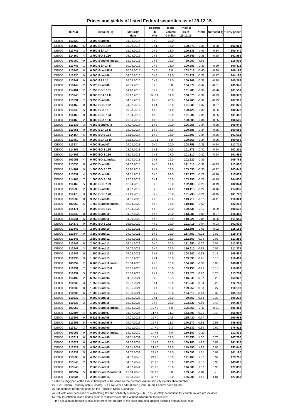**Prices and yields of listed Federal securities as of 29.12.15**

|                              |                     |                         |                                       |                          | Residual     | Issue               | Price 3)           |                    |                    |                            |
|------------------------------|---------------------|-------------------------|---------------------------------------|--------------------------|--------------|---------------------|--------------------|--------------------|--------------------|----------------------------|
|                              | ISIN <sub>1</sub> ) |                         | lssue2)5                              | <b>Maturity</b><br>date  | life<br>y/m  | volume<br>€ billion | as of<br>29.12.15  | Yield              |                    | Net yield 4) "Dirty price" |
| <b>DE000</b>                 | 113529              | 1                       | 3.500 Bund 05                         | 04.01.2016               | 0/0          | 23.0                |                    |                    |                    |                            |
| <b>DE000</b>                 | 114159              | 6                       | 2.000 BOS 159                         | 26.02.2016               | 0/1          | 16.0                | 100.373            | $-0.38$            | $-0.28$            | 102.061                    |
| <b>DE000</b>                 | 113745              | 3                       | 0.250 BSA 14                          | 11.03.2016               | 0/2          | 13.0                | 100.138            | $-0.46$            | $-0.34$            | 100.340                    |
| <b>DE000</b>                 | 114160              | 4                       | 2.750 BOS 160                         | 08.04.2016               | 0/3          | 18.0                | 100.849            | $-0.38$            | $-0.28$            | 102.855                    |
| <b>DE000</b>                 | 103050              | 0                       | 1.500 Bund 06 index.                  | 15.04.2016               | 0/3          | 15.0                | 99.050             | 4.86               |                    | 116.501                    |
| <b>DE000</b>                 | 113746              | 1                       | 0.250 BSA 14 II                       | 10.06.2016               | 0/5          | 13.0                | 100.283            | $-0.39$            | $-0.29$            | 100.422                    |
| <b>DE000</b>                 | 113446              | 8                       | 6.000 Bund 86 II                      | 20.06.2016               | 0/5          | 3.8                 | 103.018            | $-0.40$            | $-0.29$            | 106.198                    |
| <b>DE000</b>                 | 113530              | 9                       | 4.000 Bund 06                         | 04.07.2016               | 0/6          | 23.0                | 102.228            | $-0.37$            | $-0.27$            | 104.195                    |
| <b>DE000</b>                 | 113747              | 9                       | 0.000 BSA 14                          | 16.09.2016               | 0/8          | 13.0                | 100.268            | $-0.38$            | $-0.28$            | 100.268                    |
| <b>DE000</b>                 | 113449              | $\overline{\mathbf{c}}$ | 5.625 Bund 86                         | 20.09.2016               | 0/8          | 0.8                 | 104.378            | $-0.42$            | $-0.31$            | 105.946                    |
| <b>DE000</b>                 | 114161              | $\overline{2}$          | 1.250 BOS 161                         | 14.10.2016               | 0/9          | 16.0                | 101.285            | $-0.38$            | $-0.28$            | 101.551                    |
| <b>DE000</b><br><b>DE000</b> | 113748<br>113531    | $\overline{7}$<br>7     | 0.000 BSA 14 II<br>3.750 Bund 06      | 16.12.2016               | 0/11<br>1/0  | 14.0<br>20.0        | 100.373<br>104.203 | $-0.39$<br>$-0.39$ | $-0.29$<br>$-0.29$ | 100.373<br>107.912         |
| <b>DE000</b>                 | 114162              | 0                       | 0.750 BOS 162                         | 04.01.2017<br>24.02.2017 | 1/1          | 16.0                | 101.289            | $-0.37$            | $-0.27$            | 101.926                    |
| <b>DE000</b>                 | 113749              | 5                       | 0.000 BSA 15                          | 10.03.2017               | 1/2          | 14.0                | 100.428            | $-0.36$            | $-0.26$            | 100.428                    |
| <b>DE000</b>                 | 114163              | 8                       | 0.500 BOS 163                         | 07.04.2017               | 1/3          | 18.0                | 101.086            | $-0.35$            | $-0.26$            | 101.452                    |
| <b>DE000</b>                 | 110460              | $\overline{2}$          | 0.000 BSA 15 II                       | 16.06.2017               | 1/5          | 13.0                | 100.505            | $-0.34$            | $-0.25$            | 100.505                    |
| <b>DE000</b>                 | 113533              | 3                       | 4.250 Bund 07 II                      | 04.07.2017               | 1/6          | 19.0                | 106.958            | $-0.34$            | $-0.25$            | 109.048                    |
| <b>DE000</b>                 | 110461              | 0                       | 0.000 BSA 15 III                      | 15.09.2017               | 1/8          | 13.0                | 100.588            | $-0.34$            | $-0.25$            | 100.588                    |
| <b>DE000</b>                 | 114164              | 6                       | 0.500 BOS 164                         | 13.10.2017               | 1/9          | 16.0                | 101.503            | $-0.34$            | $-0.25$            | 101.611                    |
| <b>DE000</b>                 | 110462              | 8                       | 0.000 BSA 15 IV                       | 15.12.2017               | 1/11         | 8.0                 | 100.668            | $-0.34$            | $-0.25$            | 100.668                    |
| <b>DE000</b>                 | 113534              | 1                       | 4.000 Bund 07                         | 04.01.2018               | 2/0          | 20.0                | 108.755            | $-0.33$            | $-0.24$            | 112.711                    |
| <b>DE000</b>                 | 114165              | 3                       | 0.500 BOS 165                         | 23.02.2018               | 2/1          | 17.0                | 101.775            | $-0.32$            | $-0.24$            | 102.201                    |
| <b>DE000</b>                 | 114166              | 1                       | 0.250 BOS 166                         | 13.04.2018               | 2/3          | 17.0                | 101.310            | $-0.32$            | $-0.24$            | 101.489                    |
| <b>DE000</b>                 | 103053              | 4                       | 0.750 BO 11 index.                    | 15.04.2018               | 2/3          | 15.0                | 102.620            | $-0.39$            |                    | 109.763                    |
| <b>DE000</b>                 | 113535              | 8                       | 4.250 Bund 08                         | 04.07.2018               | 2/6          | 21.0                | 111.510            | $-0.31$            | $-0.23$            | 113.600                    |
| <b>DE000</b>                 | 114167              | 9                       | 1.000 BOS 167                         | 12.10.2018               | 2/9          | 17.0                | 103.630            | $-0.30$            | $-0.22$            | 103.849                    |
| <b>DE000</b>                 | 113537              | 4                       | 3.750 Bund 08                         | 04.01.2019               | 3/0          | 24.0                | 112.170            | $-0.27$            | $-0.20$            | 115.879                    |
| <b>DE000</b><br><b>DE000</b> | 114168<br>114169    | 7<br>5                  | 1.000 BOS 168<br>0.500 BOS 169        | 22.02.2019<br>12.04.2019 | 3/1<br>3/3   | 16.0<br>16.0        | 103.995<br>102.485 | $-0.26$<br>$-0.25$ | $-0.19$<br>$-0.19$ | 104.850<br>102.844         |
| <b>DE000</b>                 | 113538              | $\overline{2}$          | 3.500 Bund 09                         | 04.07.2019               | 3/6          | 24.0                | 113.115            | $-0.22$            | $-0.16$            | 114.836                    |
| <b>DE000</b>                 | 114170              | 3                       | 0.250 BOS 170                         | 11.10.2019               | 3/9          | 16.0                | 101.735            | $-0.21$            | $-0.15$            | 101.790                    |
| <b>DE000</b>                 | 113539              | 0                       | 3.250 Bund 09                         | 04.01.2020               | 4/0          | 22.0                | 113.710            | $-0.15$            | $-0.11$            | 116.924                    |
| <b>DE000</b>                 | 103052              | 6                       | 1.750 Bund 09 index.                  | 15.04.2020               | 4/3          | 16.0                | 110.180            | $-0.59$            |                    | 122.219                    |
| <b>DE000</b>                 | 114171              | 1                       | 0.000 BOS 171                         | 17.04.2020               | 4/3          | 20.0                | 100.535            | $-0.12$            | $-0.09$            | 100.535                    |
| <b>DE000</b>                 | 113540              | 8                       | 3.000 Bund 10                         | 04.07.2020               | 4/6          | 22.0                | 113.980            | $-0.09$            | $-0.07$            | 115.455                    |
| <b>DE000</b>                 | 113541              | 6                       | 2.250 Bund 10                         | 04.09.2020               | 4/8          | 16.0                | 110.925            | $-0.08$            | $-0.06$            | 111.650                    |
| <b>DE000</b>                 | 114172              | 9                       | 0.250 BOS 172                         | 16.10.2020               | 4/9          | 19.0                | 101.415            | $-0.04$            | $-0.03$            | 101.539                    |
| <b>DE000</b>                 | 113542              | $\overline{4}$          | 2.500 Bund 10                         | 04.01.2021               | 5/0          | 19.0                | 112.695            | $-0.03$            | $-0.02$            | 115.168                    |
| <b>DE000</b>                 | 113544              | 0                       | 3.250 Bund 11                         | 04.07.2021               | 5/6          | 19.0                | 117.750            | 0.02               | 0.02               | 119.348                    |
| <b>DE000</b>                 | 113545              | $\overline{7}$          | 2.250 Bund 11                         | 04.09.2021               | 5/8          | 16.0                | 112.560            | 0.04               | 0.03               | 113.285                    |
| <b>DE000</b>                 | 113546              | 5                       | 2.000 Bund 11                         | 04.01.2022               | 6/0          | 20.0                | 111.550            | 0.07               | 0.05               | 113.528                    |
| DE000                        | 113547              |                         | 1.750 Bund 12                         | 04.07.2022               | 6/6          | 24.0                | <u> 110.510</u>    | 0.13               | 0.09               | 111.371                    |
| <b>DE000</b>                 | 113549              | 9                       | 1.500 Bund 12                         | 04.09.2022               | 6/8          | 18.0                | 108.980            | 0.15               | 0.11               | 109.464                    |
| <b>DE000</b><br><b>DE000</b> | 110230<br>103054    | 9<br>2                  | 1.500 Bund 13<br>0.100 Bund 12 index. | 15.02.2023<br>15.04.2023 | 7/1          | 18.0                | 109.090<br>104.900 | 0.21<br>$-0.56$    | 0.16<br>0.00       | 110.401<br>108.827         |
| <b>DE000</b>                 | 110231              | 7                       | 1.500 Bund 13 II                      | 15.05.2023               | 7/3<br>7/4   | 16.0<br>18.0        | 109.150            | 0.25               | 0.18               | 110.093                    |
| <b>DE000</b>                 | 110232              | 5                       | 2.000 Bund 13                         | 15.08.2023               | $7/7$        | 18.0                | 113.020            | 0.27               | 0.20               | 113.774                    |
| <b>DE000</b>                 | 113492              | 2                       | 6.250 Bund 94                         | 04.01.2024               | 8/0          | 10.3                | 146.840            | 0.32               | 0.23               | 153.022                    |
| <b>DE000</b>                 | 110233              | 3                       | 1.750 Bund 14                         | 15.02.2024               | 8/1          | 18.0                | 111.240            | 0.34               | 0.25               | 112.769                    |
| <b>DE000</b>                 | 110235              | 8                       | 1.500 Bund 14                         | 15.05.2024               | 8/4          | 18.0                | 109.250            | 0.38               | 0.27               | 110.193                    |
| <b>DE000</b>                 | 110236              | 6                       | 1.000 Bund 14                         | 15.08.2024               | 8/7          | 18.0                | 104.810            | 0.43               | 0.32               | 105.187                    |
| <b>DE000</b>                 | 110237              | 4                       | 0.500 Bund 15                         | 15.02.2025               | 9/1          | 23.0                | 99.750             | 0.53               | 0.39               | 100.228                    |
| <b>DE000</b>                 | 110238              | 2                       | 1.000 Bund 15                         | 15.08.2025               | 9/7          | 23.0                | 103.830            | 0.59               | 0.43               | 104.287                    |
| <b>DE000</b>                 | 103056              | 7                       | 0.100 Bund 15 index.                  | 15.04.2026               | 10/3         | 5.0                 | 105.450            | $-0.42$            | $-0.31$            | 106.484                    |
| <b>DE000</b>                 | 113504              | 4                       | 6.500 Bund 97                         | 04.07.2027               | 11/6         | 11.3                | 163.800            | 0.71               | 0.49               | 166.997                    |
| <b>DE000</b>                 | 113506              | 9                       | 5.625 Bund 98                         | 04.01.2028               | 12/0         | 14.5                | 155.420            | 0.77               |                    | 160.983                    |
| <b>DE000</b>                 | 113508              | 5                       | 4.750 Bund 98 II                      | 04.07.2028               | 12/6         | 11.3                | 146.570            | 0.82               | 0.58               | 148.906                    |
| <b>DE000</b>                 | 113514              | 3                       | 6.250 Bund 00                         | 04.01.2030               | 14/0         | 9.3                 | 170.230            | 0.89               | 0.62               | 176.412                    |
| <b>DE000</b>                 | 103055              | 9<br>6                  | 0.500 Bund 14 index.                  | 15.04.2030               | 14/3         | 7.0                 | 110.180            | $-0.20$            | 0.70               | <u>111.831</u>             |
| <b>DE000</b><br><b>DE000</b> | 113517<br>113522    | 6                       | 5.500 Bund 00                         | 04.01.2031<br>04.07.2034 | 15/0<br>18/6 | 17.0                | 162.350<br>159.180 | 1.00<br>1.17       | 0.82               | 167.790<br>161.516         |
| <b>DE000</b>                 | 113527              | 5                       | 4.750 Bund 03<br>4.000 Bund 05        | 04.01.2037               | 21/0         | 20.0<br>23.0        | 149.890            | 1.28               | 0.90               | 153.846                    |
| <b>DE000</b>                 | 113532              | 5                       | 4.250 Bund 07                         | 04.07.2039               | 23/6         | 14.0                | 159.090            | 1.31               | 0.92               | 161.180                    |
| <b>DE000</b>                 | 113536              | 6                       | 4.750 Bund 08                         | 04.07.2040               | 24/6         | 16.0                | 171.460            | 1.32               | 0.92               | 173.796                    |
| <b>DE000</b>                 | 113543              | 2                       | 3.250 Bund 10                         | 04.07.2042               | 26/6         | 15.0                | 142.220            | 1.35               | 0.95               | 143.818                    |
| <b>DE000</b>                 | 113548              | $\mathbf{1}$            | 2.500 Bund 12                         | 04.07.2044               | 28/6         | 16.0                | 126.600            | 1.37               | 0.98               | 127.830                    |
| <b>DE000</b>                 | 103057              | 5                       | 0.100 Bund 15 index. II               | 15.04.2046               | 30/3         | 3.0                 | 103.640            | $-0.02$            | $\blacksquare$     | 105.435                    |
| <b>DE000</b>                 | 110234              | 1                       | 2.500 Bund 14                         | 15.08.2046               | 30/7         | 13.0                | 126.900            | 1.41               | 1.01               | 127.843                    |

2) BSA: Federal Treasury note (Schatz), BO: Five-year Federal note (Bobl), Bund: Federal bond (Bund)

3) Bundesbank reference price on the Frankfurt Stock Exchange

4) Net yield after deduction of withholding tax and solidarity surcharge (26.375% in total); deductions for church tax are not included.